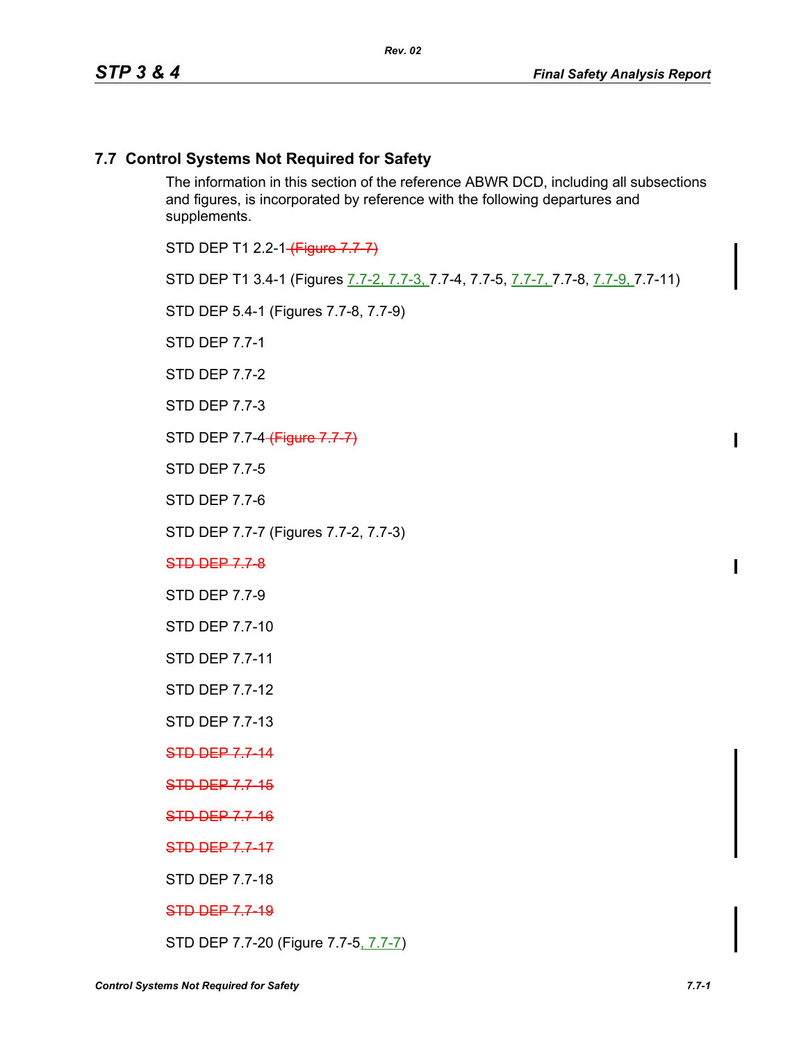# **7.7 Control Systems Not Required for Safety**

The information in this section of the reference ABWR DCD, including all subsections and figures, is incorporated by reference with the following departures and supplements.

STD DEP T1 2.2-1 (Figure 7.7-7)

STD DEP T1 3.4-1 (Figures 7.7-2, 7.7-3, 7.7-4, 7.7-5, 7.7-7, 7.7-8, 7.7-9, 7.7-11)

STD DEP 5.4-1 (Figures 7.7-8, 7.7-9)

STD DEP 7.7-1

STD DEP 7.7-2

STD DEP 7.7-3

STD DEP 7.7-4 (Figure 7.7-7)

STD DEP 7.7-5

STD DEP 7.7-6

STD DEP 7.7-7 (Figures 7.7-2, 7.7-3)

STD DEP 7.7-8

STD DEP 7.7-9

STD DEP 7.7-10

STD DEP 7.7-11

STD DEP 7.7-12

STD DEP 7.7-13

STD DEP 7.7-14

**STD DEP 7.7-15** 

**STD DEP 7.7-16** 

STD DEP 7.7-17

STD DEP 7.7-18

STD DEP 7.7-19

STD DEP 7.7-20 (Figure 7.7-5, 7.7-7)

 $\mathbf I$ 

 $\mathbf I$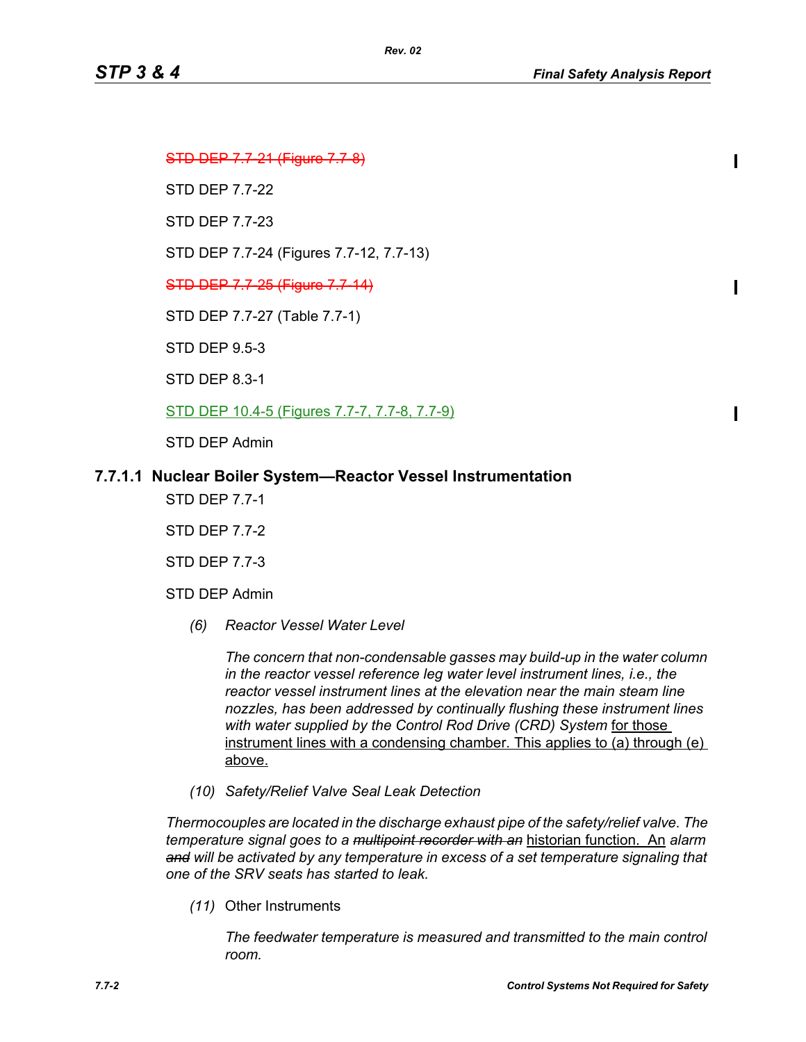П

Ι

П

STD DEP 7.7-21 (Figure 7.7-8)

STD DEP 7.7-22

STD DEP 7.7-23

STD DEP 7.7-24 (Figures 7.7-12, 7.7-13)

*Rev. 02*

STD DEP 7.7-25 (Figure 7.7-14)

STD DEP 7.7-27 (Table 7.7-1)

STD DEP 9.5-3

STD DEP 8.3-1

STD DEP 10.4-5 (Figures 7.7-7, 7.7-8, 7.7-9)

STD DEP Admin

# **7.7.1.1 Nuclear Boiler System—Reactor Vessel Instrumentation**

STD DEP 7.7-1

STD DEP 7.7-2

STD DEP 7.7-3

- STD DEP Admin
	- *(6) Reactor Vessel Water Level*

*The concern that non-condensable gasses may build-up in the water column in the reactor vessel reference leg water level instrument lines, i.e., the reactor vessel instrument lines at the elevation near the main steam line nozzles, has been addressed by continually flushing these instrument lines*  with water supplied by the Control Rod Drive (CRD) System for those instrument lines with a condensing chamber. This applies to (a) through (e) above.

*(10) Safety/Relief Valve Seal Leak Detection*

*Thermocouples are located in the discharge exhaust pipe of the safety/relief valve. The temperature signal goes to a multipoint recorder with an* historian function. An *alarm and will be activated by any temperature in excess of a set temperature signaling that one of the SRV seats has started to leak.*

*(11)* Other Instruments

*The feedwater temperature is measured and transmitted to the main control room.*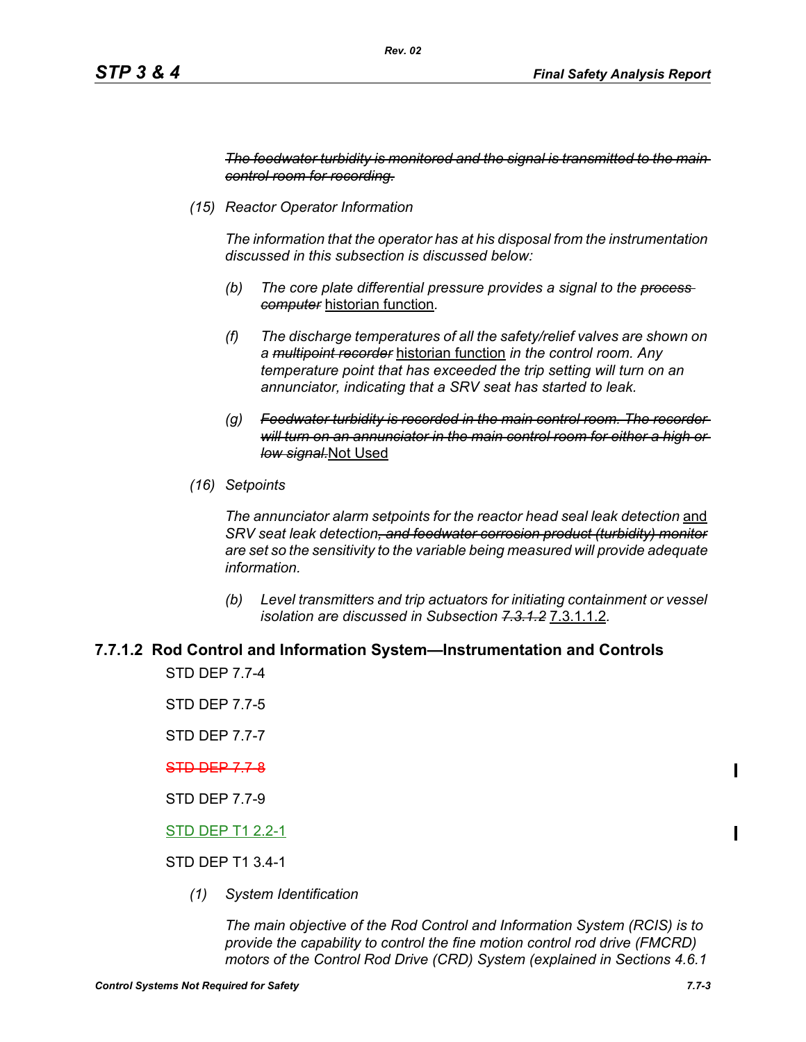*The feedwater turbidity is monitored and the signal is transmitted to the main control room for recording.*

*(15) Reactor Operator Information*

*The information that the operator has at his disposal from the instrumentation discussed in this subsection is discussed below:*

- *(b) The core plate differential pressure provides a signal to the process computer* historian function*.*
- *(f) The discharge temperatures of all the safety/relief valves are shown on a multipoint recorder* historian function *in the control room. Any temperature point that has exceeded the trip setting will turn on an annunciator, indicating that a SRV seat has started to leak.*
- *(g) Feedwater turbidity is recorded in the main control room. The recorder will turn on an annunciator in the main control room for either a high or low signal.*Not Used
- *(16) Setpoints*

*The annunciator alarm setpoints for the reactor head seal leak detection* and *SRV seat leak detection, and feedwater corrosion product (turbidity) monitor are set so the sensitivity to the variable being measured will provide adequate information.*

*(b) Level transmitters and trip actuators for initiating containment or vessel isolation are discussed in Subsection 7.3.1.2* 7.3.1.1.2*.*

#### **7.7.1.2 Rod Control and Information System—Instrumentation and Controls**

STD DEP 7.7-4

STD DEP 7.7-5

STD DEP 7.7-7

#### STD DEP 7.7-8

STD DEP 7.7-9

#### STD DEP T1 2.2-1

#### STD DEP T1 3.4-1

*(1) System Identification*

*The main objective of the Rod Control and Information System (RCIS) is to provide the capability to control the fine motion control rod drive (FMCRD) motors of the Control Rod Drive (CRD) System (explained in Sections 4.6.1*  Π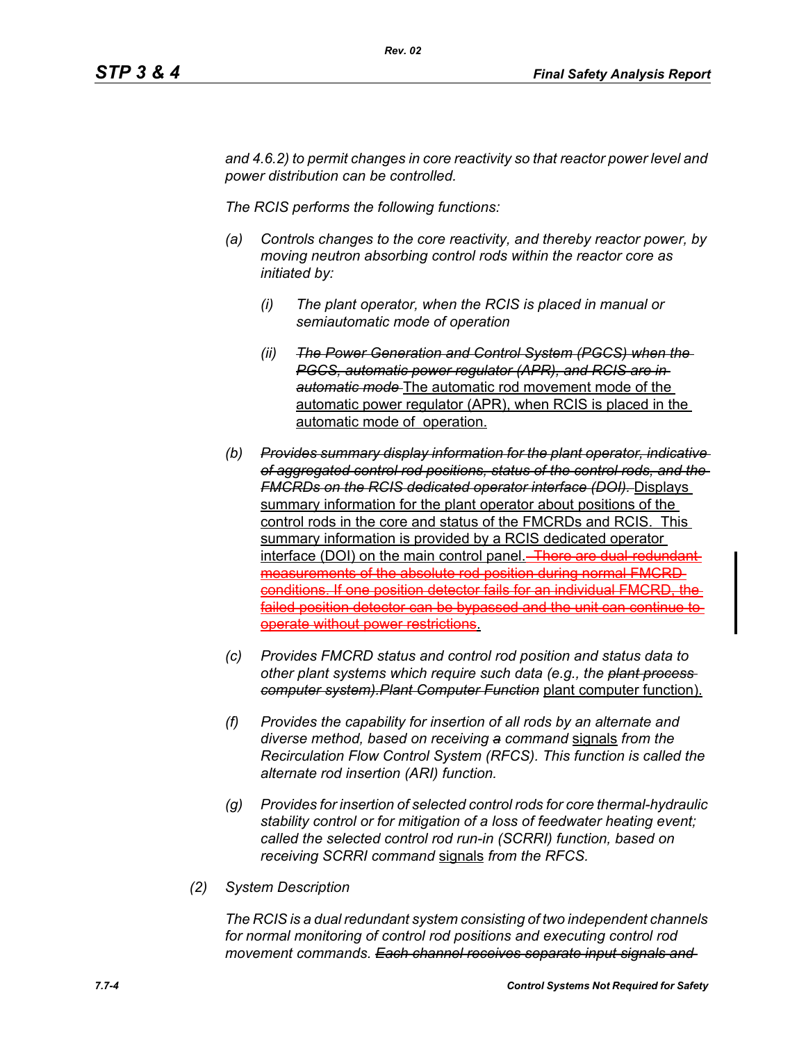*and 4.6.2) to permit changes in core reactivity so that reactor power level and power distribution can be controlled.* 

*The RCIS performs the following functions:*

*Rev. 02*

- *(a) Controls changes to the core reactivity, and thereby reactor power, by moving neutron absorbing control rods within the reactor core as initiated by:*
	- *(i) The plant operator, when the RCIS is placed in manual or semiautomatic mode of operation*
	- *(ii) The Power Generation and Control System (PGCS) when the PGCS, automatic power regulator (APR), and RCIS are in automatic mode* The automatic rod movement mode of the automatic power regulator (APR), when RCIS is placed in the automatic mode of operation.
- *(b) Provides summary display information for the plant operator, indicative of aggregated control rod positions, status of the control rods, and the FMCRDs on the RCIS dedicated operator interface (DOI).* Displays summary information for the plant operator about positions of the control rods in the core and status of the FMCRDs and RCIS. This summary information is provided by a RCIS dedicated operator interface (DOI) on the main control panel. There are dual-redundantmeasurements of the absolute rod position during normal FMCRD conditions. If one position detector fails for an individual FMCRD, the failed position detector can be bypassed and the unit can continue to operate without power restrictions.
- *(c) Provides FMCRD status and control rod position and status data to other plant systems which require such data (e.g., the plant process computer system).Plant Computer Function* plant computer function).
- *(f) Provides the capability for insertion of all rods by an alternate and diverse method, based on receiving a command* signals *from the Recirculation Flow Control System (RFCS). This function is called the alternate rod insertion (ARI) function.*
- *(g) Provides for insertion of selected control rods for core thermal-hydraulic stability control or for mitigation of a loss of feedwater heating event; called the selected control rod run-in (SCRRI) function, based on receiving SCRRI command* signals *from the RFCS.*
- *(2) System Description*

*The RCIS is a dual redundant system consisting of two independent channels for normal monitoring of control rod positions and executing control rod movement commands. Each channel receives separate input signals and*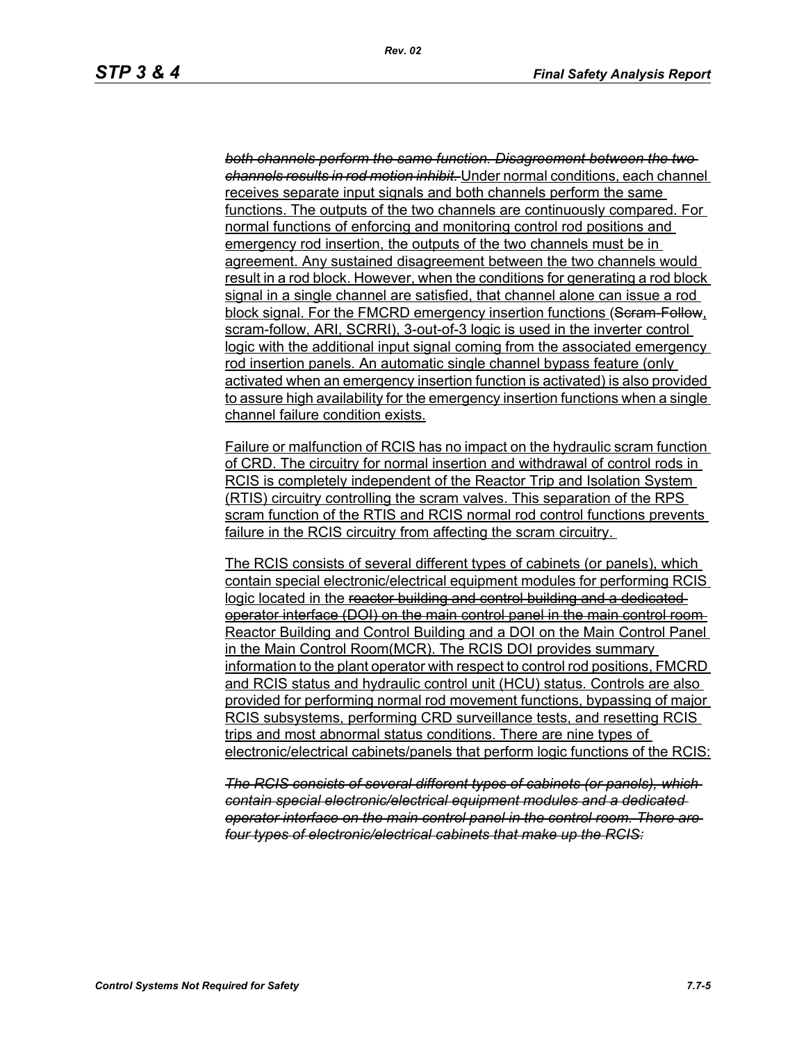*both channels perform the same function. Disagreement between the two channels results in rod motion inhibit.* Under normal conditions, each channel receives separate input signals and both channels perform the same functions. The outputs of the two channels are continuously compared. For normal functions of enforcing and monitoring control rod positions and emergency rod insertion, the outputs of the two channels must be in agreement. Any sustained disagreement between the two channels would result in a rod block. However, when the conditions for generating a rod block signal in a single channel are satisfied, that channel alone can issue a rod block signal. For the FMCRD emergency insertion functions (Seram Follow, scram-follow, ARI, SCRRI), 3-out-of-3 logic is used in the inverter control logic with the additional input signal coming from the associated emergency rod insertion panels. An automatic single channel bypass feature (only activated when an emergency insertion function is activated) is also provided to assure high availability for the emergency insertion functions when a single channel failure condition exists.

Failure or malfunction of RCIS has no impact on the hydraulic scram function of CRD. The circuitry for normal insertion and withdrawal of control rods in RCIS is completely independent of the Reactor Trip and Isolation System (RTIS) circuitry controlling the scram valves. This separation of the RPS scram function of the RTIS and RCIS normal rod control functions prevents failure in the RCIS circuitry from affecting the scram circuitry.

The RCIS consists of several different types of cabinets (or panels), which contain special electronic/electrical equipment modules for performing RCIS logic located in the reactor building and control building and a dedicatedoperator interface (DOI) on the main control panel in the main control room Reactor Building and Control Building and a DOI on the Main Control Panel in the Main Control Room(MCR). The RCIS DOI provides summary information to the plant operator with respect to control rod positions, FMCRD and RCIS status and hydraulic control unit (HCU) status. Controls are also provided for performing normal rod movement functions, bypassing of major RCIS subsystems, performing CRD surveillance tests, and resetting RCIS trips and most abnormal status conditions. There are nine types of electronic/electrical cabinets/panels that perform logic functions of the RCIS:

*The RCIS consists of several different types of cabinets (or panels), which contain special electronic/electrical equipment modules and a dedicated operator interface on the main control panel in the control room. There are four types of electronic/electrical cabinets that make up the RCIS:*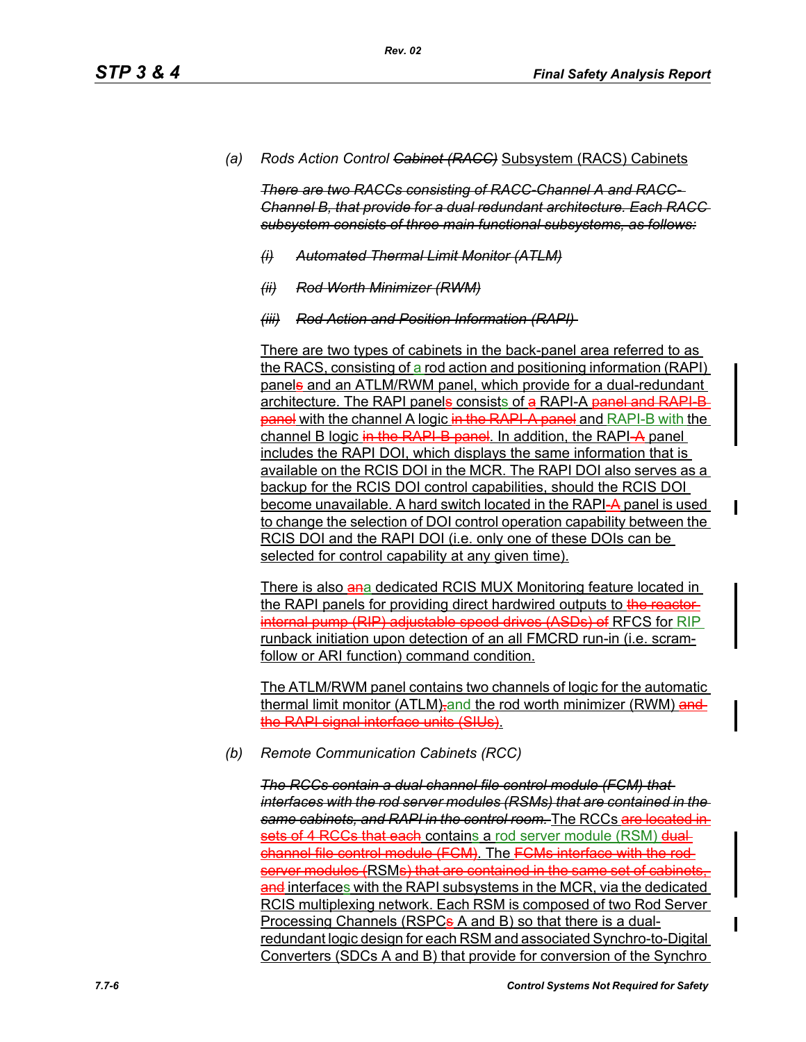*(a) Rods Action Control Cabinet (RACC)* Subsystem (RACS) Cabinets

*There are two RACCs consisting of RACC-Channel A and RACC-Channel B, that provide for a dual redundant architecture. Each RACC subsystem consists of three main functional subsystems, as follows:*

- *(i) Automated Thermal Limit Monitor (ATLM)*
- *(ii) Rod Worth Minimizer (RWM)*
- *(iii) Rod Action and Position Information (RAPI)*

There are two types of cabinets in the back-panel area referred to as the RACS, consisting of a rod action and positioning information (RAPI) panels and an ATLM/RWM panel, which provide for a dual-redundant architecture. The RAPI panels consists of a RAPI-A panel and RAPI-B**panel** with the channel A logic in the RAPI-A panel and RAPI-B with the channel B logic in the RAPI-B panel. In addition, the RAPI-A panel includes the RAPI DOI, which displays the same information that is available on the RCIS DOI in the MCR. The RAPI DOI also serves as a backup for the RCIS DOI control capabilities, should the RCIS DOI become unavailable. A hard switch located in the RAPI-A panel is used to change the selection of DOI control operation capability between the RCIS DOI and the RAPI DOI (i.e. only one of these DOIs can be selected for control capability at any given time).

There is also ana dedicated RCIS MUX Monitoring feature located in the RAPI panels for providing direct hardwired outputs to the reactorinternal pump (RIP) adjustable speed drives (ASDs) of RFCS for RIP runback initiation upon detection of an all FMCRD run-in (i.e. scramfollow or ARI function) command condition.

The ATLM/RWM panel contains two channels of logic for the automatic thermal limit monitor (ATLM)-and the rod worth minimizer (RWM) and the RAPI signal interface units (SIUs).

*(b) Remote Communication Cabinets (RCC)*

*The RCCs contain a dual channel file control module (FCM) that interfaces with the rod server modules (RSMs) that are contained in the same cabinets, and RAPI in the control room.* The RCCs are located in sets of 4 RCCs that each contains a rod server module (RSM) dualchannel file control module (FCM). The FCMs interface with the rod server modules (RSMs) that are contained in the same set of cabinets. and interfaces with the RAPI subsystems in the MCR, via the dedicated RCIS multiplexing network. Each RSM is composed of two Rod Server Processing Channels (RSPC<sub>s</sub> A and B) so that there is a dualredundant logic design for each RSM and associated Synchro-to-Digital Converters (SDCs A and B) that provide for conversion of the Synchro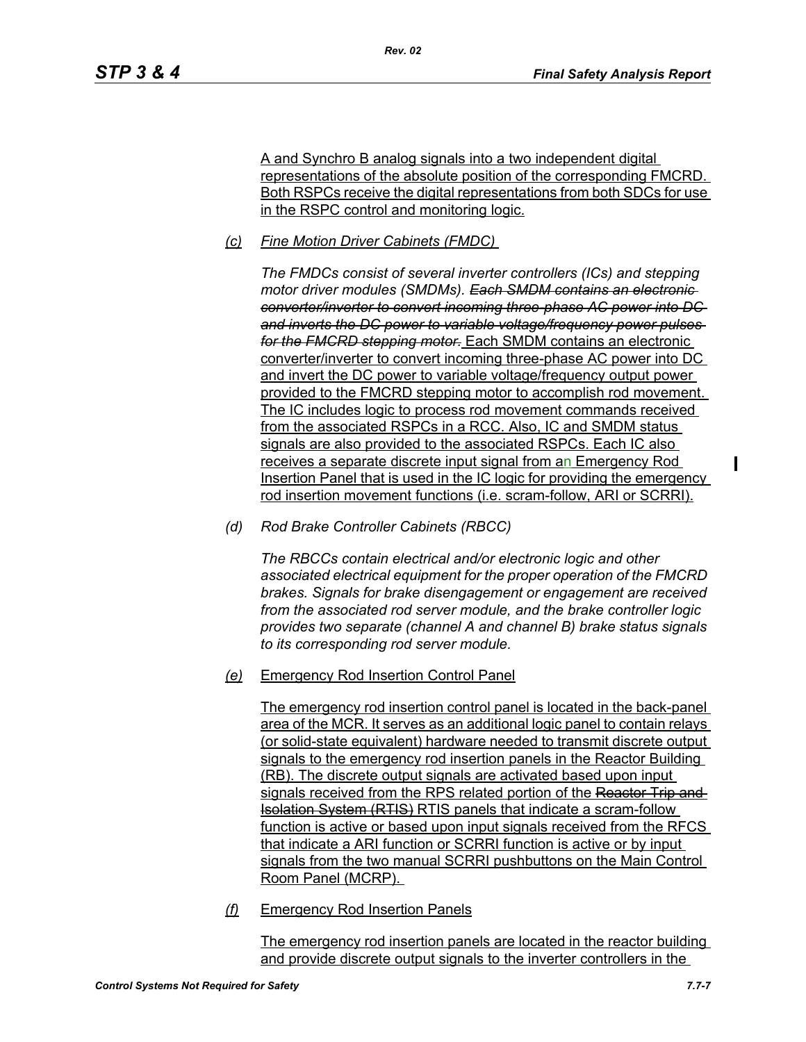A and Synchro B analog signals into a two independent digital representations of the absolute position of the corresponding FMCRD. Both RSPCs receive the digital representations from both SDCs for use in the RSPC control and monitoring logic.

*(c) Fine Motion Driver Cabinets (FMDC)* 

*Rev. 02*

*The FMDCs consist of several inverter controllers (ICs) and stepping motor driver modules (SMDMs). Each SMDM contains an electronic converter/inverter to convert incoming three-phase AC power into DC and inverts the DC power to variable voltage/frequency power pulses for the FMCRD stepping motor.* Each SMDM contains an electronic converter/inverter to convert incoming three-phase AC power into DC and invert the DC power to variable voltage/frequency output power provided to the FMCRD stepping motor to accomplish rod movement. The IC includes logic to process rod movement commands received from the associated RSPCs in a RCC. Also, IC and SMDM status signals are also provided to the associated RSPCs. Each IC also receives a separate discrete input signal from an Emergency Rod Insertion Panel that is used in the IC logic for providing the emergency rod insertion movement functions (i.e. scram-follow, ARI or SCRRI).

*(d) Rod Brake Controller Cabinets (RBCC)*

*The RBCCs contain electrical and/or electronic logic and other associated electrical equipment for the proper operation of the FMCRD brakes. Signals for brake disengagement or engagement are received from the associated rod server module, and the brake controller logic provides two separate (channel A and channel B) brake status signals to its corresponding rod server module.*

*(e)* Emergency Rod Insertion Control Panel

The emergency rod insertion control panel is located in the back-panel area of the MCR. It serves as an additional logic panel to contain relays (or solid-state equivalent) hardware needed to transmit discrete output signals to the emergency rod insertion panels in the Reactor Building (RB). The discrete output signals are activated based upon input signals received from the RPS related portion of the Reactor Trip and Isolation System (RTIS) RTIS panels that indicate a scram-follow function is active or based upon input signals received from the RFCS that indicate a ARI function or SCRRI function is active or by input signals from the two manual SCRRI pushbuttons on the Main Control Room Panel (MCRP).

*(f)* Emergency Rod Insertion Panels

The emergency rod insertion panels are located in the reactor building and provide discrete output signals to the inverter controllers in the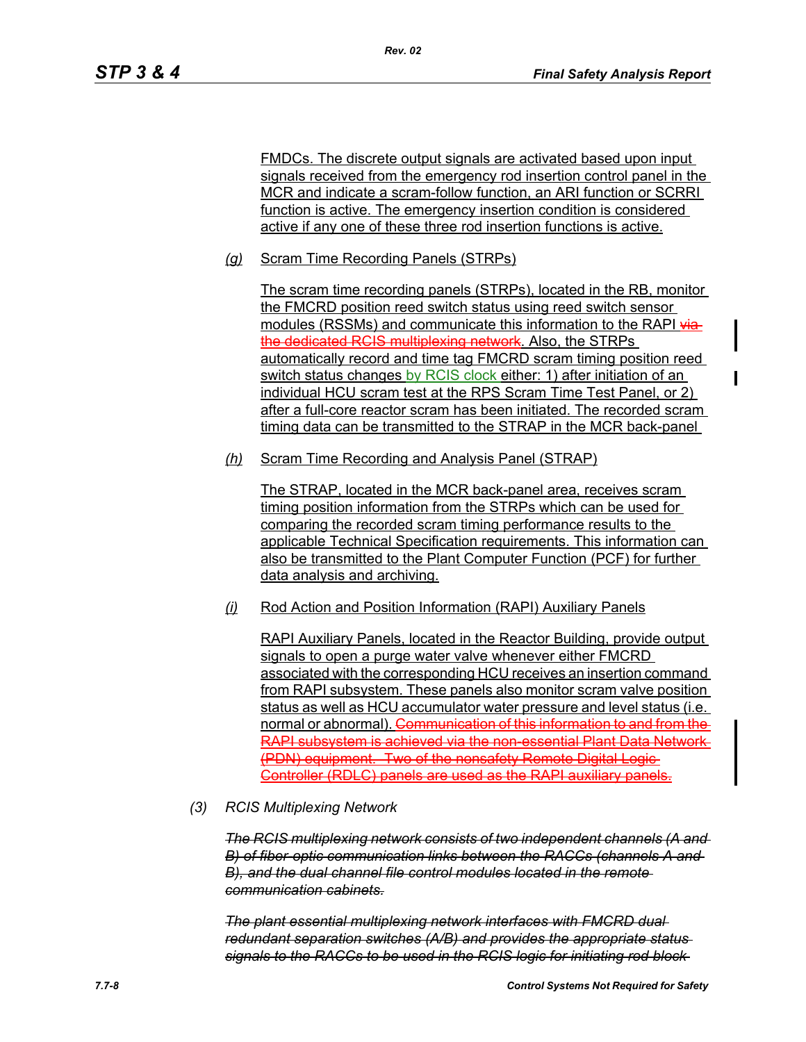FMDCs. The discrete output signals are activated based upon input signals received from the emergency rod insertion control panel in the MCR and indicate a scram-follow function, an ARI function or SCRRI function is active. The emergency insertion condition is considered active if any one of these three rod insertion functions is active.

*(g)* Scram Time Recording Panels (STRPs)

*Rev. 02*

The scram time recording panels (STRPs), located in the RB, monitor the FMCRD position reed switch status using reed switch sensor modules (RSSMs) and communicate this information to the RAPI viathe dedicated RCIS multiplexing network. Also, the STRPs automatically record and time tag FMCRD scram timing position reed switch status changes by RCIS clock either: 1) after initiation of an individual HCU scram test at the RPS Scram Time Test Panel, or 2) after a full-core reactor scram has been initiated. The recorded scram timing data can be transmitted to the STRAP in the MCR back-panel

*(h)* Scram Time Recording and Analysis Panel (STRAP)

The STRAP, located in the MCR back-panel area, receives scram timing position information from the STRPs which can be used for comparing the recorded scram timing performance results to the applicable Technical Specification requirements. This information can also be transmitted to the Plant Computer Function (PCF) for further data analysis and archiving.

*(i)* Rod Action and Position Information (RAPI) Auxiliary Panels

RAPI Auxiliary Panels, located in the Reactor Building, provide output signals to open a purge water valve whenever either FMCRD associated with the corresponding HCU receives an insertion command from RAPI subsystem. These panels also monitor scram valve position status as well as HCU accumulator water pressure and level status (i.e. normal or abnormal). Communication of this information to and from the RAPI subsystem is achieved via the non-essential Plant Data Network (PDN) equipment. Two of the nonsafety Remote Digital Logic Controller (RDLC) panels are used as the RAPI auxiliary panels.

*(3) RCIS Multiplexing Network*

*The RCIS multiplexing network consists of two independent channels (A and B) of fiber-optic communication links between the RACCs (channels A and B), and the dual channel file control modules located in the remote communication cabinets.*

*The plant essential multiplexing network interfaces with FMCRD dual redundant separation switches (A/B) and provides the appropriate status signals to the RACCs to be used in the RCIS logic for initiating rod block*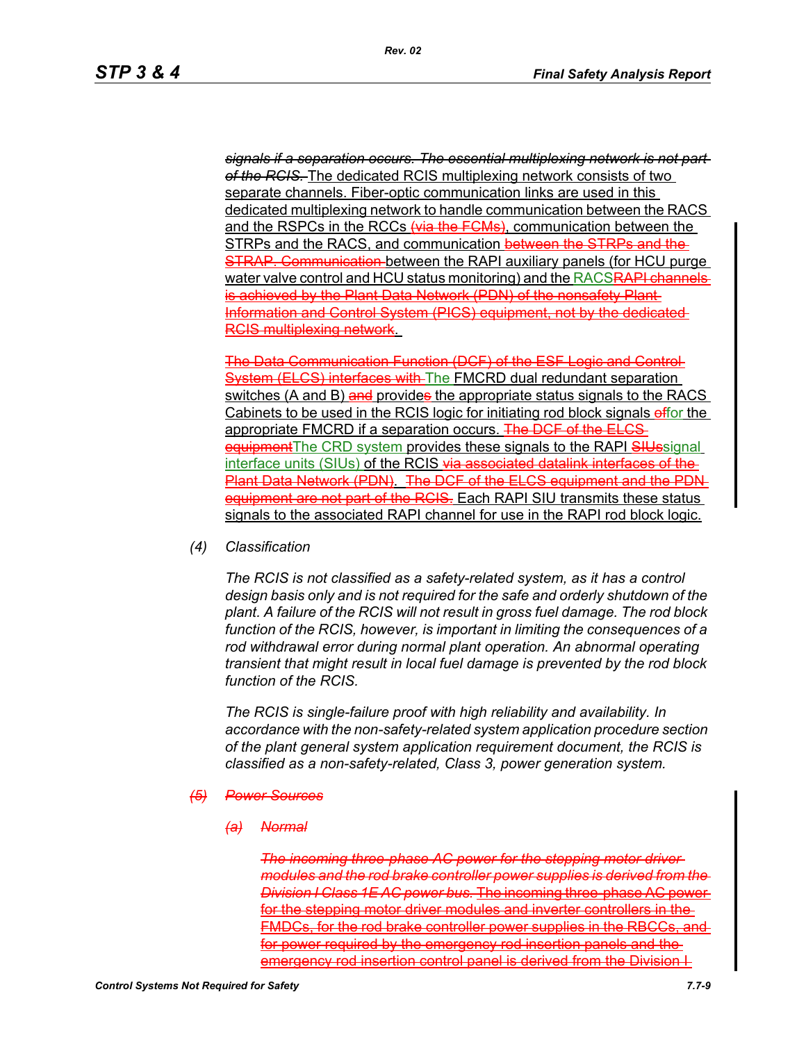*signals if a separation occurs. The essential multiplexing network is not part of the RCIS.* The dedicated RCIS multiplexing network consists of two separate channels. Fiber-optic communication links are used in this dedicated multiplexing network to handle communication between the RACS and the RSPCs in the RCCs (via the FCMs), communication between the STRPs and the RACS, and communication between the STRPs and the **STRAP. Communication-between the RAPI auxiliary panels (for HCU purge)** water valve control and HCU status monitoring) and the RACS<del>RAPI channels</del> is achieved by the Plant Data Network (PDN) of the nonsafety Plant Information and Control System (PICS) equipment, not by the dedicated RCIS multiplexing network.

The Data Communication Function (DCF) of the ESF Logic and Control System (ELCS) interfaces with The FMCRD dual redundant separation switches (A and B) and provides the appropriate status signals to the RACS Cabinets to be used in the RCIS logic for initiating rod block signals effor the appropriate FMCRD if a separation occurs. The DCF of the ELCSequipment The CRD system provides these signals to the RAPI SIUssignal interface units (SIUs) of the RCIS via associated datalink interfaces of the Plant Data Network (PDN). The DCF of the ELCS equipment and the PDN equipment are not part of the RCIS. Each RAPI SIU transmits these status signals to the associated RAPI channel for use in the RAPI rod block logic.

*(4) Classification*

*The RCIS is not classified as a safety-related system, as it has a control design basis only and is not required for the safe and orderly shutdown of the plant. A failure of the RCIS will not result in gross fuel damage. The rod block function of the RCIS, however, is important in limiting the consequences of a rod withdrawal error during normal plant operation. An abnormal operating transient that might result in local fuel damage is prevented by the rod block function of the RCIS.*

*The RCIS is single-failure proof with high reliability and availability. In accordance with the non-safety-related system application procedure section of the plant general system application requirement document, the RCIS is classified as a non-safety-related, Class 3, power generation system.*

#### *(5) Power Sources*

*(a) Normal*

*The incoming three-phase AC power for the stepping motor driver modules and the rod brake controller power supplies is derived from the Division I Class 1E AC power bus.* The incoming three-phase AC power for the stepping motor driver modules and inverter controllers in the-FMDCs, for the rod brake controller power supplies in the RBCCs, and for power required by the emergency rod insertion panels and the emergency rod insertion control panel is derived from the Division I-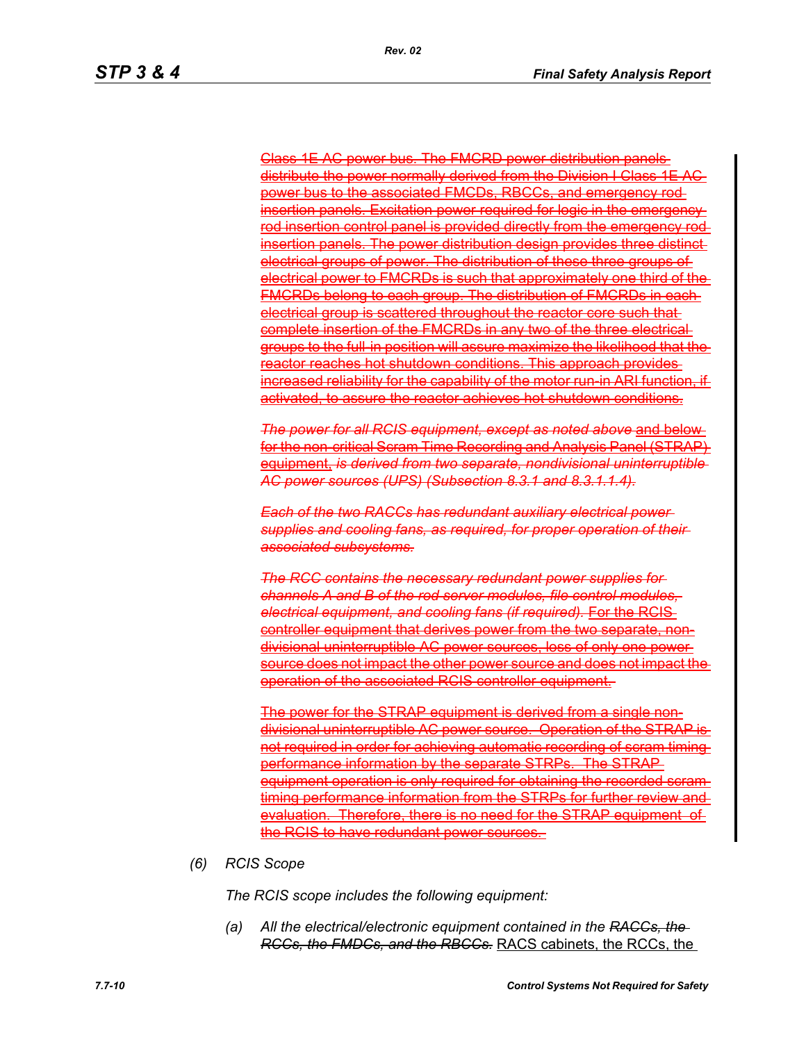Class 1E AC power bus. The FMCRD power distribution panels distribute the power normally derived from the Division I Class 1E power bus to the associated FMCDs, RBCCs, and emergency rod nsertion panels. Excitation power required for logic in the emergenc rod insertion control panel is provided directly from the emergency nsertion panels. The power distribution design provides three distinct electrical groups of power. The distribution of these three groups of electrical power to FMCRDs is such that approximately one third of the FMCRDs belong to each group. The distribution of FMCRDs in each electrical group is scattered throughout the reactor core such that complete insertion of the FMCRDs in any two of the three electrical groups to the full-in position will assure maximize the likelihood that the reactor reaches hot shutdown conditions. This approach provides increased reliability for the capability of the motor run-in ARI function, ifactivated, to assure the reactor achieves hot shutdown conditions.

*The power for all RCIS equipment, except as noted above* and below for the non-critical Scram Time Recording and Analysis Panel (STRAP) equipment, *is derived from two separate, nondivisional uninterruptible AC power sources (UPS) (Subsection 8.3.1 and 8.3.1.1.4).*

*Each of the two RACCs has redundant auxiliary electrical power supplies and cooling fans, as required, for proper operation of their associated subsystems.*

*The RCC contains the necessary redundant power supplies for channels A and B of the rod server modules, file control modules, electrical equipment, and cooling fans (if required).* **For the RCIS** controller equipment that derives power from the two separate, nondivisional uninterruptible AC power sources, loss of only one power source does not impact the other power source and does not impact the operation of the associated RCIS controller equipment.

The power for the STRAP equipment is derived from a single nondivisional uninterruptible AC power source. Operation of the STRAP is not required in order for achieving automatic recording of scram timing prmance information by the separate STRPs. The STRAP equipment operation is only required for obtaining the recorded scramtiming performance information from the STRPs for further review and evaluation. Therefore, there is no need for the STRAP equipment of the RCIS to have redundant power sources.

*(6) RCIS Scope*

*The RCIS scope includes the following equipment:*

*(a) All the electrical/electronic equipment contained in the RACCs, the RCCs, the FMDCs, and the RBCCs.* RACS cabinets, the RCCs, the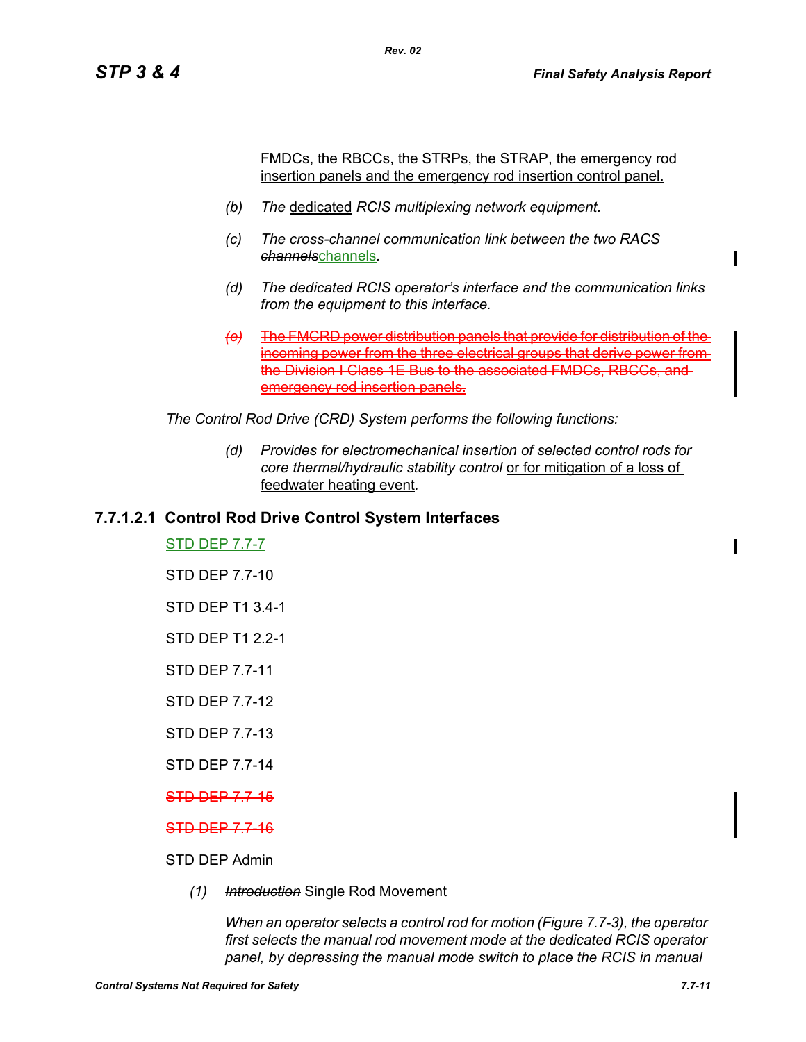FMDCs, the RBCCs, the STRPs, the STRAP, the emergency rod insertion panels and the emergency rod insertion control panel.

*(b) The* dedicated *RCIS multiplexing network equipment.*

*Rev. 02*

- *(c) The cross-channel communication link between the two RACS channels*channels*.*
- *(d) The dedicated RCIS operator's interface and the communication links from the equipment to this interface.*
- *(e)* The FMCRD power distribution panels that provide for distribution of the incoming power from the three electrical groups that derive power from the Division I Class 1E Bus to the associated FMDCs, RBCCs, and emergency rod insertion panels.

*The Control Rod Drive (CRD) System performs the following functions:*

*(d) Provides for electromechanical insertion of selected control rods for core thermal/hydraulic stability control* or for mitigation of a loss of feedwater heating event*.*

## **7.7.1.2.1 Control Rod Drive Control System Interfaces**

STD DEP 7.7-7

STD DEP 7.7-10

STD DEP T1 3.4-1

- STD DEP T1 2.2-1
- STD DEP 7.7-11

STD DEP 7.7-12

STD DEP 7.7-13

STD DEP 7.7-14

STD DEP 7.7-15

STD DEP 7.7-16

## STD DEP Admin

*(1) Introduction* Single Rod Movement

*When an operator selects a control rod for motion (Figure 7.7-3), the operator first selects the manual rod movement mode at the dedicated RCIS operator panel, by depressing the manual mode switch to place the RCIS in manual*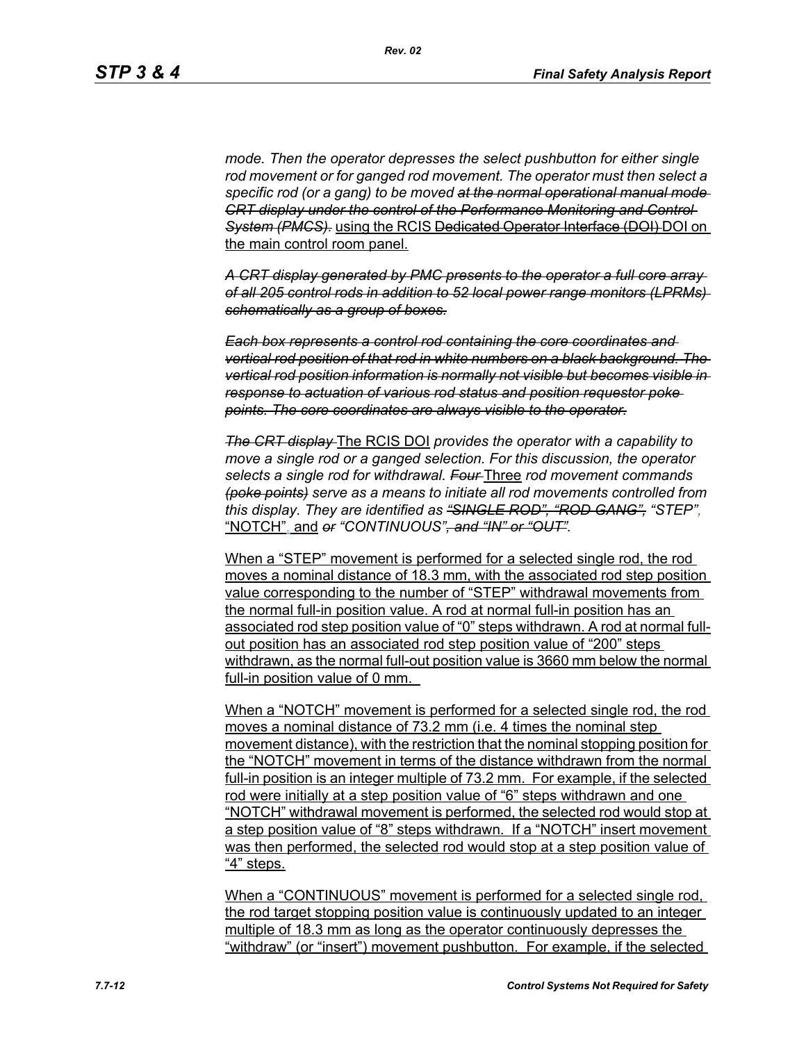*mode. Then the operator depresses the select pushbutton for either single rod movement or for ganged rod movement. The operator must then select a specific rod (or a gang) to be moved at the normal operational manual mode CRT display under the control of the Performance Monitoring and Control*  **System (PMCS).** using the RCIS Dedicated Operator Interface (DOI) DOI on the main control room panel.

*A CRT display generated by PMC presents to the operator a full core array of all 205 control rods in addition to 52 local power range monitors (LPRMs) schematically as a group of boxes.*

*Each box represents a control rod containing the core coordinates and vertical rod position of that rod in white numbers on a black background. The vertical rod position information is normally not visible but becomes visible in response to actuation of various rod status and position requestor poke points. The core coordinates are always visible to the operator.*

*The CRT display* The RCIS DOI *provides the operator with a capability to move a single rod or a ganged selection. For this discussion, the operator selects a single rod for withdrawal. Four* Three *rod movement commands (poke points) serve as a means to initiate all rod movements controlled from this display. They are identified as "SINGLE ROD", "ROD GANG", "STEP",* "NOTCH", and *or "CONTINUOUS", and "IN" or "OUT".*

When a "STEP" movement is performed for a selected single rod, the rod moves a nominal distance of 18.3 mm, with the associated rod step position value corresponding to the number of "STEP" withdrawal movements from the normal full-in position value. A rod at normal full-in position has an associated rod step position value of "0" steps withdrawn. A rod at normal fullout position has an associated rod step position value of "200" steps withdrawn, as the normal full-out position value is 3660 mm below the normal full-in position value of 0 mm.

When a "NOTCH" movement is performed for a selected single rod, the rod moves a nominal distance of 73.2 mm (i.e. 4 times the nominal step movement distance), with the restriction that the nominal stopping position for the "NOTCH" movement in terms of the distance withdrawn from the normal full-in position is an integer multiple of 73.2 mm. For example, if the selected rod were initially at a step position value of "6" steps withdrawn and one "NOTCH" withdrawal movement is performed, the selected rod would stop at a step position value of "8" steps withdrawn. If a "NOTCH" insert movement was then performed, the selected rod would stop at a step position value of "4" steps.

When a "CONTINUOUS" movement is performed for a selected single rod, the rod target stopping position value is continuously updated to an integer multiple of 18.3 mm as long as the operator continuously depresses the "withdraw" (or "insert") movement pushbutton. For example, if the selected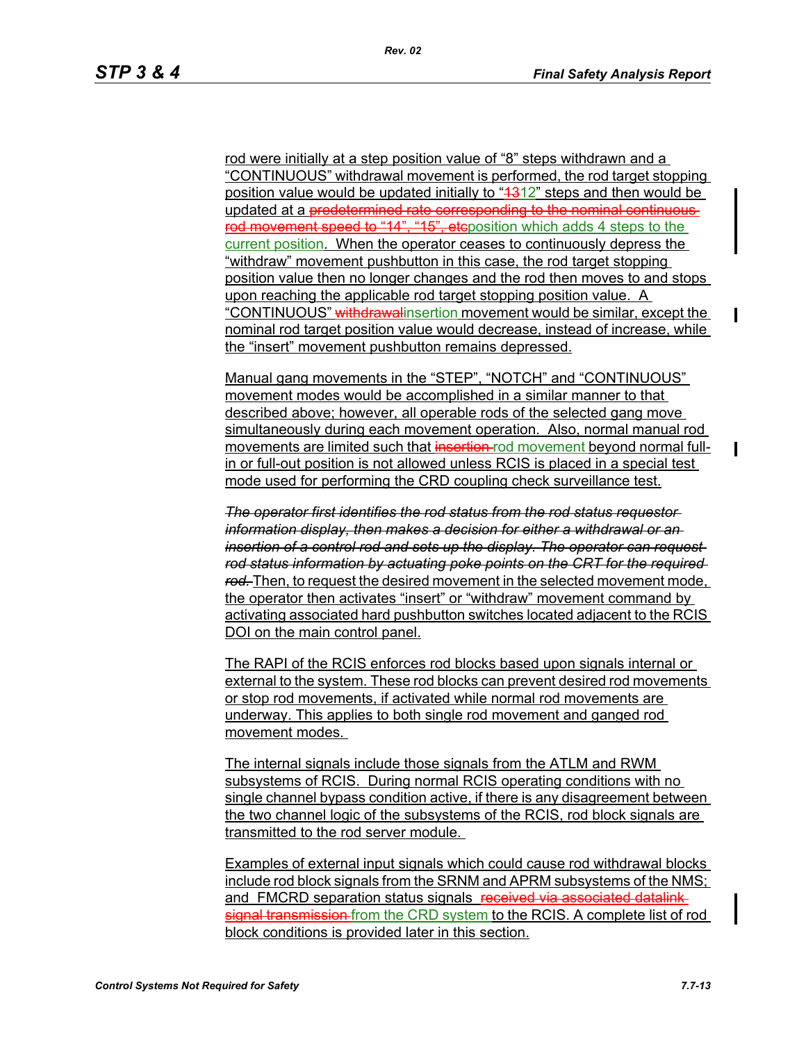rod were initially at a step position value of "8" steps withdrawn and a "CONTINUOUS" withdrawal movement is performed, the rod target stopping position value would be updated initially to "4312" steps and then would be updated at a predetermined rate corresponding to the nominal continuousrod movement speed to "14", "15", etcposition which adds 4 steps to the current position. When the operator ceases to continuously depress the "withdraw" movement pushbutton in this case, the rod target stopping position value then no longer changes and the rod then moves to and stops upon reaching the applicable rod target stopping position value. A "CONTINUOUS" withdrawalinsertion movement would be similar, except the nominal rod target position value would decrease, instead of increase, while the "insert" movement pushbutton remains depressed.

Manual gang movements in the "STEP", "NOTCH" and "CONTINUOUS" movement modes would be accomplished in a similar manner to that described above; however, all operable rods of the selected gang move simultaneously during each movement operation. Also, normal manual rod movements are limited such that insertion rod movement beyond normal fullin or full-out position is not allowed unless RCIS is placed in a special test mode used for performing the CRD coupling check surveillance test.

*The operator first identifies the rod status from the rod status requestor information display, then makes a decision for either a withdrawal or an insertion of a control rod and sets up the display. The operator can request rod status information by actuating poke points on the CRT for the required rod.* Then, to request the desired movement in the selected movement mode, the operator then activates "insert" or "withdraw" movement command by activating associated hard pushbutton switches located adjacent to the RCIS DOI on the main control panel.

The RAPI of the RCIS enforces rod blocks based upon signals internal or external to the system. These rod blocks can prevent desired rod movements or stop rod movements, if activated while normal rod movements are underway. This applies to both single rod movement and ganged rod movement modes.

The internal signals include those signals from the ATLM and RWM subsystems of RCIS. During normal RCIS operating conditions with no single channel bypass condition active, if there is any disagreement between the two channel logic of the subsystems of the RCIS, rod block signals are transmitted to the rod server module.

Examples of external input signals which could cause rod withdrawal blocks include rod block signals from the SRNM and APRM subsystems of the NMS; and FMCRD separation status signals received via associated datalink signal transmission-from the CRD system to the RCIS. A complete list of rod block conditions is provided later in this section.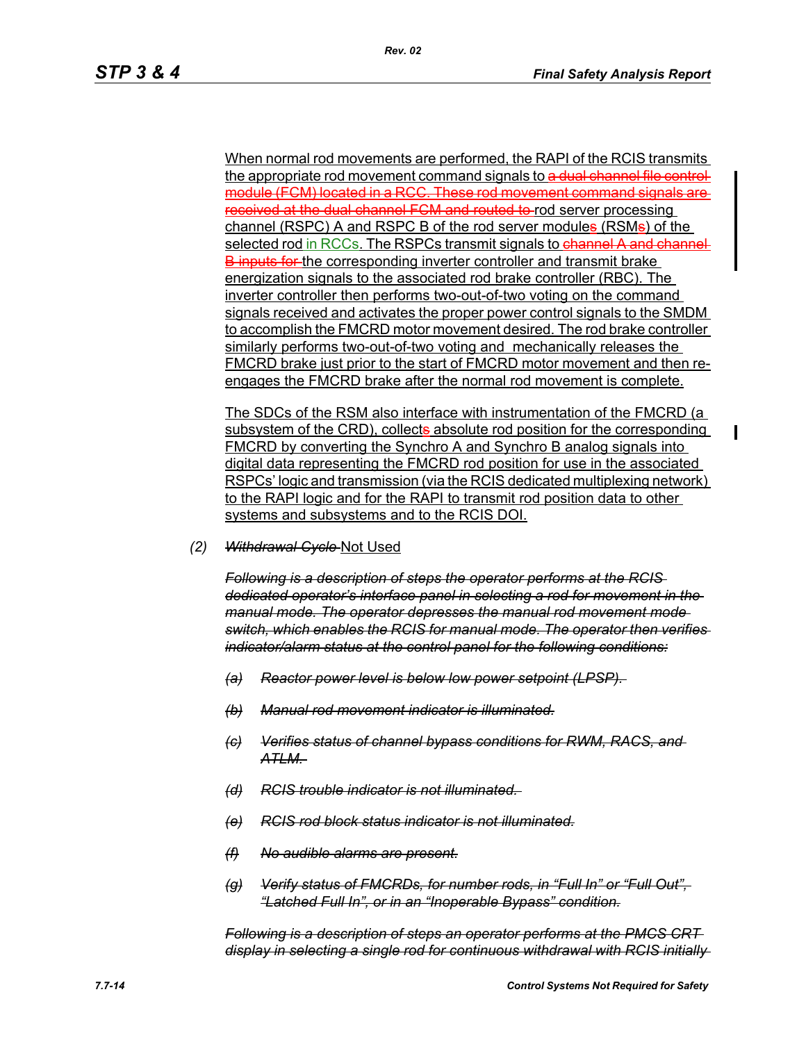When normal rod movements are performed, the RAPI of the RCIS transmits the appropriate rod movement command signals to a dual channel file controlmodule (FCM) located in a RCC. These rod movement command signals are received at the dual channel FCM and routed to rod server processing channel (RSPC) A and RSPC B of the rod server modules (RSMs) of the selected rod in RCCs. The RSPCs transmit signals to channel A and channel **B** inputs for the corresponding inverter controller and transmit brake energization signals to the associated rod brake controller (RBC). The inverter controller then performs two-out-of-two voting on the command signals received and activates the proper power control signals to the SMDM to accomplish the FMCRD motor movement desired. The rod brake controller similarly performs two-out-of-two voting and mechanically releases the FMCRD brake just prior to the start of FMCRD motor movement and then reengages the FMCRD brake after the normal rod movement is complete.

The SDCs of the RSM also interface with instrumentation of the FMCRD (a subsystem of the CRD), collects absolute rod position for the corresponding FMCRD by converting the Synchro A and Synchro B analog signals into digital data representing the FMCRD rod position for use in the associated RSPCs' logic and transmission (via the RCIS dedicated multiplexing network) to the RAPI logic and for the RAPI to transmit rod position data to other systems and subsystems and to the RCIS DOI.

*(2) Withdrawal Cycle* Not Used

*Following is a description of steps the operator performs at the RCIS dedicated operator's interface panel in selecting a rod for movement in the manual mode. The operator depresses the manual rod movement mode switch, which enables the RCIS for manual mode. The operator then verifies indicator/alarm status at the control panel for the following conditions:*

- *(a) Reactor power level is below low power setpoint (LPSP).*
- *(b) Manual rod movement indicator is illuminated.*
- *(c) Verifies status of channel bypass conditions for RWM, RACS, and ATLM.*
- *(d) RCIS trouble indicator is not illuminated.*
- *(e) RCIS rod block status indicator is not illuminated.*
- *(f) No audible alarms are present.*
- *(g) Verify status of FMCRDs, for number rods, in "Full In" or "Full Out", "Latched Full In", or in an "Inoperable Bypass" condition.*

*Following is a description of steps an operator performs at the PMCS CRT display in selecting a single rod for continuous withdrawal with RCIS initially*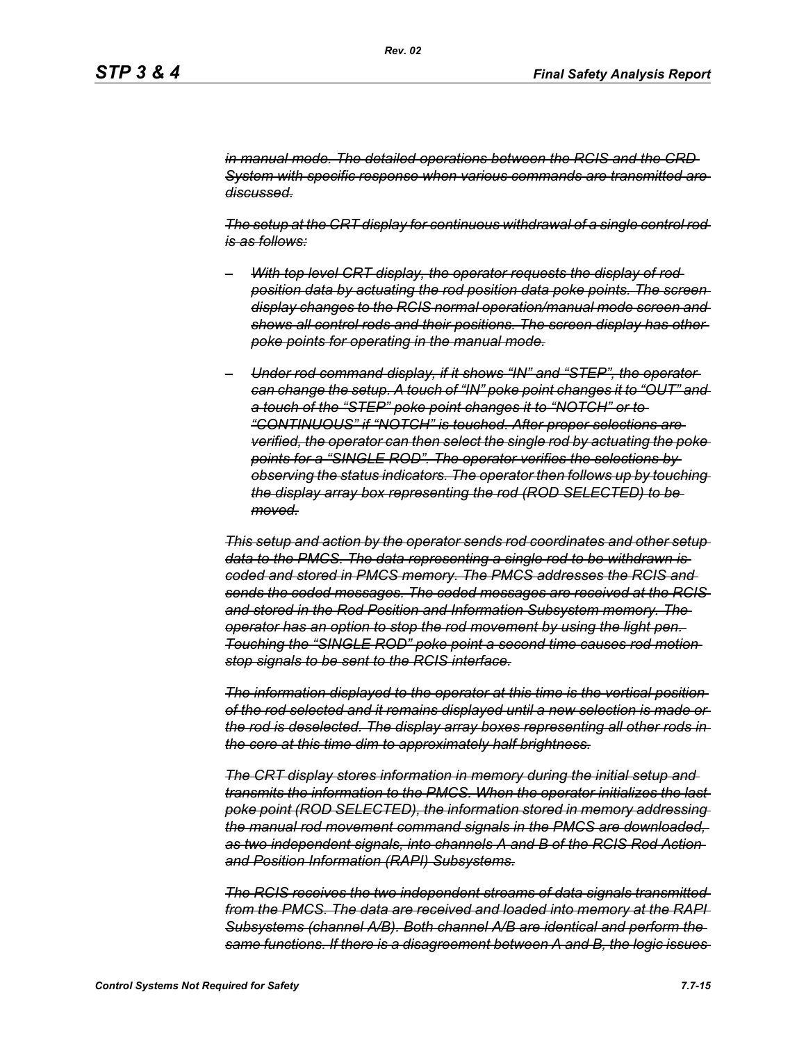*in manual mode. The detailed operations between the RCIS and the CRD System with specific response when various commands are transmitted are discussed.*

*The setup at the CRT display for continuous withdrawal of a single control rod is as follows:*

- *– With top level CRT display, the operator requests the display of rod position data by actuating the rod position data poke points. The screen display changes to the RCIS normal operation/manual mode screen and shows all control rods and their positions. The screen display has other poke points for operating in the manual mode.*
- *– Under rod command display, if it shows "IN" and "STEP", the operator can change the setup. A touch of "IN" poke point changes it to "OUT" and a touch of the "STEP" poke point changes it to "NOTCH" or to "CONTINUOUS" if "NOTCH" is touched. After proper selections are verified, the operator can then select the single rod by actuating the poke points for a "SINGLE ROD". The operator verifies the selections by observing the status indicators. The operator then follows up by touching the display array box representing the rod (ROD SELECTED) to be moved.*

*This setup and action by the operator sends rod coordinates and other setup data to the PMCS. The data representing a single rod to be withdrawn is coded and stored in PMCS memory. The PMCS addresses the RCIS and sends the coded messages. The coded messages are received at the RCIS and stored in the Rod Position and Information Subsystem memory. The operator has an option to stop the rod movement by using the light pen. Touching the "SINGLE ROD" poke point a second time causes rod motion stop signals to be sent to the RCIS interface.*

*The information displayed to the operator at this time is the vertical position of the rod selected and it remains displayed until a new selection is made or the rod is deselected. The display array boxes representing all other rods in the core at this time dim to approximately half brightness.*

*The CRT display stores information in memory during the initial setup and transmits the information to the PMCS. When the operator initializes the last poke point (ROD SELECTED), the information stored in memory addressing the manual rod movement command signals in the PMCS are downloaded, as two independent signals, into channels A and B of the RCIS Rod Action and Position Information (RAPI) Subsystems.*

*The RCIS receives the two independent streams of data signals transmitted from the PMCS. The data are received and loaded into memory at the RAPI Subsystems (channel A/B). Both channel A/B are identical and perform the same functions. If there is a disagreement between A and B, the logic issues*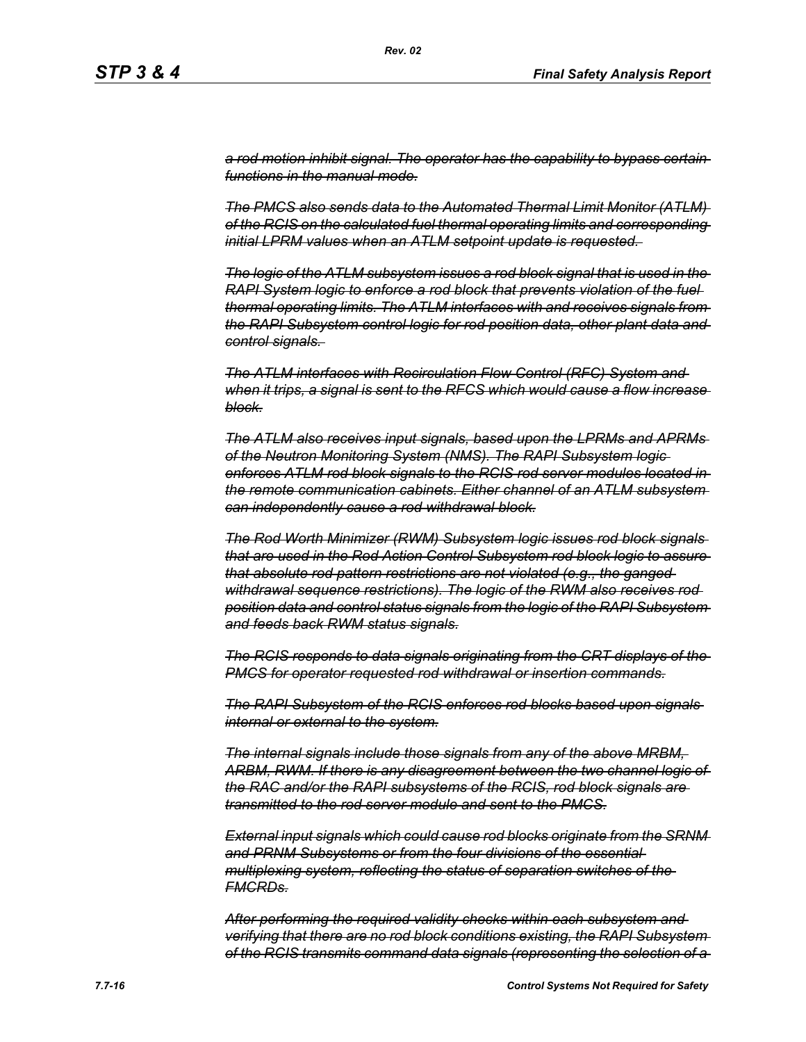*a rod motion inhibit signal. The operator has the capability to bypass certain functions in the manual mode.*

*Rev. 02*

*The PMCS also sends data to the Automated Thermal Limit Monitor (ATLM) of the RCIS on the calculated fuel thermal operating limits and corresponding initial LPRM values when an ATLM setpoint update is requested.* 

*The logic of the ATLM subsystem issues a rod block signal that is used in the RAPI System logic to enforce a rod block that prevents violation of the fuel thermal operating limits. The ATLM interfaces with and receives signals from the RAPI Subsystem control logic for rod position data, other plant data and control signals.* 

*The ATLM interfaces with Recirculation Flow Control (RFC) System and when it trips, a signal is sent to the RFCS which would cause a flow increase block.*

*The ATLM also receives input signals, based upon the LPRMs and APRMs of the Neutron Monitoring System (NMS). The RAPI Subsystem logic enforces ATLM rod block signals to the RCIS rod server modules located in the remote communication cabinets. Either channel of an ATLM subsystem can independently cause a rod withdrawal block.*

*The Rod Worth Minimizer (RWM) Subsystem logic issues rod block signals that are used in the Rod Action Control Subsystem rod block logic to assure that absolute rod pattern restrictions are not violated (e.g., the ganged withdrawal sequence restrictions). The logic of the RWM also receives rod position data and control status signals from the logic of the RAPI Subsystem and feeds back RWM status signals.*

*The RCIS responds to data signals originating from the CRT displays of the PMCS for operator requested rod withdrawal or insertion commands.*

*The RAPI Subsystem of the RCIS enforces rod blocks based upon signals internal or external to the system.*

*The internal signals include those signals from any of the above MRBM, ARBM, RWM. If there is any disagreement between the two channel logic of the RAC and/or the RAPI subsystems of the RCIS, rod block signals are transmitted to the rod server module and sent to the PMCS.*

*External input signals which could cause rod blocks originate from the SRNM and PRNM Subsystems or from the four divisions of the essential multiplexing system, reflecting the status of separation switches of the FMCRDs.*

*After performing the required validity checks within each subsystem and verifying that there are no rod block conditions existing, the RAPI Subsystem of the RCIS transmits command data signals (representing the selection of a*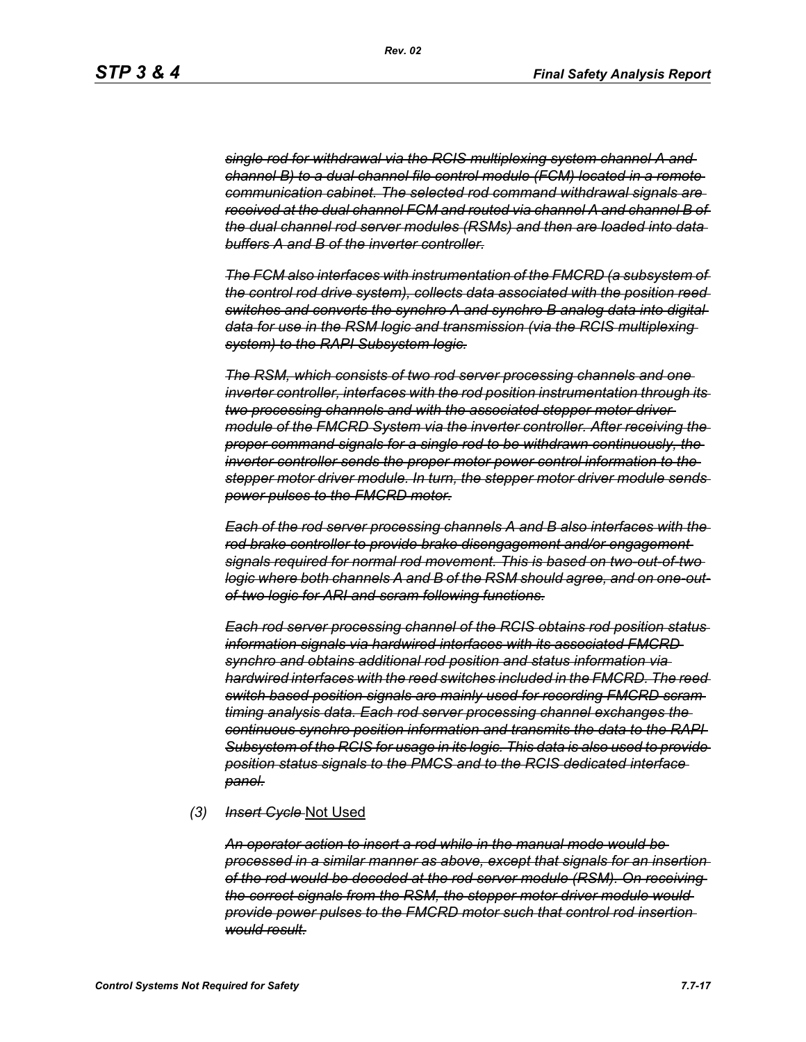*single rod for withdrawal via the RCIS multiplexing system channel A and channel B) to a dual channel file control module (FCM) located in a remote communication cabinet. The selected rod command withdrawal signals are received at the dual channel FCM and routed via channel A and channel B of the dual channel rod server modules (RSMs) and then are loaded into data buffers A and B of the inverter controller.*

*The FCM also interfaces with instrumentation of the FMCRD (a subsystem of the control rod drive system), collects data associated with the position reed switches and converts the synchro A and synchro B analog data into digital data for use in the RSM logic and transmission (via the RCIS multiplexing system) to the RAPI Subsystem logic.*

*The RSM, which consists of two rod server processing channels and one inverter controller, interfaces with the rod position instrumentation through its two processing channels and with the associated stepper motor driver module of the FMCRD System via the inverter controller. After receiving the proper command signals for a single rod to be withdrawn continuously, the inverter controller sends the proper motor power control information to the stepper motor driver module. In turn, the stepper motor driver module sends power pulses to the FMCRD motor.*

*Each of the rod server processing channels A and B also interfaces with the rod brake controller to provide brake disengagement and/or engagement signals required for normal rod movement. This is based on two-out-of-two logic where both channels A and B of the RSM should agree, and on one-outof-two logic for ARI and scram following functions.*

*Each rod server processing channel of the RCIS obtains rod position status information signals via hardwired interfaces with its associated FMCRD synchro and obtains additional rod position and status information via hardwired interfaces with the reed switches included in the FMCRD. The reed switch based position signals are mainly used for recording FMCRD scram timing analysis data. Each rod server processing channel exchanges the continuous synchro position information and transmits the data to the RAPI Subsystem of the RCIS for usage in its logic. This data is also used to provide position status signals to the PMCS and to the RCIS dedicated interface panel.*

#### *(3) Insert Cycle* Not Used

*An operator action to insert a rod while in the manual mode would be processed in a similar manner as above, except that signals for an insertion of the rod would be decoded at the rod server module (RSM). On receiving the correct signals from the RSM, the stepper motor driver module would provide power pulses to the FMCRD motor such that control rod insertion would result.*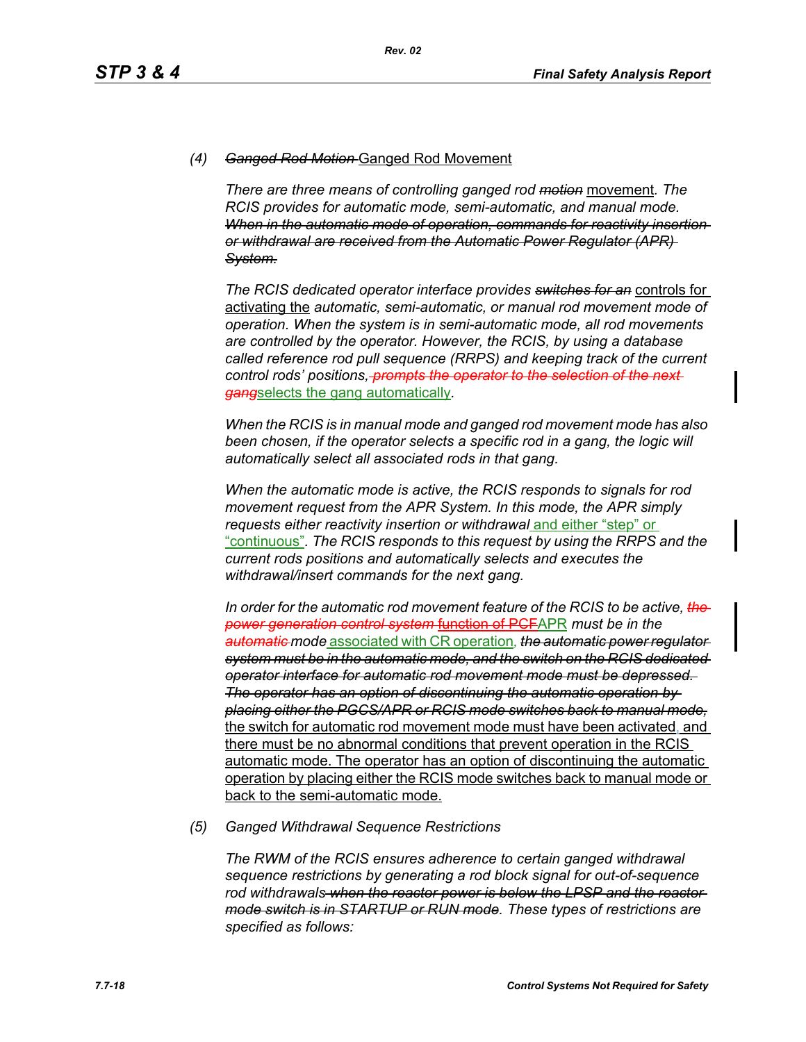## *(4) Ganged Rod Motion* Ganged Rod Movement

*There are three means of controlling ganged rod motion* movement*. The RCIS provides for automatic mode, semi-automatic, and manual mode. When in the automatic mode of operation, commands for reactivity insertion or withdrawal are received from the Automatic Power Regulator (APR) System.*

*The RCIS dedicated operator interface provides switches for an* controls for activating the *automatic, semi-automatic, or manual rod movement mode of operation. When the system is in semi-automatic mode, all rod movements are controlled by the operator. However, the RCIS, by using a database called reference rod pull sequence (RRPS) and keeping track of the current control rods' positions, prompts the operator to the selection of the next gang*selects the gang automatically*.*

*When the RCIS is in manual mode and ganged rod movement mode has also*  been chosen, if the operator selects a specific rod in a gang, the logic will *automatically select all associated rods in that gang.*

*When the automatic mode is active, the RCIS responds to signals for rod movement request from the APR System. In this mode, the APR simply requests either reactivity insertion or withdrawal* and either "step" or "continuous"*. The RCIS responds to this request by using the RRPS and the current rods positions and automatically selects and executes the withdrawal/insert commands for the next gang.*

*In order for the automatic rod movement feature of the RCIS to be active, the power generation control system* function of PCFAPR *must be in the automatic mode* associated with CR operation*, the automatic power regulator system must be in the automatic mode, and the switch on the RCIS dedicated operator interface for automatic rod movement mode must be depressed. The operator has an option of discontinuing the automatic operation by placing either the PGCS/APR or RCIS mode switches back to manual mode,* the switch for automatic rod movement mode must have been activated, and there must be no abnormal conditions that prevent operation in the RCIS automatic mode. The operator has an option of discontinuing the automatic operation by placing either the RCIS mode switches back to manual mode or back to the semi-automatic mode.

#### *(5) Ganged Withdrawal Sequence Restrictions*

*The RWM of the RCIS ensures adherence to certain ganged withdrawal sequence restrictions by generating a rod block signal for out-of-sequence rod withdrawals when the reactor power is below the LPSP and the reactor mode switch is in STARTUP or RUN mode. These types of restrictions are specified as follows:*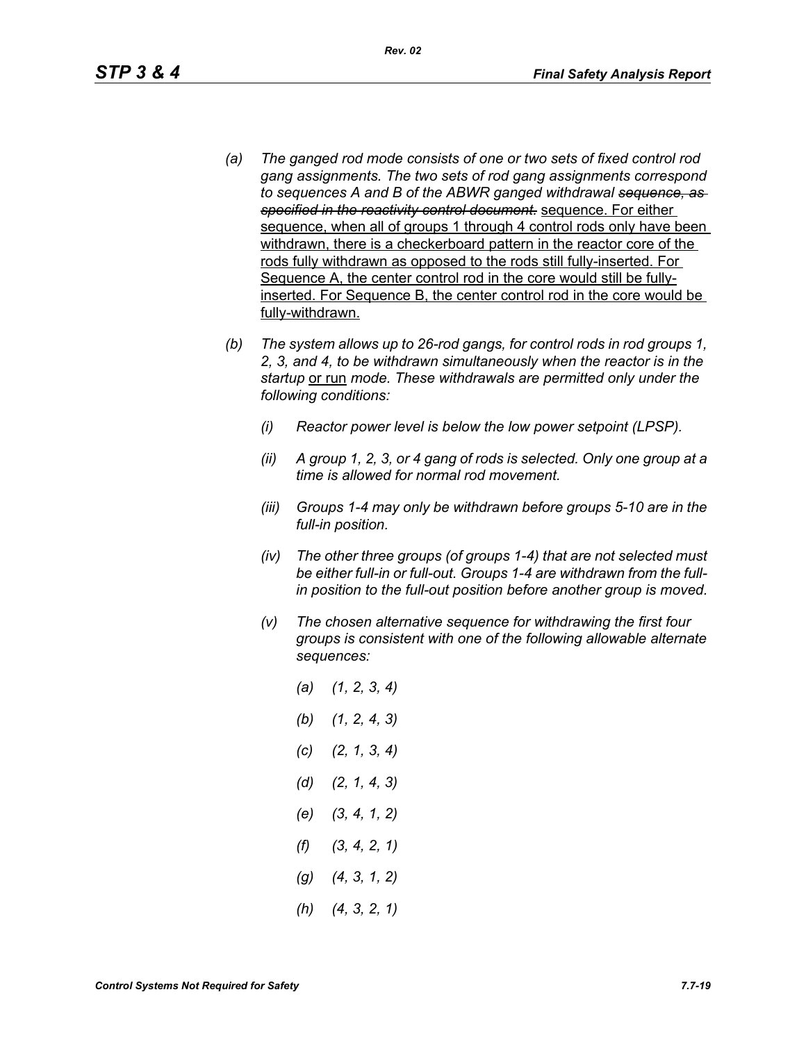- *(a) The ganged rod mode consists of one or two sets of fixed control rod gang assignments. The two sets of rod gang assignments correspond to sequences A and B of the ABWR ganged withdrawal sequence, as specified in the reactivity control document.* sequence. For either sequence, when all of groups 1 through 4 control rods only have been withdrawn, there is a checkerboard pattern in the reactor core of the rods fully withdrawn as opposed to the rods still fully-inserted. For Sequence A, the center control rod in the core would still be fullyinserted. For Sequence B, the center control rod in the core would be fully-withdrawn.
- *(b) The system allows up to 26-rod gangs, for control rods in rod groups 1, 2, 3, and 4, to be withdrawn simultaneously when the reactor is in the startup* or run *mode. These withdrawals are permitted only under the following conditions:*
	- *(i) Reactor power level is below the low power setpoint (LPSP).*
	- *(ii) A group 1, 2, 3, or 4 gang of rods is selected. Only one group at a time is allowed for normal rod movement.*
	- *(iii) Groups 1-4 may only be withdrawn before groups 5-10 are in the full-in position.*
	- *(iv) The other three groups (of groups 1-4) that are not selected must be either full-in or full-out. Groups 1-4 are withdrawn from the fullin position to the full-out position before another group is moved.*
	- *(v) The chosen alternative sequence for withdrawing the first four groups is consistent with one of the following allowable alternate sequences:*
		- *(a) (1, 2, 3, 4) (b) (1, 2, 4, 3) (c) (2, 1, 3, 4) (d) (2, 1, 4, 3) (e) (3, 4, 1, 2) (f) (3, 4, 2, 1) (g) (4, 3, 1, 2) (h) (4, 3, 2, 1)*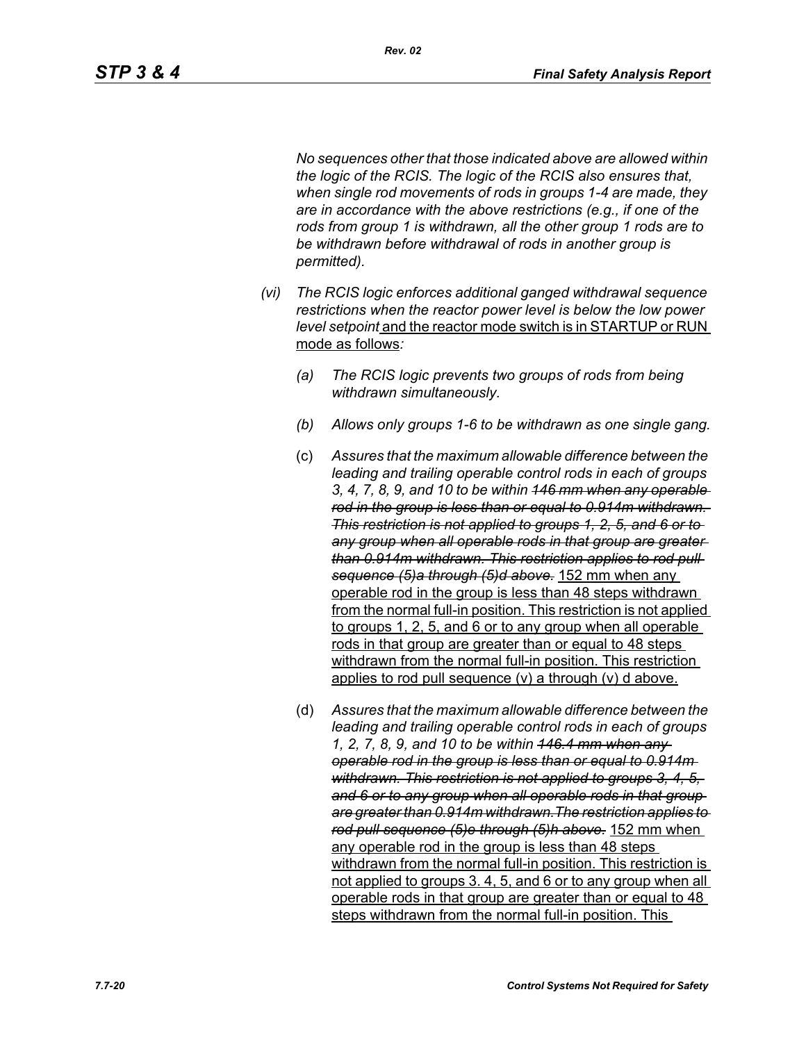*No sequences other that those indicated above are allowed within the logic of the RCIS. The logic of the RCIS also ensures that, when single rod movements of rods in groups 1-4 are made, they are in accordance with the above restrictions (e.g., if one of the rods from group 1 is withdrawn, all the other group 1 rods are to be withdrawn before withdrawal of rods in another group is permitted).*

- *(vi) The RCIS logic enforces additional ganged withdrawal sequence restrictions when the reactor power level is below the low power level setpoint* and the reactor mode switch is in STARTUP or RUN mode as follows*:*
	- *(a) The RCIS logic prevents two groups of rods from being withdrawn simultaneously.*
	- *(b) Allows only groups 1-6 to be withdrawn as one single gang.*
	- (c) *Assures that the maximum allowable difference between the leading and trailing operable control rods in each of groups 3, 4, 7, 8, 9, and 10 to be within 146 mm when any operable rod in the group is less than or equal to 0.914m withdrawn. This restriction is not applied to groups 1, 2, 5, and 6 or to any group when all operable rods in that group are greater than 0.914m withdrawn. This restriction applies to rod pull sequence (5)a through (5)d above.* 152 mm when any operable rod in the group is less than 48 steps withdrawn from the normal full-in position. This restriction is not applied to groups 1, 2, 5, and 6 or to any group when all operable rods in that group are greater than or equal to 48 steps withdrawn from the normal full-in position. This restriction applies to rod pull sequence (v) a through (v) d above.
	- (d) *Assures that the maximum allowable difference between the leading and trailing operable control rods in each of groups 1, 2, 7, 8, 9, and 10 to be within 146.4 mm when any operable rod in the group is less than or equal to 0.914m withdrawn. This restriction is not applied to groups 3, 4, 5, and 6 or to any group when all operable rods in that group are greater than 0.914m withdrawn.The restriction applies to rod pull sequence (5)e through (5)h above.* 152 mm when any operable rod in the group is less than 48 steps withdrawn from the normal full-in position. This restriction is not applied to groups 3. 4, 5, and 6 or to any group when all operable rods in that group are greater than or equal to 48 steps withdrawn from the normal full-in position. This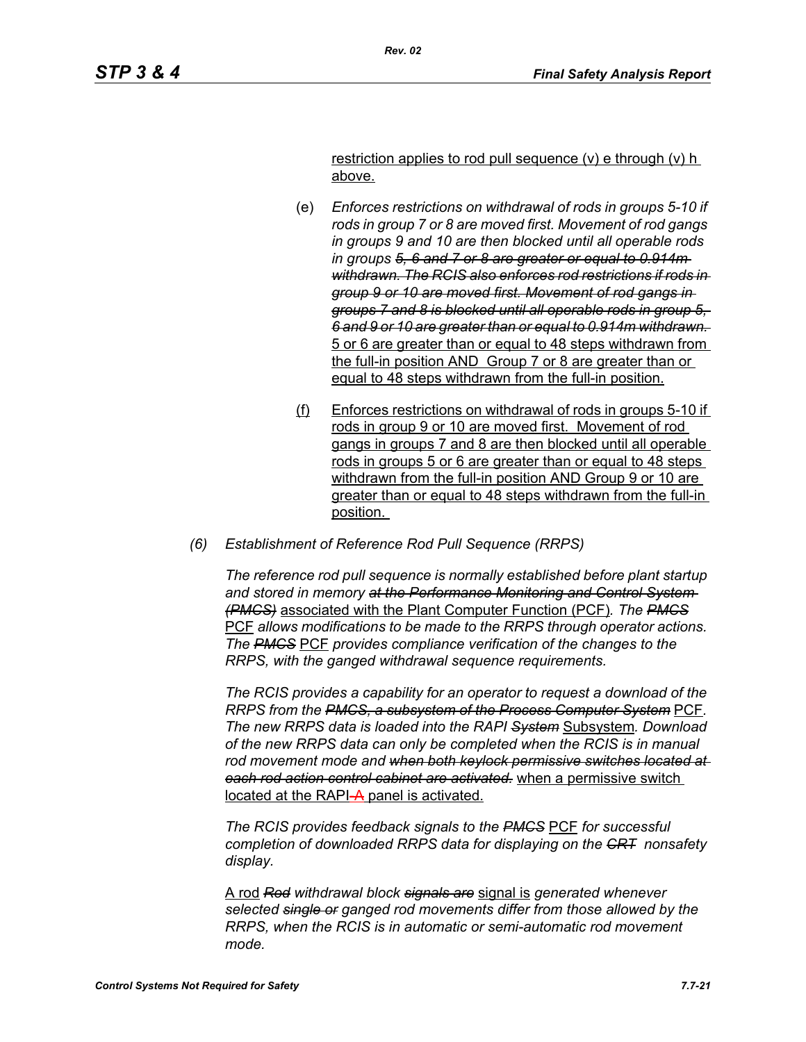restriction applies to rod pull sequence (v) e through (v) h above.

- (e) *Enforces restrictions on withdrawal of rods in groups 5-10 if rods in group 7 or 8 are moved first. Movement of rod gangs in groups 9 and 10 are then blocked until all operable rods in groups 5, 6 and 7 or 8 are greater or equal to 0.914m withdrawn. The RCIS also enforces rod restrictions if rods in group 9 or 10 are moved first. Movement of rod gangs in groups 7 and 8 is blocked until all operable rods in group 5, 6 and 9 or 10 are greater than or equal to 0.914m withdrawn.*  5 or 6 are greater than or equal to 48 steps withdrawn from the full-in position AND Group 7 or 8 are greater than or equal to 48 steps withdrawn from the full-in position.
- (f) Enforces restrictions on withdrawal of rods in groups 5-10 if rods in group 9 or 10 are moved first. Movement of rod gangs in groups 7 and 8 are then blocked until all operable rods in groups 5 or 6 are greater than or equal to 48 steps withdrawn from the full-in position AND Group 9 or 10 are greater than or equal to 48 steps withdrawn from the full-in position.
- *(6) Establishment of Reference Rod Pull Sequence (RRPS)*

*The reference rod pull sequence is normally established before plant startup and stored in memory at the Performance Monitoring and Control System (PMCS)* associated with the Plant Computer Function (PCF)*. The PMCS* PCF *allows modifications to be made to the RRPS through operator actions. The PMCS* PCF *provides compliance verification of the changes to the RRPS, with the ganged withdrawal sequence requirements.*

*The RCIS provides a capability for an operator to request a download of the RRPS from the PMCS, a subsystem of the Process Computer System* PCF*. The new RRPS data is loaded into the RAPI System* Subsystem*. Download of the new RRPS data can only be completed when the RCIS is in manual rod movement mode and when both keylock permissive switches located at each rod action control cabinet are activated.* when a permissive switch located at the RAPI-A panel is activated.

*The RCIS provides feedback signals to the PMCS* PCF *for successful completion of downloaded RRPS data for displaying on the CRT nonsafety display.*

A rod *Rod withdrawal block signals are* signal is *generated whenever selected single or ganged rod movements differ from those allowed by the RRPS, when the RCIS is in automatic or semi-automatic rod movement mode.*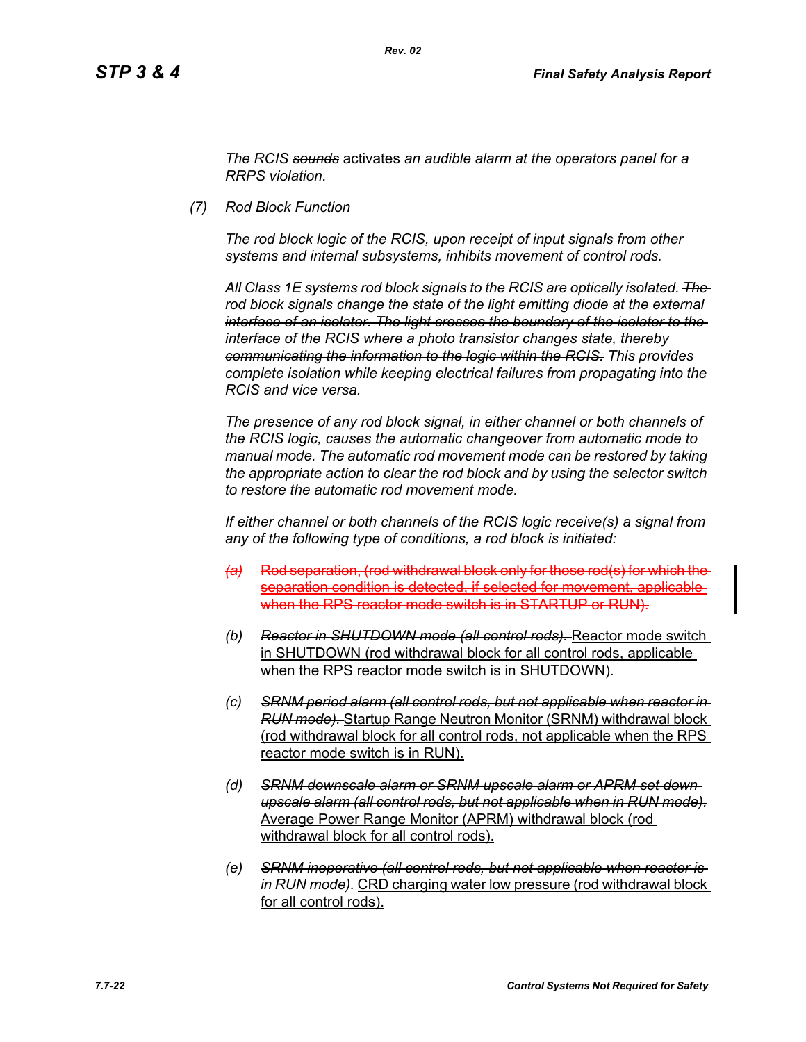*The RCIS sounds* activates *an audible alarm at the operators panel for a RRPS violation.*

*(7) Rod Block Function*

*The rod block logic of the RCIS, upon receipt of input signals from other systems and internal subsystems, inhibits movement of control rods.*

*All Class 1E systems rod block signals to the RCIS are optically isolated. The rod block signals change the state of the light emitting diode at the external interface of an isolator. The light crosses the boundary of the isolator to the interface of the RCIS where a photo transistor changes state, thereby communicating the information to the logic within the RCIS. This provides complete isolation while keeping electrical failures from propagating into the RCIS and vice versa.*

*The presence of any rod block signal, in either channel or both channels of the RCIS logic, causes the automatic changeover from automatic mode to manual mode. The automatic rod movement mode can be restored by taking the appropriate action to clear the rod block and by using the selector switch to restore the automatic rod movement mode.*

*If either channel or both channels of the RCIS logic receive(s) a signal from any of the following type of conditions, a rod block is initiated:*

- *(a)* Rod separation, (rod withdrawal block only for those rod(s) for which the separation condition is detected, if selected for movement, applicable when the RPS reactor mode switch is in STARTUP or RUN).
- *(b) Reactor in SHUTDOWN mode (all control rods).* Reactor mode switch in SHUTDOWN (rod withdrawal block for all control rods, applicable when the RPS reactor mode switch is in SHUTDOWN).
- *(c) SRNM period alarm (all control rods, but not applicable when reactor in RUN mode).* Startup Range Neutron Monitor (SRNM) withdrawal block (rod withdrawal block for all control rods, not applicable when the RPS reactor mode switch is in RUN).
- *(d) SRNM downscale alarm or SRNM upscale alarm or APRM set down upscale alarm (all control rods, but not applicable when in RUN mode).* Average Power Range Monitor (APRM) withdrawal block (rod withdrawal block for all control rods).
- *(e) SRNM inoperative (all control rods, but not applicable when reactor is in RUN mode).* CRD charging water low pressure (rod withdrawal block for all control rods).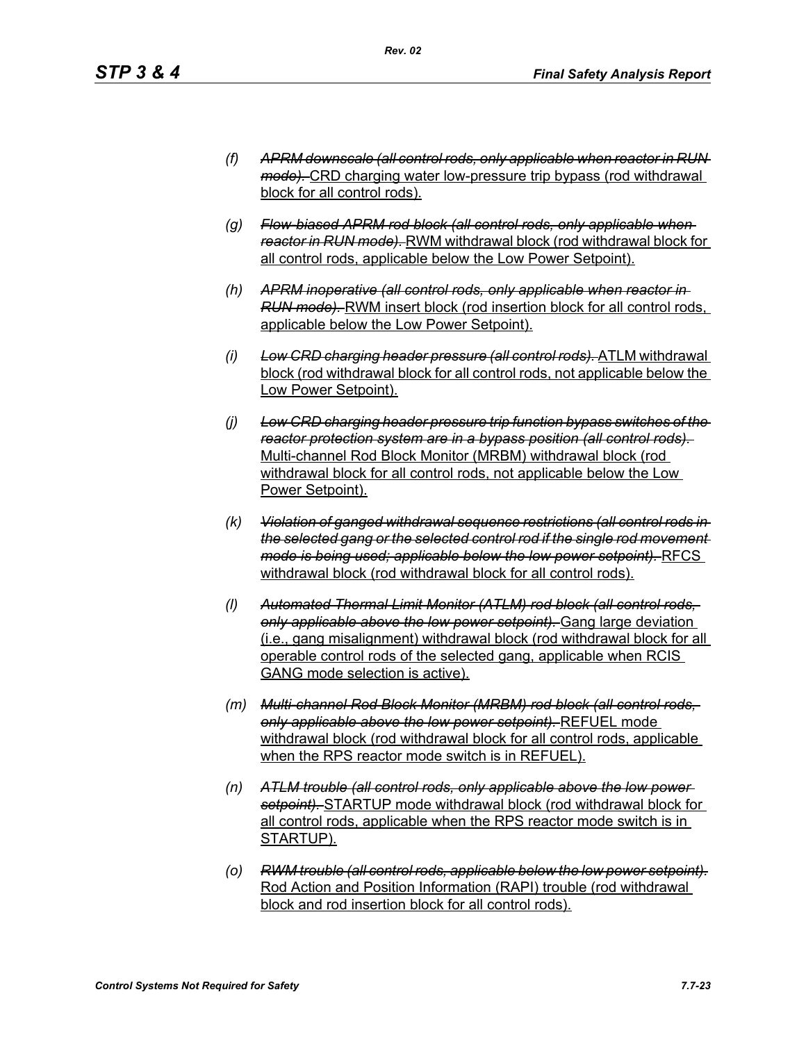- *(f) APRM downscale (all control rods, only applicable when reactor in RUN mode).* CRD charging water low-pressure trip bypass (rod withdrawal block for all control rods).
- *(g) Flow-biased APRM rod block (all control rods, only applicable when reactor in RUN mode).* RWM withdrawal block (rod withdrawal block for all control rods, applicable below the Low Power Setpoint).
- *(h) APRM inoperative (all control rods, only applicable when reactor in RUN mode).* RWM insert block (rod insertion block for all control rods, applicable below the Low Power Setpoint).
- *(i) Low CRD charging header pressure (all control rods).* ATLM withdrawal block (rod withdrawal block for all control rods, not applicable below the Low Power Setpoint).
- *(j) Low CRD charging header pressure trip function bypass switches of the reactor protection system are in a bypass position (all control rods).*  Multi-channel Rod Block Monitor (MRBM) withdrawal block (rod withdrawal block for all control rods, not applicable below the Low Power Setpoint).
- *(k) Violation of ganged withdrawal sequence restrictions (all control rods in the selected gang or the selected control rod if the single rod movement mode is being used; applicable below the low power setpoint).* RFCS withdrawal block (rod withdrawal block for all control rods).
- *(l) Automated Thermal Limit Monitor (ATLM) rod block (all control rods, only applicable above the low power setpoint).* Gang large deviation (i.e., gang misalignment) withdrawal block (rod withdrawal block for all operable control rods of the selected gang, applicable when RCIS GANG mode selection is active).
- *(m) Multi-channel Rod Block Monitor (MRBM) rod block (all control rods, only applicable above the low power setpoint).* REFUEL mode withdrawal block (rod withdrawal block for all control rods, applicable when the RPS reactor mode switch is in REFUEL).
- *(n) ATLM trouble (all control rods, only applicable above the low power setpoint).* STARTUP mode withdrawal block (rod withdrawal block for all control rods, applicable when the RPS reactor mode switch is in STARTUP).
- *(o) RWM trouble (all control rods, applicable below the low power setpoint).* Rod Action and Position Information (RAPI) trouble (rod withdrawal block and rod insertion block for all control rods).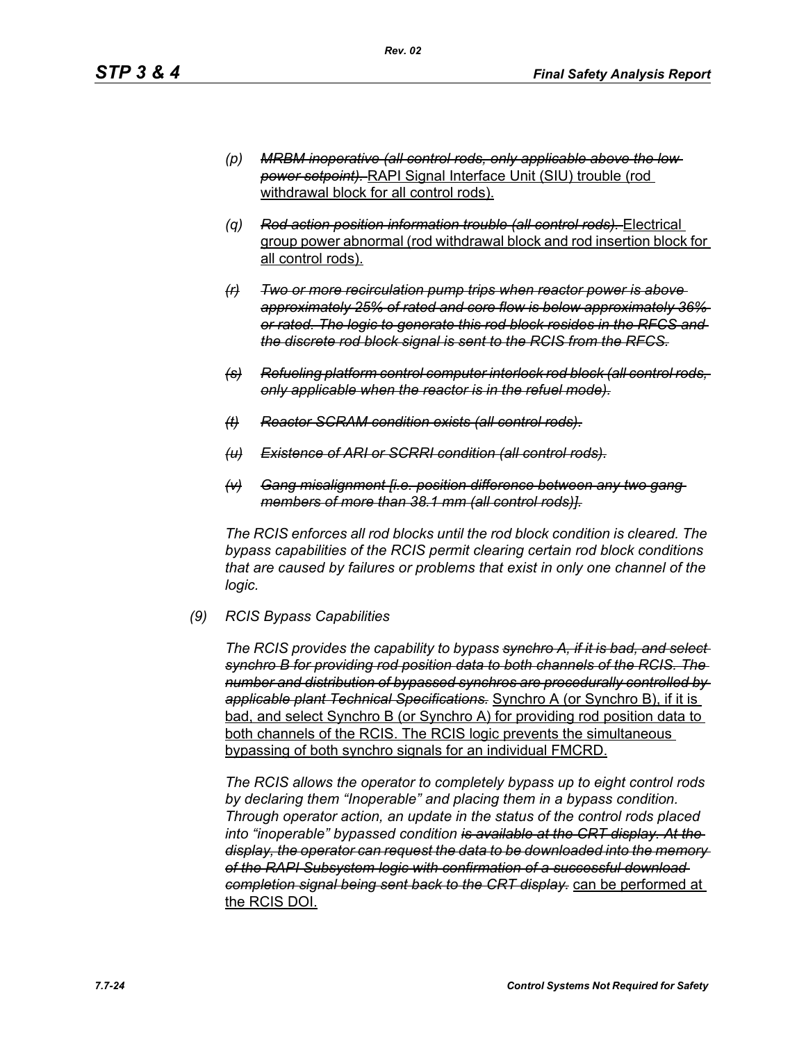- *(p) MRBM inoperative (all control rods, only applicable above the low power setpoint).* RAPI Signal Interface Unit (SIU) trouble (rod withdrawal block for all control rods).
- *(q) Rod action position information trouble (all control rods).* Electrical group power abnormal (rod withdrawal block and rod insertion block for all control rods).
- *(r) Two or more recirculation pump trips when reactor power is above approximately 25% of rated and core flow is below approximately 36% or rated. The logic to generate this rod block resides in the RFCS and the discrete rod block signal is sent to the RCIS from the RFCS.*
- *(s) Refueling platform control computer interlock rod block (all control rods, only applicable when the reactor is in the refuel mode).*
- *(t) Reactor SCRAM condition exists (all control rods).*
- *(u) Existence of ARI or SCRRI condition (all control rods).*
- *(v) Gang misalignment [i.e. position difference between any two gang members of more than 38.1 mm (all control rods)].*

*The RCIS enforces all rod blocks until the rod block condition is cleared. The bypass capabilities of the RCIS permit clearing certain rod block conditions that are caused by failures or problems that exist in only one channel of the logic.*

*(9) RCIS Bypass Capabilities*

*The RCIS provides the capability to bypass synchro A, if it is bad, and select synchro B for providing rod position data to both channels of the RCIS. The number and distribution of bypassed synchros are procedurally controlled by applicable plant Technical Specifications.* Synchro A (or Synchro B), if it is bad, and select Synchro B (or Synchro A) for providing rod position data to both channels of the RCIS. The RCIS logic prevents the simultaneous bypassing of both synchro signals for an individual FMCRD.

*The RCIS allows the operator to completely bypass up to eight control rods by declaring them "Inoperable" and placing them in a bypass condition. Through operator action, an update in the status of the control rods placed into "inoperable" bypassed condition is available at the CRT display. At the display, the operator can request the data to be downloaded into the memory of the RAPI Subsystem logic with confirmation of a successful download completion signal being sent back to the CRT display.* can be performed at the RCIS DOI.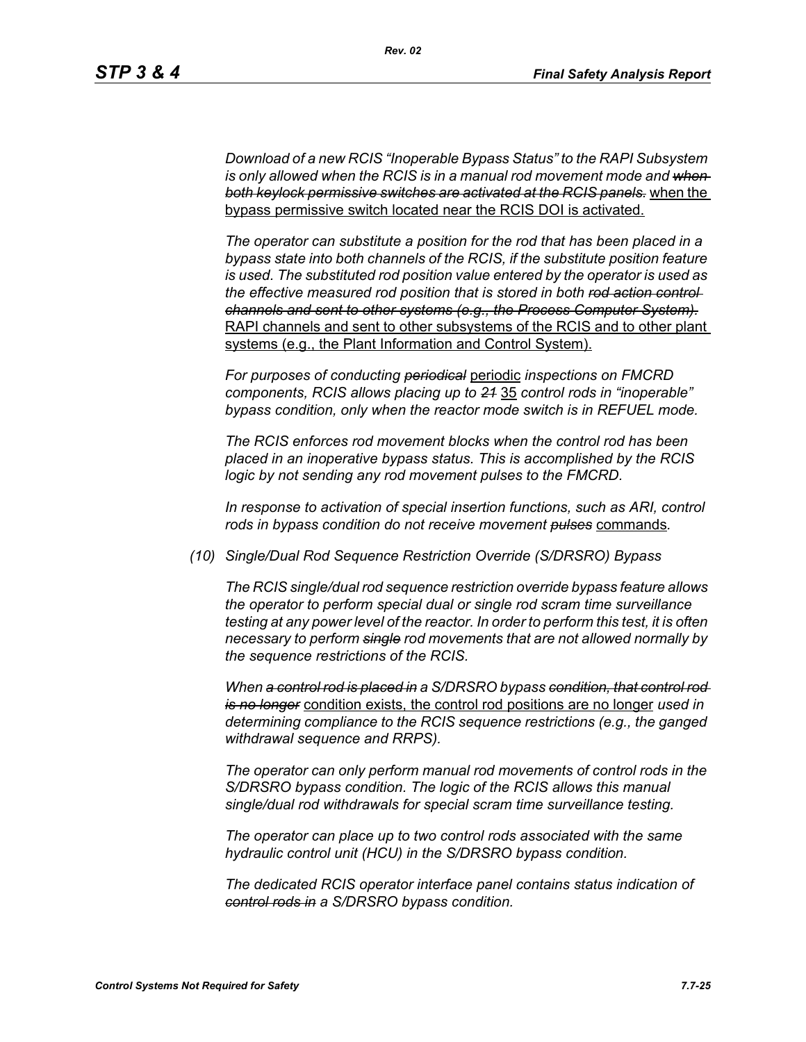*Download of a new RCIS "Inoperable Bypass Status" to the RAPI Subsystem*  is only allowed when the RCIS is in a manual rod movement mode and when*both keylock permissive switches are activated at the RCIS panels.* when the bypass permissive switch located near the RCIS DOI is activated.

*The operator can substitute a position for the rod that has been placed in a bypass state into both channels of the RCIS, if the substitute position feature is used. The substituted rod position value entered by the operator is used as the effective measured rod position that is stored in both rod action control channels and sent to other systems (e.g., the Process Computer System).* RAPI channels and sent to other subsystems of the RCIS and to other plant systems (e.g., the Plant Information and Control System).

*For purposes of conducting periodical* periodic *inspections on FMCRD components, RCIS allows placing up to 21* 35 *control rods in "inoperable" bypass condition, only when the reactor mode switch is in REFUEL mode.*

*The RCIS enforces rod movement blocks when the control rod has been placed in an inoperative bypass status. This is accomplished by the RCIS logic by not sending any rod movement pulses to the FMCRD.*

*In response to activation of special insertion functions, such as ARI, control rods in bypass condition do not receive movement pulses* commands*.*

*(10) Single/Dual Rod Sequence Restriction Override (S/DRSRO) Bypass*

*The RCIS single/dual rod sequence restriction override bypass feature allows the operator to perform special dual or single rod scram time surveillance testing at any power level of the reactor. In order to perform this test, it is often necessary to perform single rod movements that are not allowed normally by the sequence restrictions of the RCIS.*

*When a control rod is placed in a S/DRSRO bypass condition, that control rod is no longer* condition exists, the control rod positions are no longer *used in determining compliance to the RCIS sequence restrictions (e.g., the ganged withdrawal sequence and RRPS).*

*The operator can only perform manual rod movements of control rods in the S/DRSRO bypass condition. The logic of the RCIS allows this manual single/dual rod withdrawals for special scram time surveillance testing.*

*The operator can place up to two control rods associated with the same hydraulic control unit (HCU) in the S/DRSRO bypass condition.*

*The dedicated RCIS operator interface panel contains status indication of control rods in a S/DRSRO bypass condition.*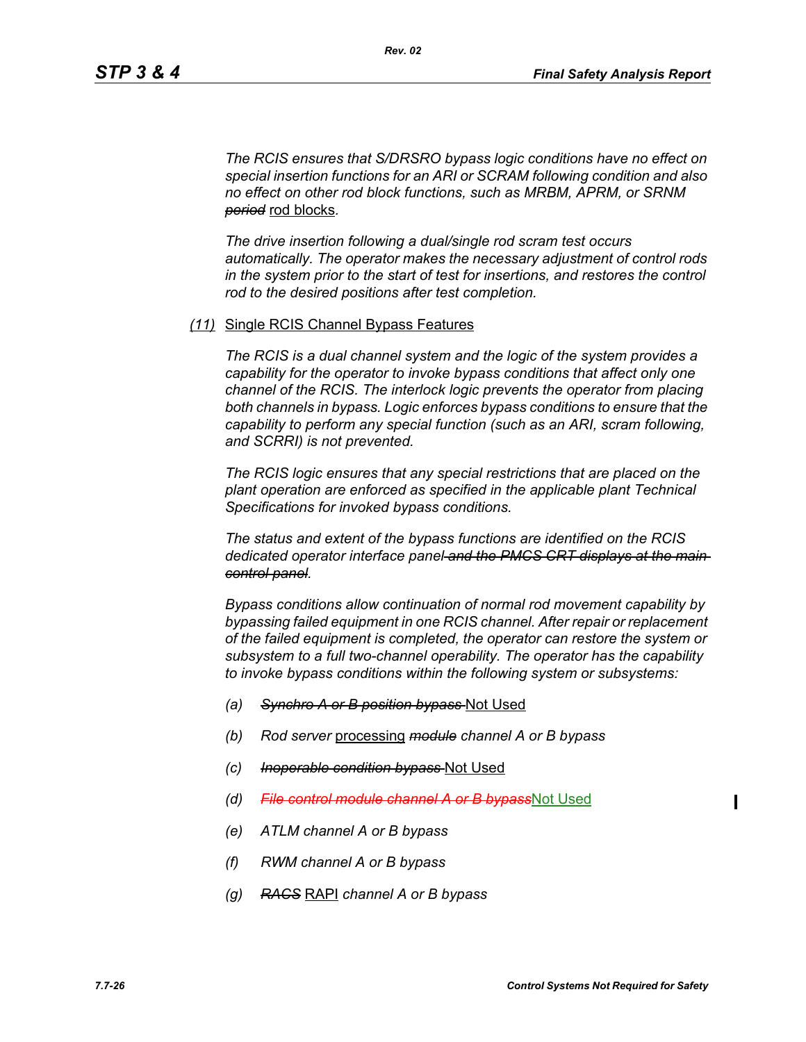*The RCIS ensures that S/DRSRO bypass logic conditions have no effect on special insertion functions for an ARI or SCRAM following condition and also no effect on other rod block functions, such as MRBM, APRM, or SRNM period* rod blocks*.*

*The drive insertion following a dual/single rod scram test occurs automatically. The operator makes the necessary adjustment of control rods in the system prior to the start of test for insertions, and restores the control rod to the desired positions after test completion.*

#### *(11)* Single RCIS Channel Bypass Features

*The RCIS is a dual channel system and the logic of the system provides a capability for the operator to invoke bypass conditions that affect only one channel of the RCIS. The interlock logic prevents the operator from placing both channels in bypass. Logic enforces bypass conditions to ensure that the capability to perform any special function (such as an ARI, scram following, and SCRRI) is not prevented.*

*The RCIS logic ensures that any special restrictions that are placed on the plant operation are enforced as specified in the applicable plant Technical Specifications for invoked bypass conditions.*

*The status and extent of the bypass functions are identified on the RCIS dedicated operator interface panel and the PMCS CRT displays at the main control panel.*

*Bypass conditions allow continuation of normal rod movement capability by bypassing failed equipment in one RCIS channel. After repair or replacement of the failed equipment is completed, the operator can restore the system or subsystem to a full two-channel operability. The operator has the capability to invoke bypass conditions within the following system or subsystems:*

- *(a) Synchro A or B position bypass* Not Used
- *(b) Rod server* processing *module channel A or B bypass*
- *(c) Inoperable condition bypass* Not Used
- *(d) File control module channel A or B bypass*Not Used
- *(e) ATLM channel A or B bypass*
- *(f) RWM channel A or B bypass*
- *(g) RACS* RAPI *channel A or B bypass*

Ι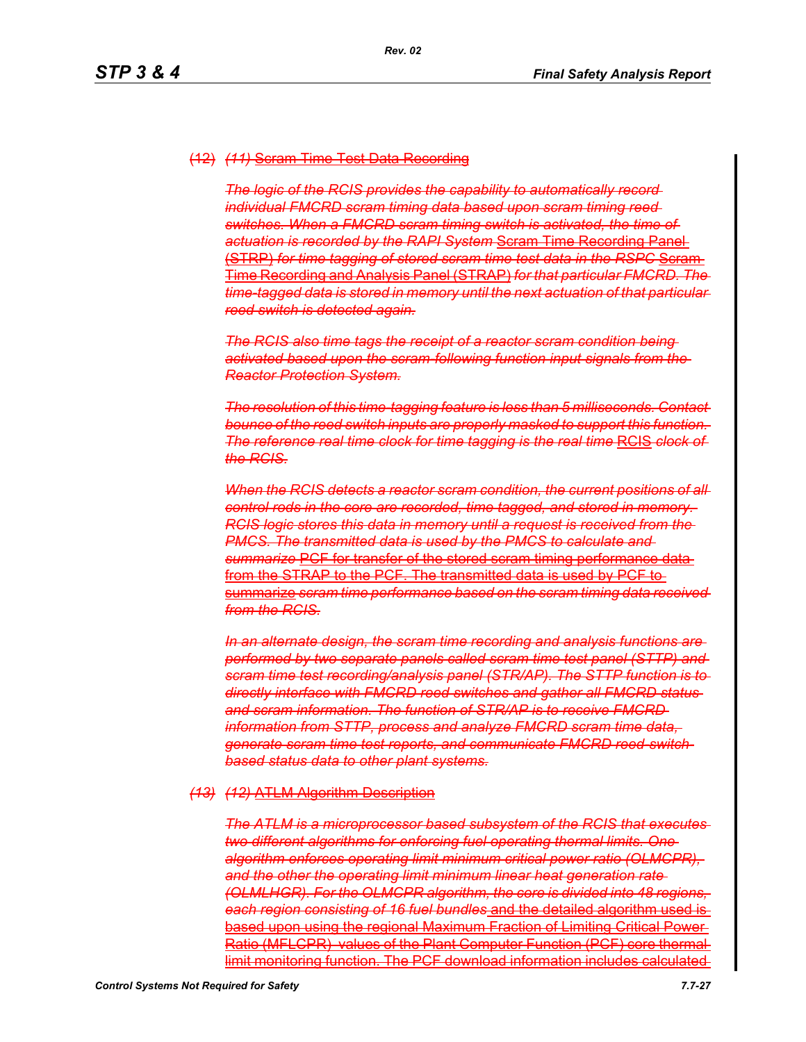#### (12) *(11)* Scram Time Test Data Recording

*The logic of the RCIS provides the capability to automatically record individual FMCRD scram timing data based upon scram timing reed switches. When a FMCRD scram timing switch is activated, the time of actuation is recorded by the RAPI System* Scram Time Recording Panel (STRP) *for time tagging of stored scram time test data in the RSPC* Scram Time Recording and Analysis Panel (STRAP) *for that particular FMCRD. The time-tagged data is stored in memory until the next actuation of that particular reed switch is detected again.*

*The RCIS also time tags the receipt of a reactor scram condition being activated based upon the scram-following function input signals from the Reactor Protection System.*

*The resolution of this time-tagging feature is less than 5 milliseconds. Contact bounce of the reed switch inputs are properly masked to support this function. The reference real time clock for time tagging is the real time* RCIS *clock of the RCIS.*

When the RCIS detects a reactor scram condition, the current positions of all *control rods in the core are recorded, time tagged, and stored in memory. RCIS logic stores this data in memory until a request is received from the PMCS. The transmitted data is used by the PMCS to calculate and summarize* PCF for transfer of the stored scram timing performance data from the STRAP to the PCF. The transmitted data is used by PCF to summarize *scram time performance based on the scram timing data received from the RCIS.*

*In an alternate design, the scram time recording and analysis functions are performed by two separate panels called scram time test panel (STTP) and scram time test recording/analysis panel (STR/AP). The STTP function is to directly interface with FMCRD reed switches and gather all FMCRD status and scram information. The function of STR/AP is to receive FMCRD information from STTP, process and analyze FMCRD scram time data, generate scram time test reports, and communicate FMCRD reed-switchbased status data to other plant systems.*

#### *(13) (12)* ATLM Algorithm Description

*The ATLM is a microprocessor based subsystem of the RCIS that executes two different algorithms for enforcing fuel operating thermal limits. One algorithm enforces operating limit minimum critical power ratio (OLMCPR), and the other the operating limit minimum linear heat generation rate (OLMLHGR). For the OLMCPR algorithm, the core is divided into 48 regions, each region consisting of 16 fuel bundles* and the detailed algorithm used is based upon using the regional Maximum Fraction of Limiting Critical Power Ratio (MFLCPR) values of the Plant Computer Function (PCF) core thermal limit monitoring function. The PCF download information includes calculated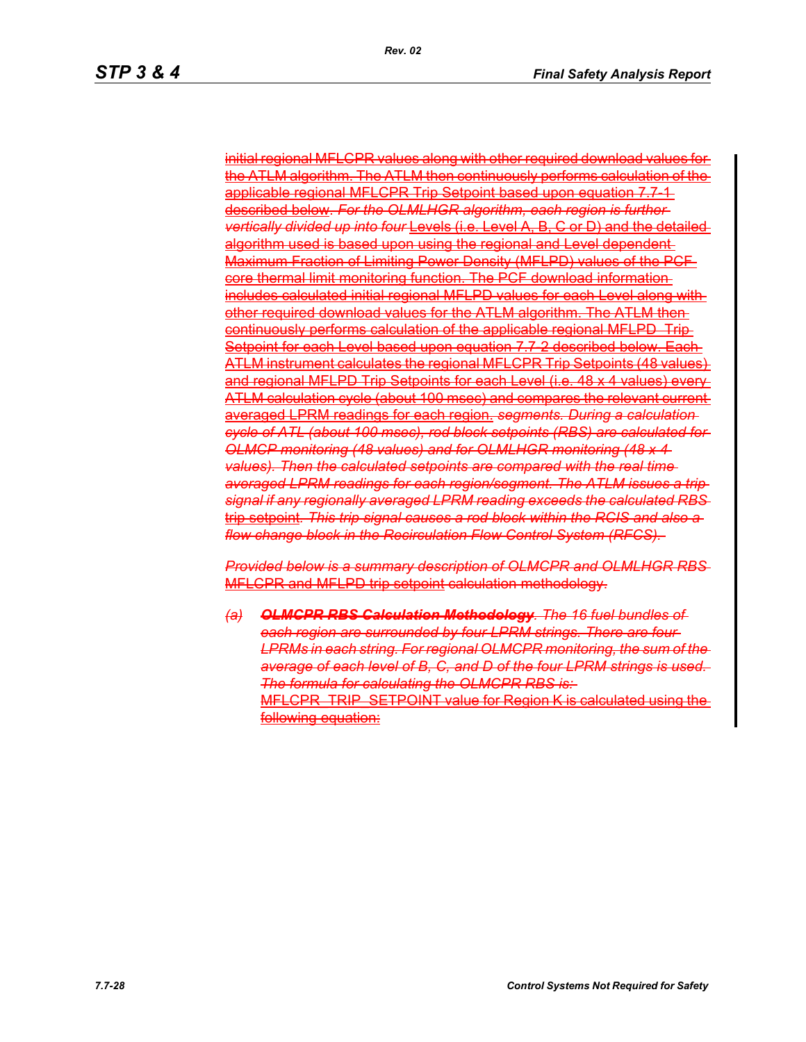initial regional MFLCPR values along with other required download values for the ATLM algorithm. The ATLM then continuously performs calculation of the applicable regional MFLCPR Trip Setpoint based upon equation 7.7-1described below. *For the OLMLHGR algorithm, each region is further vertically divided up into four* Levels (i.e. Level A, B, C or D) and the detailed algorithm used is based upon using the regional and Level dependent Maximum Fraction of Limiting Power Density (MFLPD) values of the PCF core thermal limit monitoring function. The PCF download information includes calculated initial regional MFLPD values for each Level along with other required download values for the ATLM algorithm. The ATLM then continuously performs calculation of the applicable regional MFLPD Trip Setpoint for each Level based upon equation 7.7-2 described below. Each ATLM instrument calculates the regional MFLCPR Trip Setpoints (48 values) and regional MFLPD Trip Setpoints for each Level (i.e. 48 x 4 values) every ATLM calculation cycle (about 100 msec) and compares the relevant current averaged LPRM readings for each region. *segments. During a calculation cycle of ATL (about 100 msec), rod block setpoints (RBS) are calculated for OLMCP monitoring (48 values) and for OLMLHGR monitoring (48 x 4 values). Then the calculated setpoints are compared with the real time averaged LPRM readings for each region/segment. The ATLM issues a trip signal if any regionally averaged LPRM reading exceeds the calculated RBS* trip setpoint*. This trip signal causes a rod block within the RCIS and also a flow change block in the Recirculation Flow Control System (RFCS).* 

*Provided below is a summary description of OLMCPR and OLMLHGR RBS* MFLCPR and MFLPD trip setpoint calculation methodology.

*(a) OLMCPR RBS Calculation Methodology. The 16 fuel bundles of each region are surrounded by four LPRM strings. There are four LPRMs in each string. For regional OLMCPR monitoring, the sum of the average of each level of B, C, and D of the four LPRM strings is used. The formula for calculating the OLMCPR RBS is:* MFLCPR\_TRIP\_SETPOINT value for Region K is calculated using the following equation: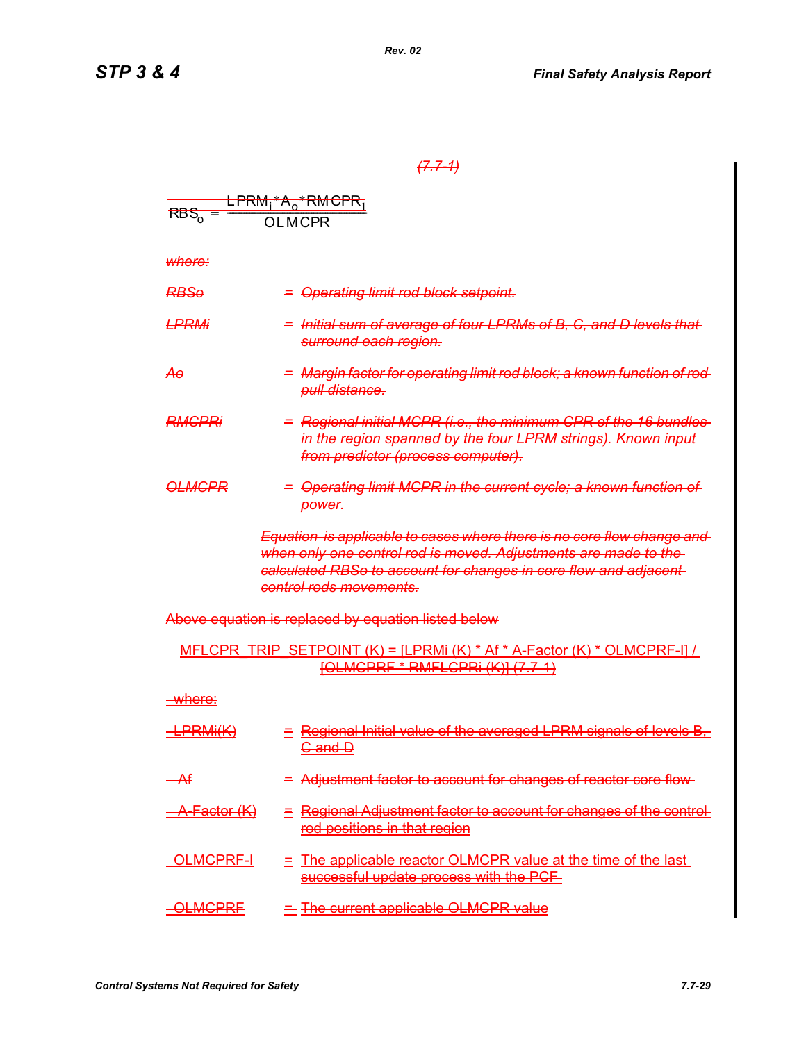# *(7.7-1)*

|                         | <del>EPRM<sub>i</sub>*A<sub>o</sub>*RMCPR<sub>1</sub></del>                                                                                                                                                                                         |
|-------------------------|-----------------------------------------------------------------------------------------------------------------------------------------------------------------------------------------------------------------------------------------------------|
| $RBS_0 =$               | <b>OLMCPR</b>                                                                                                                                                                                                                                       |
|                         |                                                                                                                                                                                                                                                     |
| where:                  |                                                                                                                                                                                                                                                     |
| <del>RBSo</del>         | = Operating limit rod block setpoint.                                                                                                                                                                                                               |
| <b>LPRMi</b>            | = Initial sum of average of four LPRMs of B, C, and D levels that<br>surround each region.                                                                                                                                                          |
| Αө                      | = Margin factor for operating limit rod block; a known function of rod-<br>pull distance.                                                                                                                                                           |
| RMGPRi                  | = Regional initial MCPR (i.e., the minimum CPR of the 16 bundles<br>in the region spanned by the four LPRM strings). Known input-<br>from predictor (process computer).                                                                             |
| <del>OLMCPR</del>       | = Operating limit MCPR in the current cycle; a known function of<br>power.                                                                                                                                                                          |
|                         | Equation is applicable to cases where there is no core flow change and<br>when only one control rod is moved. Adjustments are made to the<br>calculated RBSo to account for changes in core flow and adjacent<br><del>control rods movements.</del> |
|                         | Above equation is replaced by equation listed below                                                                                                                                                                                                 |
|                         | MFLCPR_TRIP_SETPOINT (K) = [LPRMi (K) * Af * A Factor (K) * OLMCPRF I] /<br><u> [OLMCPRF * RMFLCPRi (K)] (7.7-1)</u>                                                                                                                                |
| <u>-where:</u>          |                                                                                                                                                                                                                                                     |
| <del>LPRMi(K)</del>     | = Regional Initial value of the averaged LPRM signals of levels B.<br><u>G and D</u>                                                                                                                                                                |
| $\rightarrow$           | - Adjustment factor to account for changes of reactor core flow-                                                                                                                                                                                    |
| <del>\ Factor (K)</del> | Regional Adjustment factor to account for changes of the control-<br>rod positions in that region                                                                                                                                                   |
| OLMGPRF-I               | The applicable reactor OLMCPR value at the time of the last-<br>successful update process with the PCF                                                                                                                                              |
| <b>OLMGPRE</b>          | The current applicable OLMCPR value                                                                                                                                                                                                                 |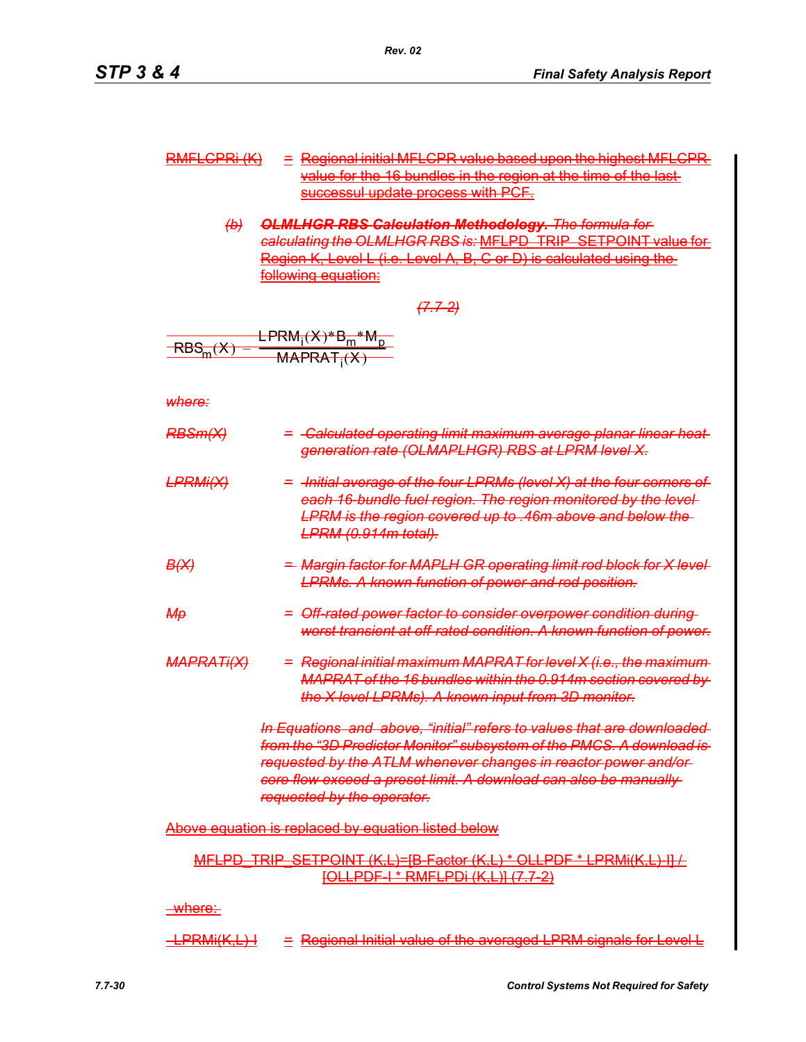| $DMLI$ $CDDI$ $IIX$<br><del>NWILOPN (IN</del> | $\leq$ Regional initial MFLCPR value based upon the highest MFLCPR                                                                                          |
|-----------------------------------------------|-------------------------------------------------------------------------------------------------------------------------------------------------------------|
|                                               | value for the 16 bundles in the region at the time of the last-                                                                                             |
|                                               | successive undata process with DCE<br><u>Die bereichen Einer der Eine der Erstellung und die Bereichen und der Erstellung und der Erstellung und die Be</u> |

*(b) OLMLHGR RBS Calculation Methodology. The formula for calculating the OLMLHGR RBS is:* MFLPD\_TRIP\_SETPOINT value for Region K, Level L (i.e. Level A, B, C or D) is calculated using the following equation:

$$
7.7-2
$$

$$
EBSm(X) = EPRMi(X)*Bm*Mp
$$
  
RBS<sub>m</sub>(X) = MAPRAT<sub>i</sub>(X)

*where:*

| <del>RBSm(X)</del>      | = -Calculated operating limit maximum average planar linear heat-<br>generation rate (OLMAPLHGR) RBS at LPRM level X.                                                                                                                                                                                               |
|-------------------------|---------------------------------------------------------------------------------------------------------------------------------------------------------------------------------------------------------------------------------------------------------------------------------------------------------------------|
| <del>LPRMi(X)</del>     | = -Initial average of the four LPRMs (level X) at the four corners of<br>each 16 bundle fuel region. The region monitored by the level-<br>LPRM is the region covered up to .46m above and below the<br><del>LPRM (0.914m total).</del>                                                                             |
| <del>B(X)</del>         | = Margin factor for MAPLH GR operating limit rod block for X level-<br><b>LPRMs. A known function of power and rod position.</b>                                                                                                                                                                                    |
| ₩₩                      | = Off-rated power factor to consider overpower condition during<br>worst transient at off rated condition. A known function of power.                                                                                                                                                                               |
| <del>MAPRATi(X)</del>   | = Regional initial maximum MAPRAT for level X (i.e., the maximum<br>MAPRAT of the 16 bundles within the 0.914m section covered by<br>the X level LPRMs). A known input from 3D monitor.                                                                                                                             |
|                         | In Equations and above, "initial" refers to values that are downloaded<br>from the "3D Predictor Monitor" subsystem of the PMCS. A download is-<br>requested by the ATLM whenever changes in reactor power and/or<br>core flow exceed a preset limit. A download can also be manually<br>requested by the operator. |
|                         | <b>Above equation is replaced by equation listed below</b>                                                                                                                                                                                                                                                          |
|                         | MFLPD TRIP SETPOINT (K,L)=[B Factor (K,L) * OLLPDF * LPRMi(K,L) II /<br>[OLLPDF   * RMFLPDi (K,L)] (7.7-2)                                                                                                                                                                                                          |
| <u>_where:-</u>         |                                                                                                                                                                                                                                                                                                                     |
| <del>LPRMi(K,L) I</del> | Regional Initial value of the averaged LPRM signals for Level L                                                                                                                                                                                                                                                     |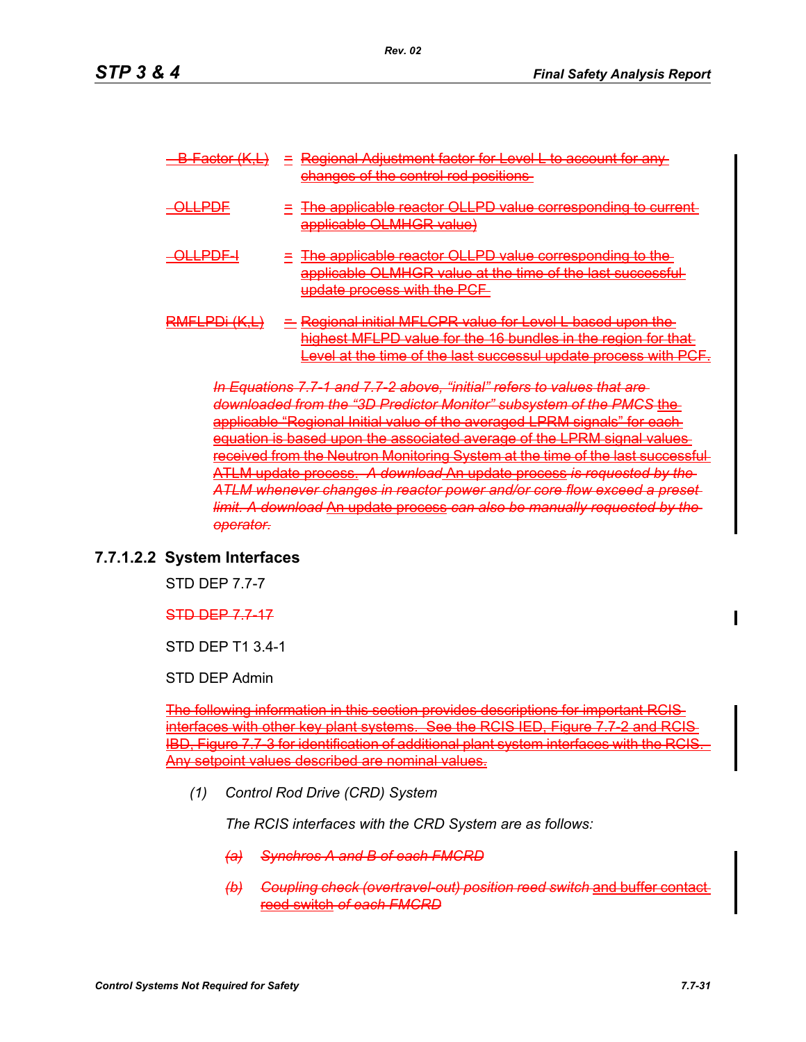| $\Gamma$ ootor $(K \cup$                | Pegional Adjustment factor for Level L to account<br>changes of the control rod positions.<br><u>which is the company of the company of the company of the company of the company of the company of the company of the company of the company of the company of the company of the company of the company of the company of th</u>                                                                                                                                                        |
|-----------------------------------------|-------------------------------------------------------------------------------------------------------------------------------------------------------------------------------------------------------------------------------------------------------------------------------------------------------------------------------------------------------------------------------------------------------------------------------------------------------------------------------------------|
| <u>i nne</u><br>-----                   | The applicable reactor $\Omega$ LDD value corresponding to current<br><u>valite eta territorea eta erroma eta erregea erregea eta erregea erregea erregea erregea erregea erregea erregea err</u><br>annlicable OL MHCD value)<br><u>eisisiivelsite valminneedin valitetsi</u>                                                                                                                                                                                                            |
|                                         | The annicable reactor OLLDD value corresponding to the<br>▌▆▐▌▀▓▀▐▝ <i>▍</i> ▀▟▐▐▜▋▀▐▀▟▙▀▓▋▓▀▋▀▐▝▋▋▜▁▓▓▀▟▝▜▝▜▐▓▌▀▟▓▚▋▀▐▐▝▐▝▓▓▝▋▊▝▋▛▌▀▟▀▟▊▙▀▛▘▎▛▟▝▟▊▋▋▜▔▓▋▜▐▋▙▀▊<br>applicable OLMHCD value at the time of the last success<br>217/7/11/7/217/17/2021-11/2101/211<br><u>venere en nivermet e en nivere le presentatore en n</u><br>undate process with the DCE.<br><u>Circles (Circles of Circles Circles of Alberta Circles of Circles of Alberta Circles of Circles Of Circles of Ci</u> |
| אז החם וחווחם<br><b>INVILLED ZEUNEL</b> | Regional initial MFLCPR value for Level L based upon the<br>highest MFLPD value for the 16 bundles in the region for that<br>avel at the time of the last successive undate process with DCE<br><u>-ovor denno umo or uro idoe odoooodi didddu broocoo winn - or -</u>                                                                                                                                                                                                                    |

*In Equations 7.7-1 and 7.7-2 above, "initial" refers to values that are*  downloaded from the "3D Predictor Monitor" subsystem of the PMCS applicable "Regional Initial value of the averaged LPRM signals" for each equation is based upon the associated average of the LPRM signal value received from the Neutron Monitoring System at the time of the last success ATLM update process. *A download* An update process *is requested by the ATLM whenever changes in reactor power and/or core flow exceed a preset limit. A download* An update process *can also be manually requested by the operator.*

## **7.7.1.2.2 System Interfaces**

STD DEP 7.7-7

#### STD DEP 7.7-17

STD DEP T1 3.4-1

STD DEP Admin

The following information in this section provides descriptions for important RCIS interfaces with other key plant systems. See the RCIS IED, Figure 7.7-2 and RCI ), Figure 7.7-3 for identification of additional plant system interfaces with the R( Any setpoint values described are nominal values.

*(1) Control Rod Drive (CRD) System*

*The RCIS interfaces with the CRD System are as follows:*

- *(a) Synchros A and B of each FMCRD*
- *(b) Coupling check (overtravel-out) position reed switch* and buffer contact reed switch *of each FMCRD*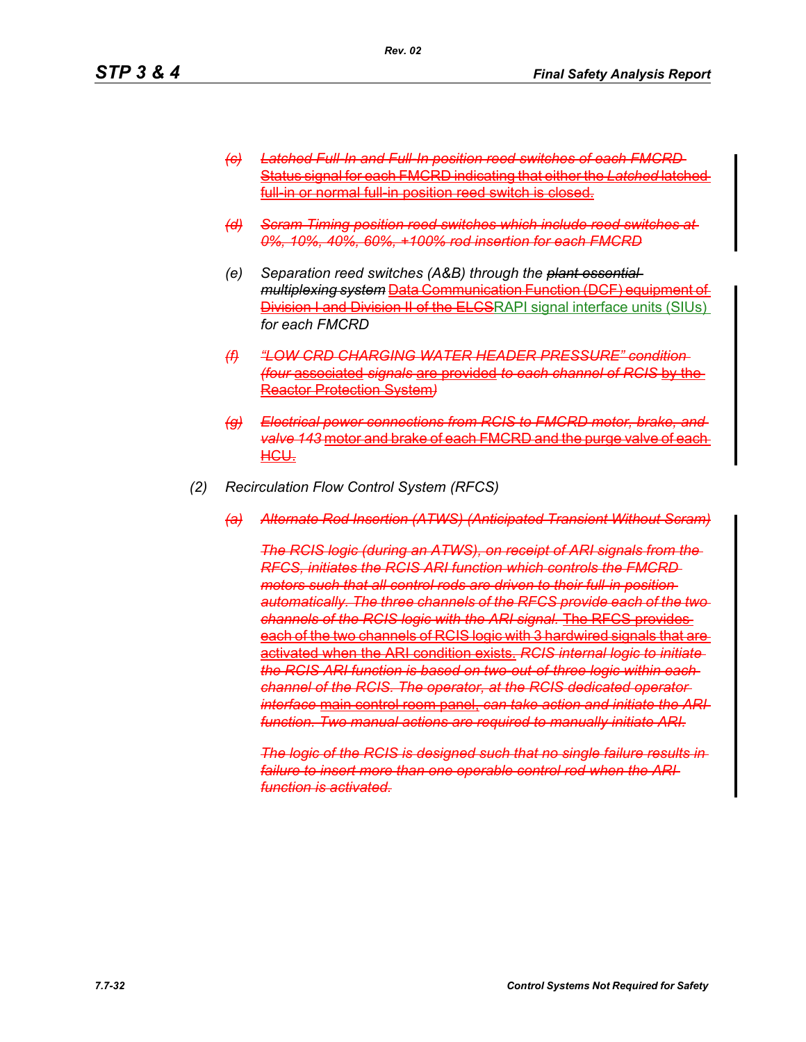*(c) Latched Full-In and Full-In position reed switches of each FMCRD*  Status signal for each FMCRD indicating that either the *Latched* latched full in or normal full in position reed switch is closed.

*Rev. 02*

- *(d) Scram Timing position reed switches which include reed switches at 0%, 10%, 40%, 60%, +100% rod insertion for each FMCRD*
- *(e) Separation reed switches (A&B) through the plant essential multiplexing system* Data Communication Function (DCF) equipment of **Division I and Division II of the ELCSRAPI** signal interface units (SIUs) *for each FMCRD*
- *(f) "LOW CRD CHARGING WATER HEADER PRESSURE" condition (four* associated *signals* are provided *to each channel of RCIS* by the Reactor Protection System*)*
- *(g) Electrical power connections from RCIS to FMCRD motor, brake, and valve 143* motor and brake of each FMCRD and the purge valve of each HCU.
- *(2) Recirculation Flow Control System (RFCS)*
	- *(a) Alternate Rod Insertion (ATWS) (Anticipated Transient Without Scram)*

*The RCIS logic (during an ATWS), on receipt of ARI signals from the RFCS, initiates the RCIS ARI function which controls the FMCRD motors such that all control rods are driven to their full-in position automatically. The three channels of the RFCS provide each of the two channels of the RCIS logic with the ARI signal.* The RFCS provides each of the two channels of RCIS logic with 3 hardwired signals that are activated when the ARI condition exists. *RCIS internal logic to initiate the RCIS ARI function is based on two-out-of-three logic within each channel of the RCIS. The operator, at the RCIS dedicated operator interface* main control room panel, *can take action and initiate the ARI function. Two manual actions are required to manually initiate ARI.*

*The logic of the RCIS is designed such that no single failure results in failure to insert more than one operable control rod when the ARI function is activated.*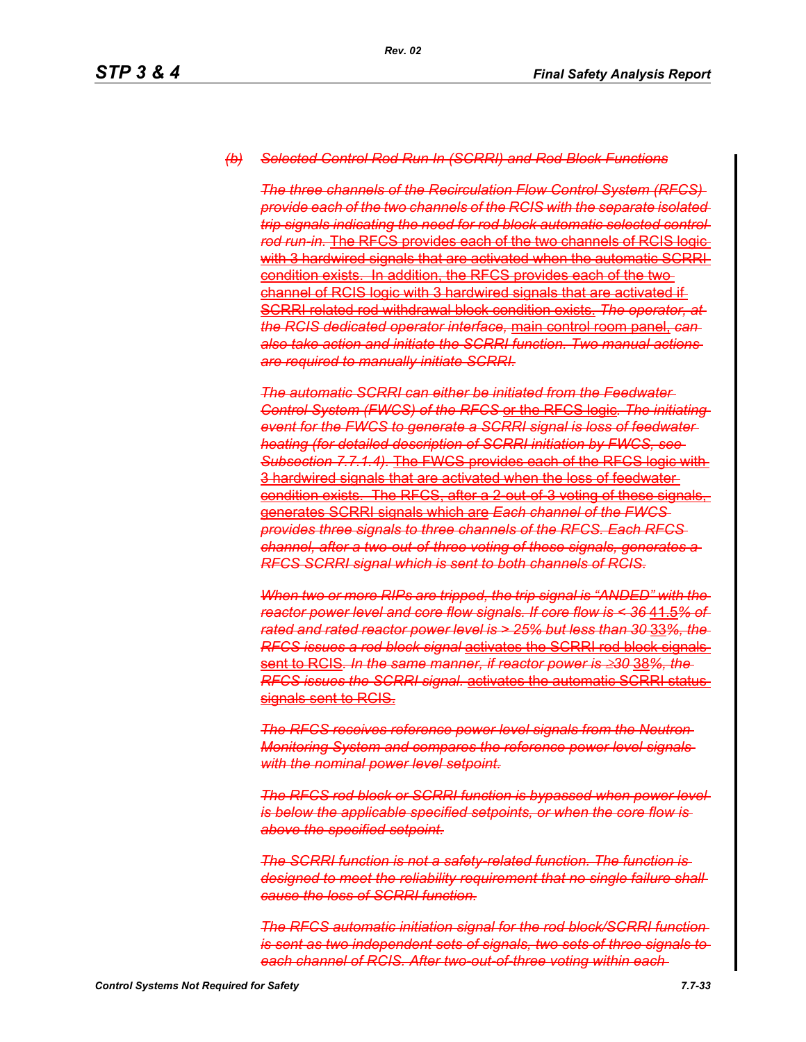#### *(b) Selected Control Rod Run In (SCRRI) and Rod Block Functions*

*The three channels of the Recirculation Flow Control System (RFCS) provide each of the two channels of the RCIS with the separate isolated trip signals indicating the need for rod block automatic selected control rod run-in.* The RFCS provides each of the two channels of RCIS logic with 3 hardwired signals that are activated when the automatic SCRRI condition exists. In addition, the RFCS provides each of the two channel of RCIS logic with 3 hardwired signals that are activated if SCRRI related rod withdrawal block condition exists. *The operator, at the RCIS dedicated operator interface,* main control room panel, *can also take action and initiate the SCRRI function. Two manual actions are required to manually initiate SCRRI.*

*The automatic SCRRI can either be initiated from the Feedwater Control System (FWCS) of the RFCS* or the RFCS logic*. The initiating event for the FWCS to generate a SCRRI signal is loss of feedwater heating (for detailed description of SCRRI initiation by FWCS, see Subsection 7.7.1.4).* The FWCS provides each of the RFCS logic with 3 hardwired signals that are activated when the loss of feedwater condition exists. The RFCS, after a 2-out-of-3 voting of these signals, generates SCRRI signals which are *Each channel of the FWCS provides three signals to three channels of the RFCS. Each RFCS channel, after a two-out-of-three voting of these signals, generates a RFCS SCRRI signal which is sent to both channels of RCIS.*

*When two or more RIPs are tripped, the trip signal is "ANDED" with the reactor power level and core flow signals. If core flow is < 36* 41.5*% of rated and rated reactor power level is > 25% but less than 30* 33*%, the RFCS issues a rod block signal* activates the SCRRI rod block signals sent to RCIS*. In the same manner, if reactor power is* ≥*30* 38*%, the RFCS issues the SCRRI signal.* activates the automatic SCRRI status signals sent to RCIS.

**The RFCS receives reference power level signals from the Neutron-***Monitoring System and compares the reference power level signals with the nominal power level setpoint.*

**The RFCS rod block or SCRRI function is bypassed when power level** *is below the applicable specified setpoints, or when the core flow is above the specified setpoint.*

*The SCRRI function is not a safety-related function. The function is designed to meet the reliability requirement that no single failure shall cause the loss of SCRRI function.*

*The RFCS automatic initiation signal for the rod block/SCRRI function is sent as two independent sets of signals, two sets of three signals to each channel of RCIS. After two-out-of-three voting within each*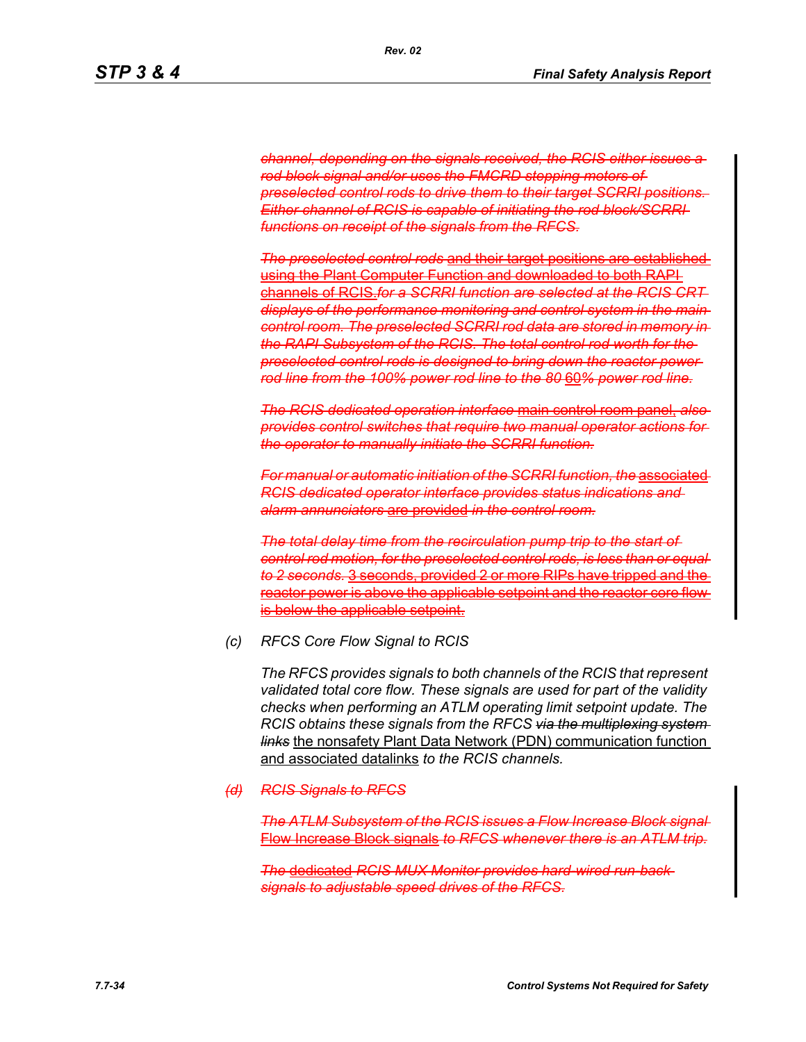*channel, depending on the signals received, the RCIS either issues a rod block signal and/or uses the FMCRD stepping motors of preselected control rods to drive them to their target SCRRI positions. Either channel of RCIS is capable of initiating the rod block/SCRRI functions on receipt of the signals from the RFCS.*

*Rev. 02*

*The preselected control rods* and their target positions are established using the Plant Computer Function and downloaded to both RAPI channels of RCIS.*for a SCRRI function are selected at the RCIS CRT displays of the performance monitoring and control system in the main control room. The preselected SCRRI rod data are stored in memory in the RAPI Subsystem of the RCIS. The total control rod worth for the preselected control rods is designed to bring down the reactor power rod line from the 100% power rod line to the 80* 60*% power rod line.*

*The RCIS dedicated operation interface* main control room panel, *also provides control switches that require two manual operator actions for the operator to manually initiate the SCRRI function.*

*For manual or automatic initiation of the SCRRI function, the* associated *RCIS dedicated operator interface provides status indications and alarm annunciators* are provided *in the control room.*

*The total delay time from the recirculation pump trip to the start of control rod motion, for the preselected control rods, is less than or equal to 2 seconds.* 3 seconds, provided 2 or more RIPs have tripped and the reactor power is above the applicable setpoint and the reactor core flow is below the applicable setpoint.

*(c) RFCS Core Flow Signal to RCIS*

*The RFCS provides signals to both channels of the RCIS that represent validated total core flow. These signals are used for part of the validity checks when performing an ATLM operating limit setpoint update. The RCIS obtains these signals from the RFCS via the multiplexing system links* the nonsafety Plant Data Network (PDN) communication function and associated datalinks *to the RCIS channels.*

#### *(d) RCIS Signals to RFCS*

*The ATLM Subsystem of the RCIS issues a Flow Increase Block signal* Flow Increase Block signals *to RFCS whenever there is an ATLM trip.*

*The* dedicated *RCIS MUX Monitor provides hard-wired run-back signals to adjustable speed drives of the RFCS.*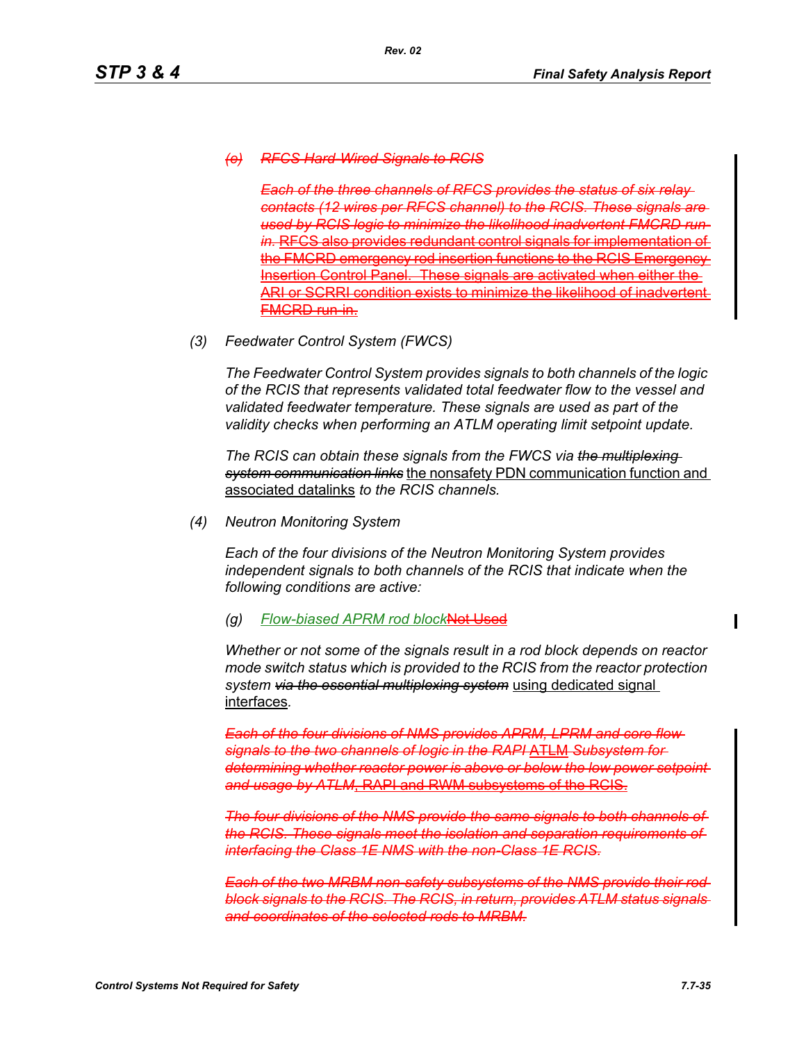## *(e) RFCS Hard-Wired Signals to RCIS*

**Each of the three channels of RFCS provides the status** *contacts (12 wires per RFCS channel) to the RCIS. These signals are used by RCIS logic to minimize the likelihood inadvertent FMCRD runin.* RFCS also provides redundant control signals for implementation of the FMCRD emergency rod insertion functions to the RCIS Insertion Control Panel. These signals are activated when either the or SCRRI condition exists to minimize the FMCRD run-in.

*(3) Feedwater Control System (FWCS)*

*The Feedwater Control System provides signals to both channels of the logic of the RCIS that represents validated total feedwater flow to the vessel and validated feedwater temperature. These signals are used as part of the validity checks when performing an ATLM operating limit setpoint update.*

*The RCIS can obtain these signals from the FWCS via the multiplexing system communication links* the nonsafety PDN communication function and associated datalinks *to the RCIS channels.*

*(4) Neutron Monitoring System*

*Each of the four divisions of the Neutron Monitoring System provides independent signals to both channels of the RCIS that indicate when the following conditions are active:*

#### *(g) Flow-biased APRM rod block*Not Used

*Whether or not some of the signals result in a rod block depends on reactor mode switch status which is provided to the RCIS from the reactor protection system via the essential multiplexing system* using dedicated signal interfaces*.*

*Each of the four divisions of NMS provides APRM, LPRM and core flow signals to the two channels of logic in the RAPI* ATLM *Subsystem for determining whether reactor power is above or below the low power setpoint and usage by ATLM*, RAPI and RWM subsystems of the RCIS.

*The four divisions of the NMS provide the same signals to both channels of the RCIS. These signals meet the isolation and separation requirements of interfacing the Class 1E NMS with the non-Class 1E RCIS.*

*Each of the two MRBM non-safety subsystems of the NMS provide their rod block signals to the RCIS. The RCIS, in return, provides ATLM status signals and coordinates of the selected rods to MRBM.*

 $\mathbf I$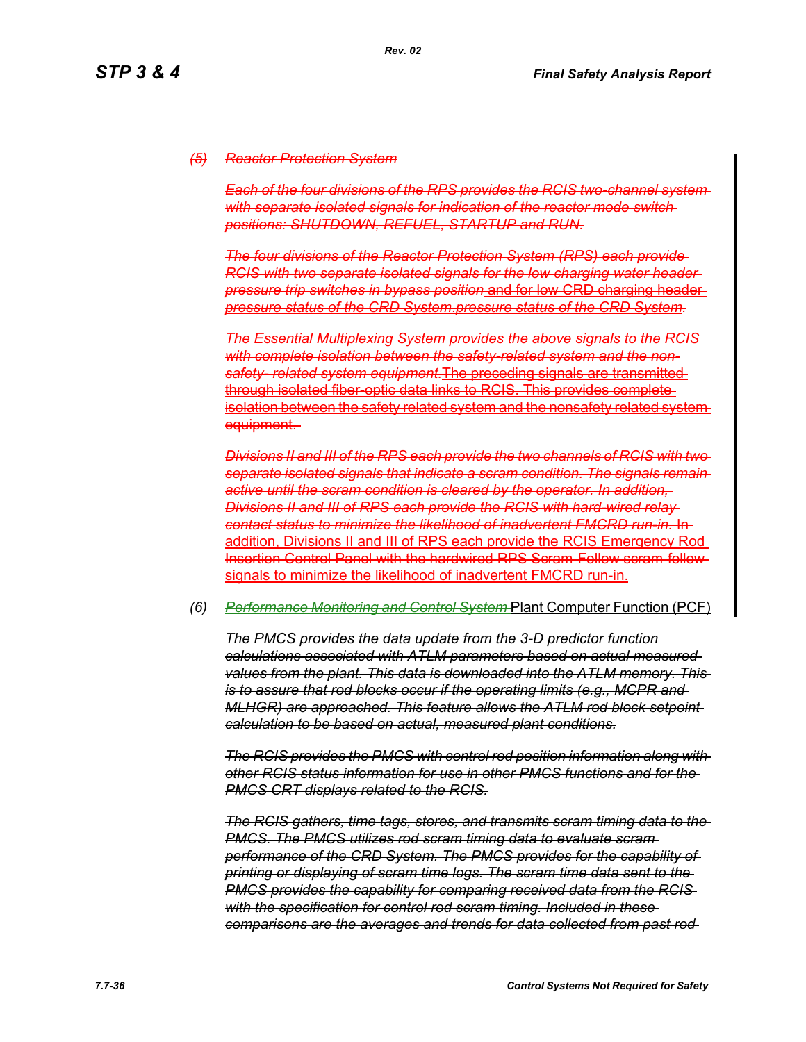#### *(5) Reactor Protection System*

*Each of the four divisions of the RPS provides the RCIS two-channel system with separate isolated signals for indication of the reactor mode switch positions: SHUTDOWN, REFUEL, STARTUP and RUN.*

*The four divisions of the Reactor Protection System (RPS) each provide RCIS with two separate isolated signals for the low charging water header pressure trip switches in bypass position* and for low CRD charging header *pressure status of the CRD System*.*pressure status of the CRD System.*

*The Essential Multiplexing System provides the above signals to the RCIS with complete isolation between the safety-related system and the nonsafety- related system equipment.*The preceding signals are transmitted through isolated fiber-optic data links to RCIS. This provides complete isolation between the safety related system and the nonsafety related system equipment.

*Divisions II and III of the RPS each provide the two channels of RCIS with two separate isolated signals that indicate a scram condition. The signals remain active until the scram condition is cleared by the operator. In addition, Divisions II and III of RPS each provide the RCIS with hard-wired relay contact status to minimize the likelihood of inadvertent FMCRD run-in.* In addition, Divisions II and III of RPS each provide the RCIS Emergency Rod Insertion Control Panel with the hardwired RPS Scram-Follow scram-follow signals to minimize the likelihood of inadvertent FMCRD run-in.

#### *(6) Performance Monitoring and Control System* Plant Computer Function (PCF)

*The PMCS provides the data update from the 3-D predictor function calculations associated with ATLM parameters based on actual measured values from the plant. This data is downloaded into the ATLM memory. This is to assure that rod blocks occur if the operating limits (e.g., MCPR and MLHGR) are approached. This feature allows the ATLM rod block setpoint calculation to be based on actual, measured plant conditions.*

*The RCIS provides the PMCS with control rod position information along with other RCIS status information for use in other PMCS functions and for the PMCS CRT displays related to the RCIS.*

*The RCIS gathers, time tags, stores, and transmits scram timing data to the PMCS. The PMCS utilizes rod scram timing data to evaluate scram performance of the CRD System. The PMCS provides for the capability of printing or displaying of scram time logs. The scram time data sent to the PMCS provides the capability for comparing received data from the RCIS with the specification for control rod scram timing. Included in these comparisons are the averages and trends for data collected from past rod*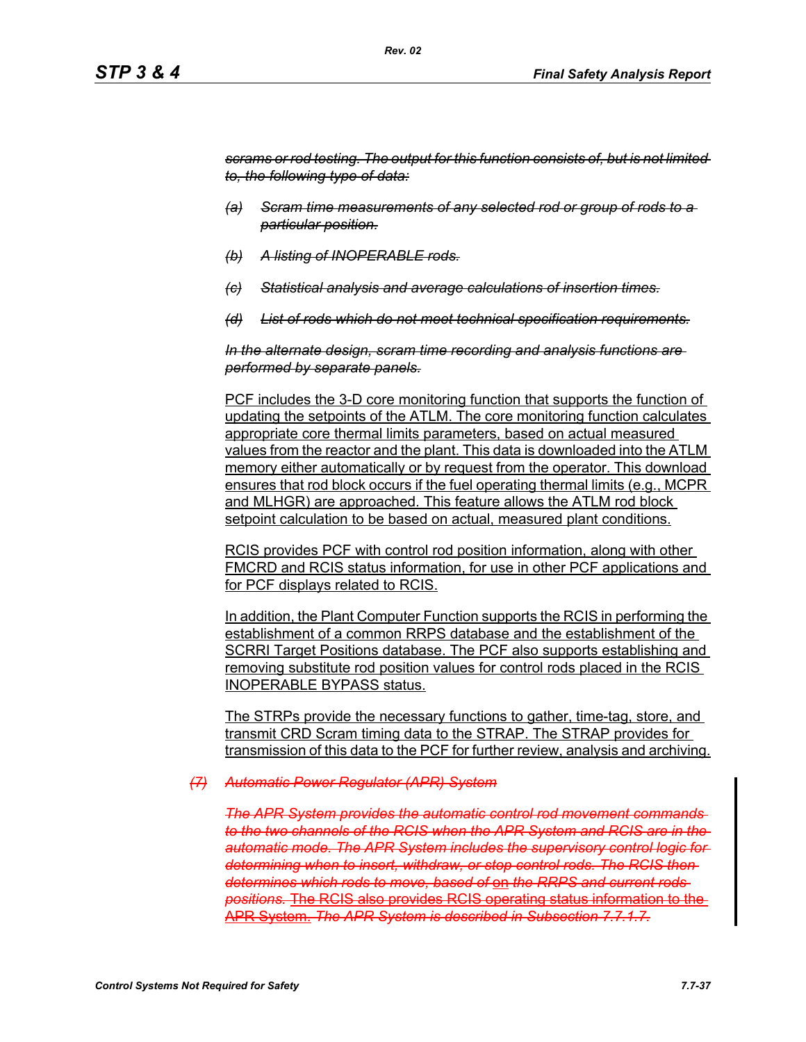*scrams or rod testing. The output for this function consists of, but is not limited to, the following type of data:*

- *(a) Scram time measurements of any selected rod or group of rods to a particular position.*
- *(b) A listing of INOPERABLE rods.*
- *(c) Statistical analysis and average calculations of insertion times.*
- *(d) List of rods which do not meet technical specification requirements.*

*In the alternate design, scram time recording and analysis functions are performed by separate panels.*

PCF includes the 3-D core monitoring function that supports the function of updating the setpoints of the ATLM. The core monitoring function calculates appropriate core thermal limits parameters, based on actual measured values from the reactor and the plant. This data is downloaded into the ATLM memory either automatically or by request from the operator. This download ensures that rod block occurs if the fuel operating thermal limits (e.g., MCPR and MLHGR) are approached. This feature allows the ATLM rod block setpoint calculation to be based on actual, measured plant conditions.

RCIS provides PCF with control rod position information, along with other FMCRD and RCIS status information, for use in other PCF applications and for PCF displays related to RCIS.

In addition, the Plant Computer Function supports the RCIS in performing the establishment of a common RRPS database and the establishment of the SCRRI Target Positions database. The PCF also supports establishing and removing substitute rod position values for control rods placed in the RCIS INOPERABLE BYPASS status.

The STRPs provide the necessary functions to gather, time-tag, store, and transmit CRD Scram timing data to the STRAP. The STRAP provides for transmission of this data to the PCF for further review, analysis and archiving.

#### *(7) Automatic Power Regulator (APR) System*

**The APR System provides the automatic control rod movement commands** *to the two channels of the RCIS when the APR System and RCIS are in the automatic mode. The APR System includes the supervisory control logic for determining when to insert, withdraw, or stop control rods. The RCIS then determines which rods to move, based of* on *the RRPS and current rods positions.* The RCIS also provides RCIS operating status information to the APR System. *The APR System is described in Subsection 7.7.1.7.*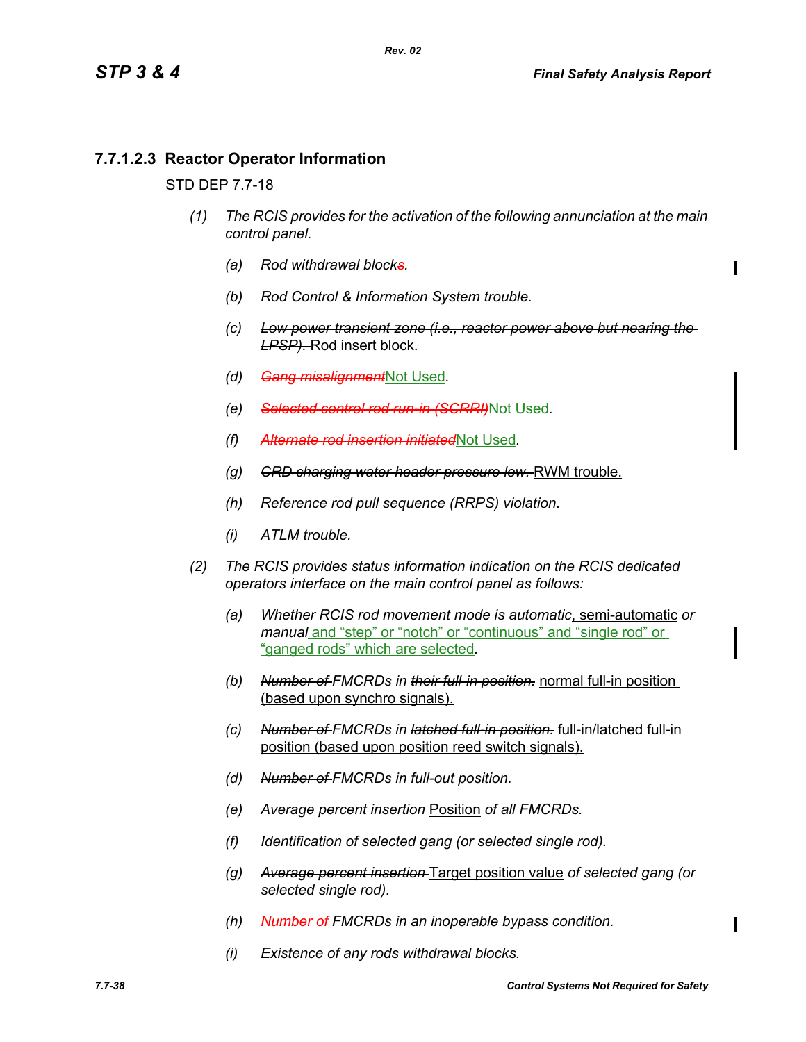Π

# **7.7.1.2.3 Reactor Operator Information**

## STD DEP 7.7-18

- *(1) The RCIS provides for the activation of the following annunciation at the main control panel.*
	- *(a) Rod withdrawal blocks.*
	- *(b) Rod Control & Information System trouble.*
	- *(c) Low power transient zone (i.e., reactor power above but nearing the LPSP).* Rod insert block.
	- *(d) Gang misalignment*Not Used*.*
	- *(e) Selected control rod run-in (SCRRI)*Not Used*.*
	- *(f) Alternate rod insertion initiated*Not Used*.*
	- *(g) CRD charging water header pressure low.* RWM trouble.
	- *(h) Reference rod pull sequence (RRPS) violation.*
	- *(i) ATLM trouble.*
- *(2) The RCIS provides status information indication on the RCIS dedicated operators interface on the main control panel as follows:*
	- *(a) Whether RCIS rod movement mode is automatic*, semi-automatic *or manual* and "step" or "notch" or "continuous" and "single rod" or "ganged rods" which are selected*.*
	- *(b) Number of FMCRDs in their full-in position.* normal full-in position (based upon synchro signals).
	- *(c) Number of FMCRDs in latched full-in position.* full-in/latched full-in position (based upon position reed switch signals).
	- *(d) Number of FMCRDs in full-out position.*
	- *(e) Average percent insertion* Position *of all FMCRDs.*
	- *(f) Identification of selected gang (or selected single rod).*
	- *(g) Average percent insertion* Target position value *of selected gang (or selected single rod).*
	- *(h) Number of FMCRDs in an inoperable bypass condition.*
	- *(i) Existence of any rods withdrawal blocks.*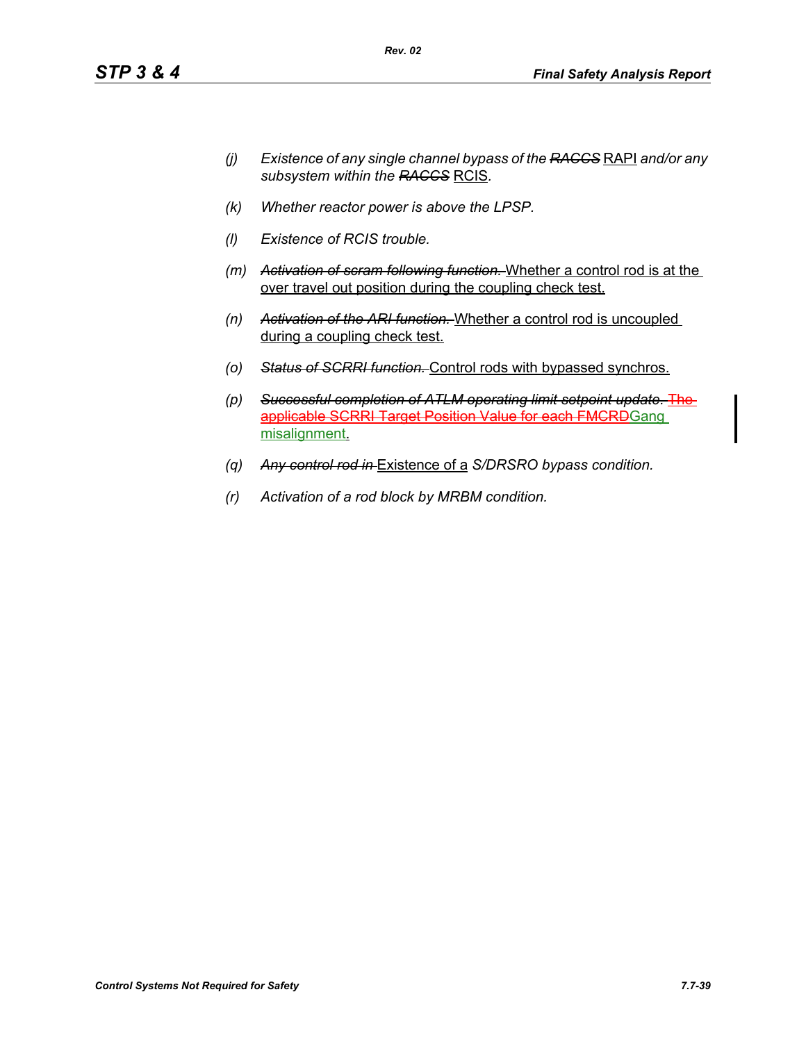- *(j) Existence of any single channel bypass of the RACCS* RAPI *and/or any subsystem within the RACCS* RCIS*.*
- *(k) Whether reactor power is above the LPSP.*
- *(l) Existence of RCIS trouble.*
- *(m) Activation of scram following function.* Whether a control rod is at the over travel out position during the coupling check test.
- *(n) Activation of the ARI function.* Whether a control rod is uncoupled during a coupling check test.
- *(o) Status of SCRRI function.* Control rods with bypassed synchros.
- *(p) Successful completion of ATLM operating limit setpoint update.* The applicable SCRRI Target Position Value for each FMCRDGang misalignment.
- *(q) Any control rod in* Existence of a *S/DRSRO bypass condition.*
- *(r) Activation of a rod block by MRBM condition.*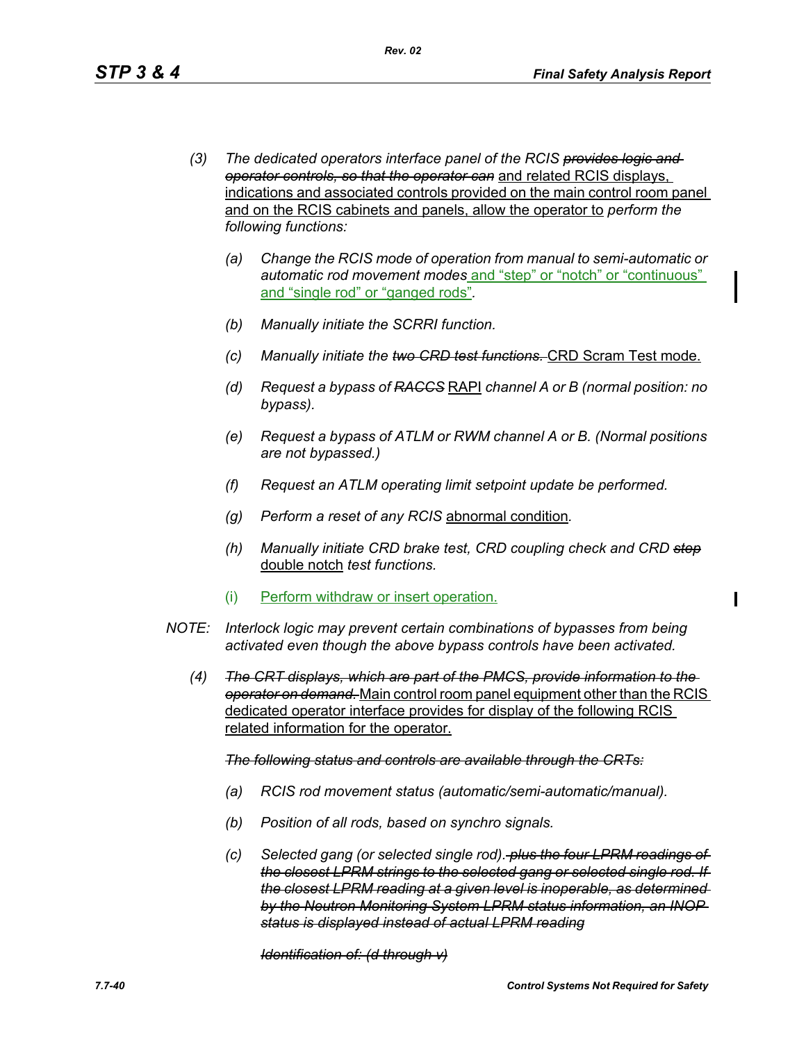- *(3) The dedicated operators interface panel of the RCIS provides logic and operator controls, so that the operator can* and related RCIS displays, indications and associated controls provided on the main control room panel and on the RCIS cabinets and panels, allow the operator to *perform the following functions:*
	- *(a) Change the RCIS mode of operation from manual to semi-automatic or automatic rod movement modes* and "step" or "notch" or "continuous" and "single rod" or "ganged rods"*.*
	- *(b) Manually initiate the SCRRI function.*
	- *(c) Manually initiate the two CRD test functions.* CRD Scram Test mode.
	- *(d) Request a bypass of RACCS* RAPI *channel A or B (normal position: no bypass).*
	- *(e) Request a bypass of ATLM or RWM channel A or B. (Normal positions are not bypassed.)*
	- *(f) Request an ATLM operating limit setpoint update be performed.*
	- *(g) Perform a reset of any RCIS* abnormal condition*.*
	- *(h) Manually initiate CRD brake test, CRD coupling check and CRD step* double notch *test functions.*
	- (i) Perform withdraw or insert operation.
- *NOTE: Interlock logic may prevent certain combinations of bypasses from being activated even though the above bypass controls have been activated.*
	- *(4) The CRT displays, which are part of the PMCS, provide information to the operator on demand.* Main control room panel equipment other than the RCIS dedicated operator interface provides for display of the following RCIS related information for the operator.

*The following status and controls are available through the CRTs:*

- *(a) RCIS rod movement status (automatic/semi-automatic/manual).*
- *(b) Position of all rods, based on synchro signals.*
- *(c) Selected gang (or selected single rod). plus the four LPRM readings of the closest LPRM strings to the selected gang or selected single rod. If the closest LPRM reading at a given level is inoperable, as determined by the Neutron Monitoring System LPRM status information, an INOP status is displayed instead of actual LPRM reading*

*Identification of: (d through v)*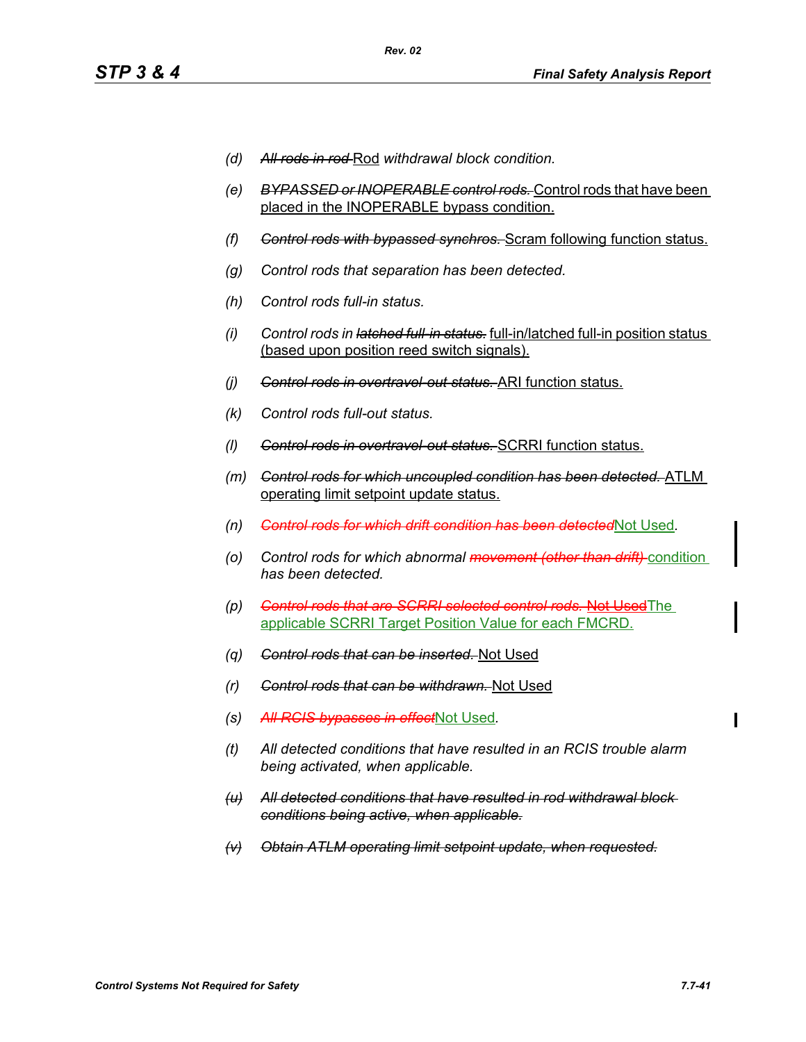- *(d) All rods in rod* Rod *withdrawal block condition.*
- *(e) BYPASSED or INOPERABLE control rods.* Control rods that have been placed in the INOPERABLE bypass condition.
- *(f) Control rods with bypassed synchros.* Scram following function status.
- *(g) Control rods that separation has been detected.*
- *(h) Control rods full-in status.*
- *(i) Control rods in latched full-in status.* full-in/latched full-in position status (based upon position reed switch signals).
- *(j) Control rods in overtravel-out status.* ARI function status.
- *(k) Control rods full-out status.*
- *(l) Control rods in overtravel-out status.* SCRRI function status.
- *(m) Control rods for which uncoupled condition has been detected.* ATLM operating limit setpoint update status.
- *(n) Control rods for which drift condition has been detected*Not Used*.*
- *(o) Control rods for which abnormal movement (other than drift)* condition *has been detected.*
- *(p) Control rods that are SCRRI selected control rods.* Not UsedThe applicable SCRRI Target Position Value for each FMCRD.
- *(q) Control rods that can be inserted.* Not Used
- *(r) Control rods that can be withdrawn.* Not Used
- *(s) All RCIS bypasses in effect*Not Used*.*
- *(t) All detected conditions that have resulted in an RCIS trouble alarm being activated, when applicable.*
- *(u) All detected conditions that have resulted in rod withdrawal block conditions being active, when applicable.*
- *(v) Obtain ATLM operating limit setpoint update, when requested.*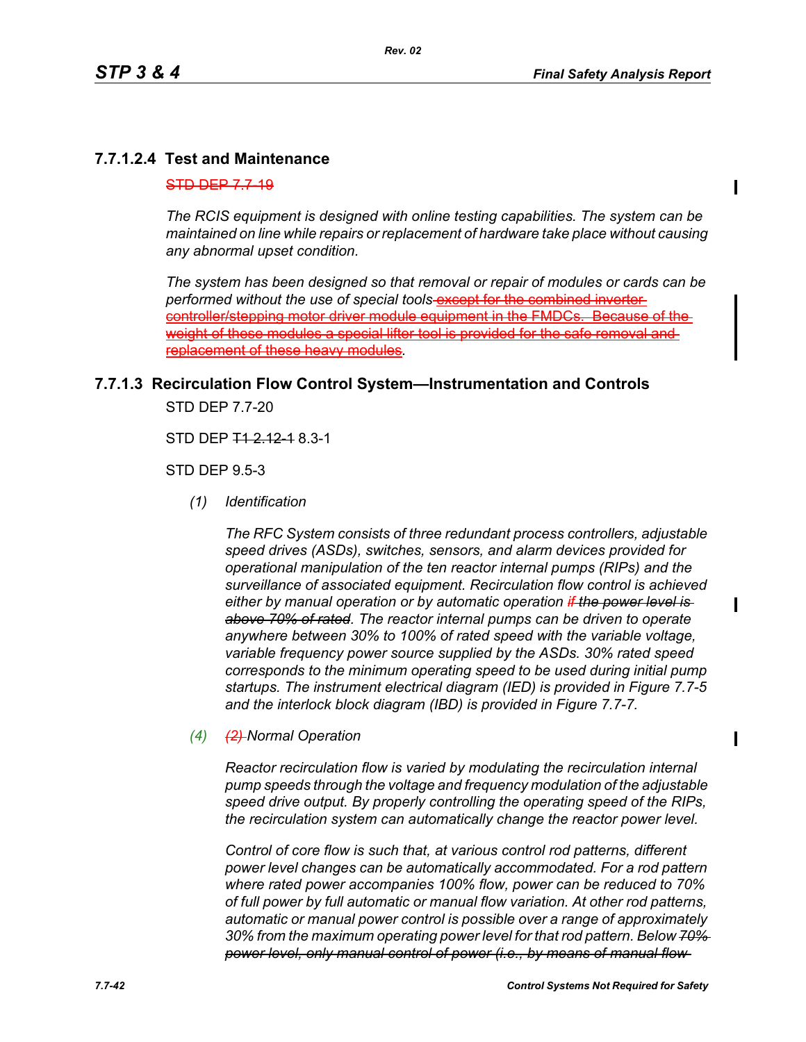$\mathbf I$ 

Π

# **7.7.1.2.4 Test and Maintenance**

#### $STD$  DEP 7.7-19

*The RCIS equipment is designed with online testing capabilities. The system can be maintained on line while repairs or replacement of hardware take place without causing any abnormal upset condition.*

*The system has been designed so that removal or repair of modules or cards can be*  performed without the use of special tools-**except for the combined inverter** controller/stepping motor driver module equipment in the FMDCs weight of these modules a special lifter tool is provided for the replacement of these heavy modules*.*

# **7.7.1.3 Recirculation Flow Control System—Instrumentation and Controls**

STD DEP 7.7-20

STD DEP  $712.1218.3-1$ 

STD DEP 9.5-3

*(1) Identification*

*The RFC System consists of three redundant process controllers, adjustable speed drives (ASDs), switches, sensors, and alarm devices provided for operational manipulation of the ten reactor internal pumps (RIPs) and the surveillance of associated equipment. Recirculation flow control is achieved either by manual operation or by automatic operation if the power level is above 70% of rated. The reactor internal pumps can be driven to operate anywhere between 30% to 100% of rated speed with the variable voltage, variable frequency power source supplied by the ASDs. 30% rated speed corresponds to the minimum operating speed to be used during initial pump startups. The instrument electrical diagram (IED) is provided in Figure 7.7-5 and the interlock block diagram (IBD) is provided in Figure 7.7-7.*

*(4) (2) Normal Operation*

*Reactor recirculation flow is varied by modulating the recirculation internal pump speeds through the voltage and frequency modulation of the adjustable speed drive output. By properly controlling the operating speed of the RIPs, the recirculation system can automatically change the reactor power level.*

*Control of core flow is such that, at various control rod patterns, different power level changes can be automatically accommodated. For a rod pattern where rated power accompanies 100% flow, power can be reduced to 70% of full power by full automatic or manual flow variation. At other rod patterns, automatic or manual power control is possible over a range of approximately 30% from the maximum operating power level for that rod pattern. Below 70% power level, only manual control of power (i.e., by means of manual flow*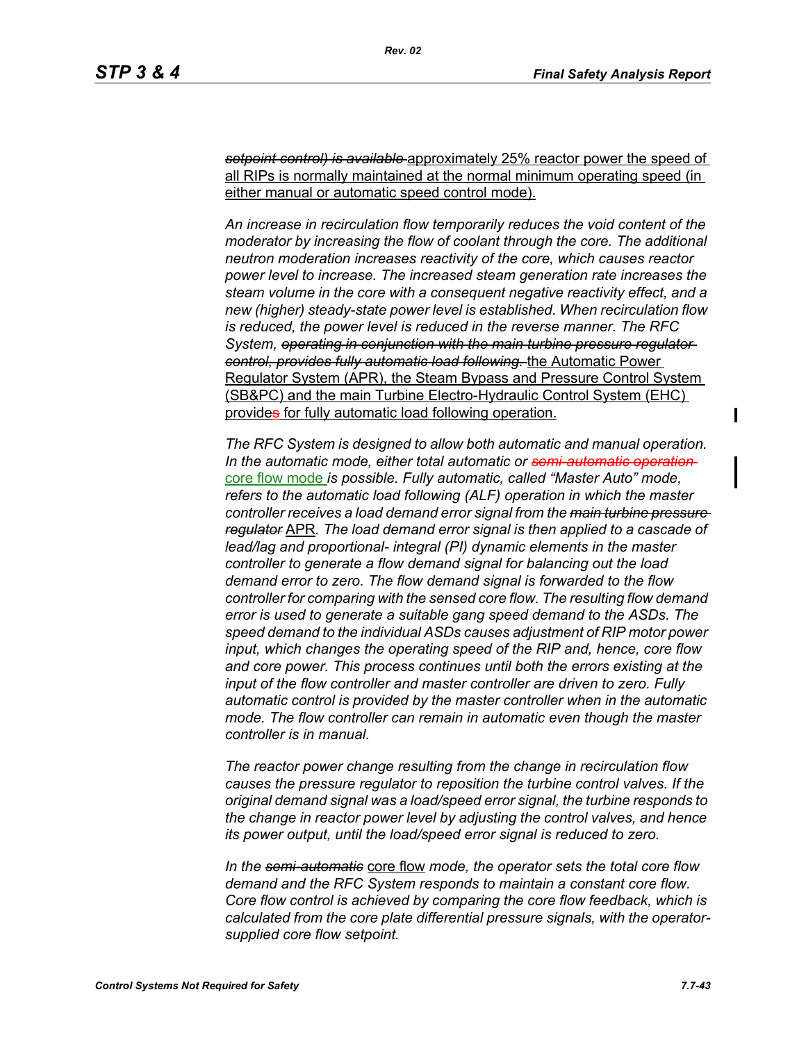*setpoint control) is available* approximately 25% reactor power the speed of all RIPs is normally maintained at the normal minimum operating speed (in either manual or automatic speed control mode).

*An increase in recirculation flow temporarily reduces the void content of the moderator by increasing the flow of coolant through the core. The additional neutron moderation increases reactivity of the core, which causes reactor power level to increase. The increased steam generation rate increases the steam volume in the core with a consequent negative reactivity effect, and a new (higher) steady-state power level is established. When recirculation flow is reduced, the power level is reduced in the reverse manner. The RFC System, operating in conjunction with the main turbine pressure regulator control, provides fully automatic load following.* the Automatic Power Regulator System (APR), the Steam Bypass and Pressure Control System (SB&PC) and the main Turbine Electro-Hydraulic Control System (EHC) provides for fully automatic load following operation.

*The RFC System is designed to allow both automatic and manual operation. In the automatic mode, either total automatic or semi-automatic operation*  core flow mode *is possible. Fully automatic, called "Master Auto" mode, refers to the automatic load following (ALF) operation in which the master controller receives a load demand error signal from the main turbine pressure regulator* APR*. The load demand error signal is then applied to a cascade of lead/lag and proportional- integral (PI) dynamic elements in the master controller to generate a flow demand signal for balancing out the load demand error to zero. The flow demand signal is forwarded to the flow controller for comparing with the sensed core flow. The resulting flow demand error is used to generate a suitable gang speed demand to the ASDs. The speed demand to the individual ASDs causes adjustment of RIP motor power input, which changes the operating speed of the RIP and, hence, core flow and core power. This process continues until both the errors existing at the input of the flow controller and master controller are driven to zero. Fully automatic control is provided by the master controller when in the automatic mode. The flow controller can remain in automatic even though the master controller is in manual.*

*The reactor power change resulting from the change in recirculation flow causes the pressure regulator to reposition the turbine control valves. If the original demand signal was a load/speed error signal, the turbine responds to the change in reactor power level by adjusting the control valves, and hence its power output, until the load/speed error signal is reduced to zero.*

*In the semi-automatic* core flow *mode, the operator sets the total core flow demand and the RFC System responds to maintain a constant core flow. Core flow control is achieved by comparing the core flow feedback, which is calculated from the core plate differential pressure signals, with the operatorsupplied core flow setpoint.*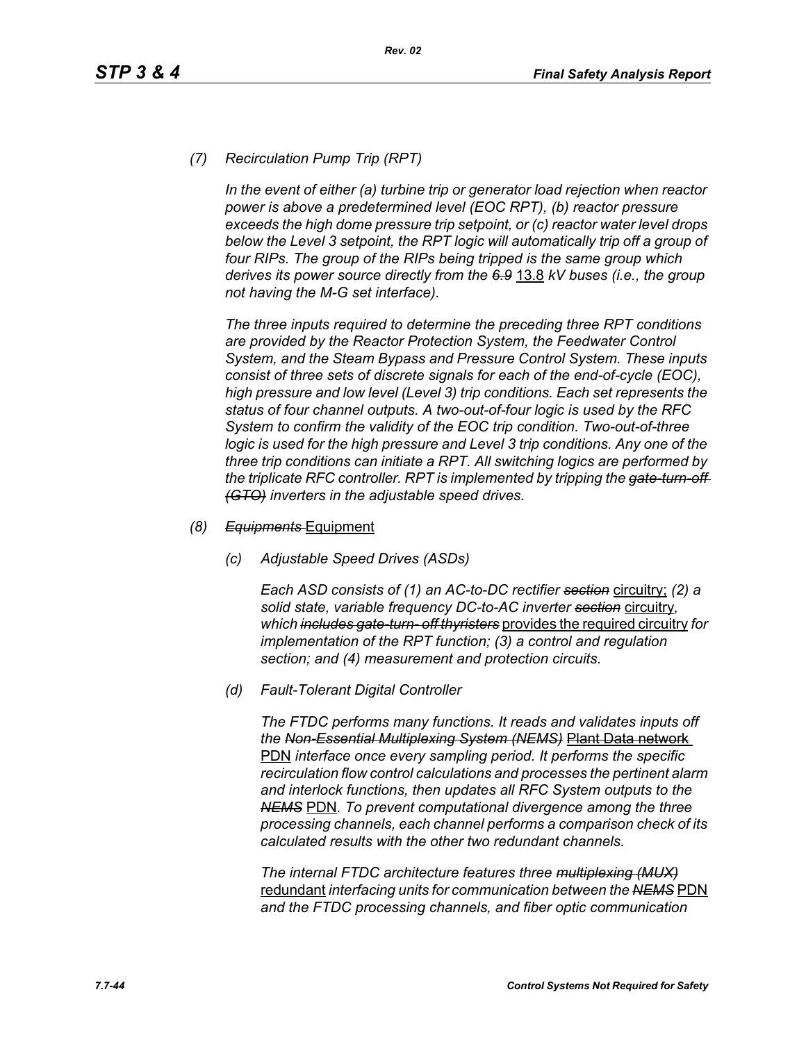## *(7) Recirculation Pump Trip (RPT)*

*In the event of either (a) turbine trip or generator load rejection when reactor power is above a predetermined level (EOC RPT), (b) reactor pressure exceeds the high dome pressure trip setpoint, or (c) reactor water level drops*  below the Level 3 setpoint, the RPT logic will automatically trip off a group of *four RIPs. The group of the RIPs being tripped is the same group which derives its power source directly from the 6.9* 13.8 *kV buses (i.e., the group not having the M-G set interface).*

*The three inputs required to determine the preceding three RPT conditions are provided by the Reactor Protection System, the Feedwater Control System, and the Steam Bypass and Pressure Control System. These inputs consist of three sets of discrete signals for each of the end-of-cycle (EOC), high pressure and low level (Level 3) trip conditions. Each set represents the status of four channel outputs. A two-out-of-four logic is used by the RFC System to confirm the validity of the EOC trip condition. Two-out-of-three logic is used for the high pressure and Level 3 trip conditions. Any one of the three trip conditions can initiate a RPT. All switching logics are performed by the triplicate RFC controller. RPT is implemented by tripping the gate-turn-off (GTO) inverters in the adjustable speed drives.*

#### *(8) Equipments* Equipment

*(c) Adjustable Speed Drives (ASDs)*

*Each ASD consists of (1) an AC-to-DC rectifier section* circuitry; *(2) a solid state, variable frequency DC-to-AC inverter section* circuitry*, which includes gate-turn- off thyristers* provides the required circuitry *for implementation of the RPT function; (3) a control and regulation section; and (4) measurement and protection circuits.*

*(d) Fault-Tolerant Digital Controller*

*The FTDC performs many functions. It reads and validates inputs off the Non-Essential Multiplexing System (NEMS)* Plant Data network PDN *interface once every sampling period. It performs the specific recirculation flow control calculations and processes the pertinent alarm and interlock functions, then updates all RFC System outputs to the NEMS* PDN*. To prevent computational divergence among the three processing channels, each channel performs a comparison check of its calculated results with the other two redundant channels.*

*The internal FTDC architecture features three multiplexing (MUX)* redundant *interfacing units for communication between the NEMS* PDN *and the FTDC processing channels, and fiber optic communication*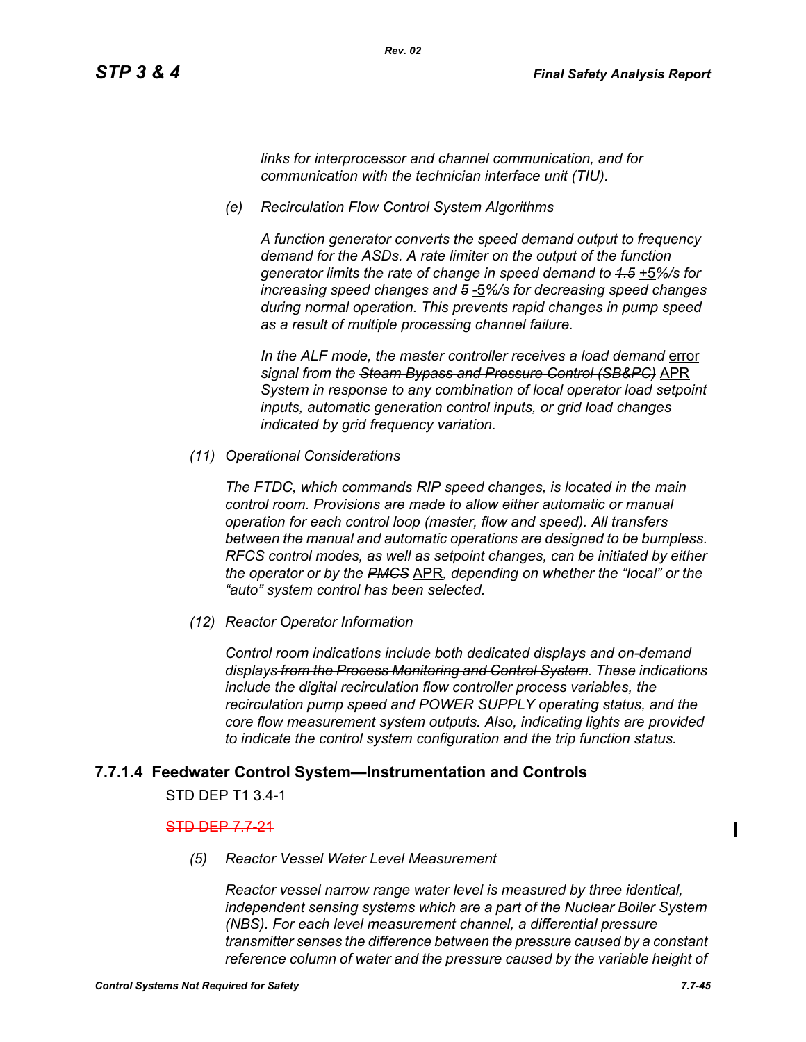*links for interprocessor and channel communication, and for communication with the technician interface unit (TIU).*

*(e) Recirculation Flow Control System Algorithms*

*Rev. 02*

*A function generator converts the speed demand output to frequency demand for the ASDs. A rate limiter on the output of the function generator limits the rate of change in speed demand to 1.5* +5*%/s for increasing speed changes and 5* -5*%/s for decreasing speed changes during normal operation. This prevents rapid changes in pump speed as a result of multiple processing channel failure.*

In the ALF mode, the master controller receives a load demand error *signal from the Steam Bypass and Pressure Control (SB&PC)* APR *System in response to any combination of local operator load setpoint inputs, automatic generation control inputs, or grid load changes indicated by grid frequency variation.*

*(11) Operational Considerations*

*The FTDC, which commands RIP speed changes, is located in the main control room. Provisions are made to allow either automatic or manual operation for each control loop (master, flow and speed). All transfers between the manual and automatic operations are designed to be bumpless. RFCS control modes, as well as setpoint changes, can be initiated by either the operator or by the PMCS* APR*, depending on whether the "local" or the "auto" system control has been selected.*

*(12) Reactor Operator Information*

*Control room indications include both dedicated displays and on-demand displays from the Process Monitoring and Control System. These indications include the digital recirculation flow controller process variables, the recirculation pump speed and POWER SUPPLY operating status, and the core flow measurement system outputs. Also, indicating lights are provided to indicate the control system configuration and the trip function status.*

# **7.7.1.4 Feedwater Control System—Instrumentation and Controls**

STD DEP T1 3.4-1

## STD DEP 7.7-21

*(5) Reactor Vessel Water Level Measurement* 

*Reactor vessel narrow range water level is measured by three identical, independent sensing systems which are a part of the Nuclear Boiler System (NBS). For each level measurement channel, a differential pressure transmitter senses the difference between the pressure caused by a constant reference column of water and the pressure caused by the variable height of* 

Ι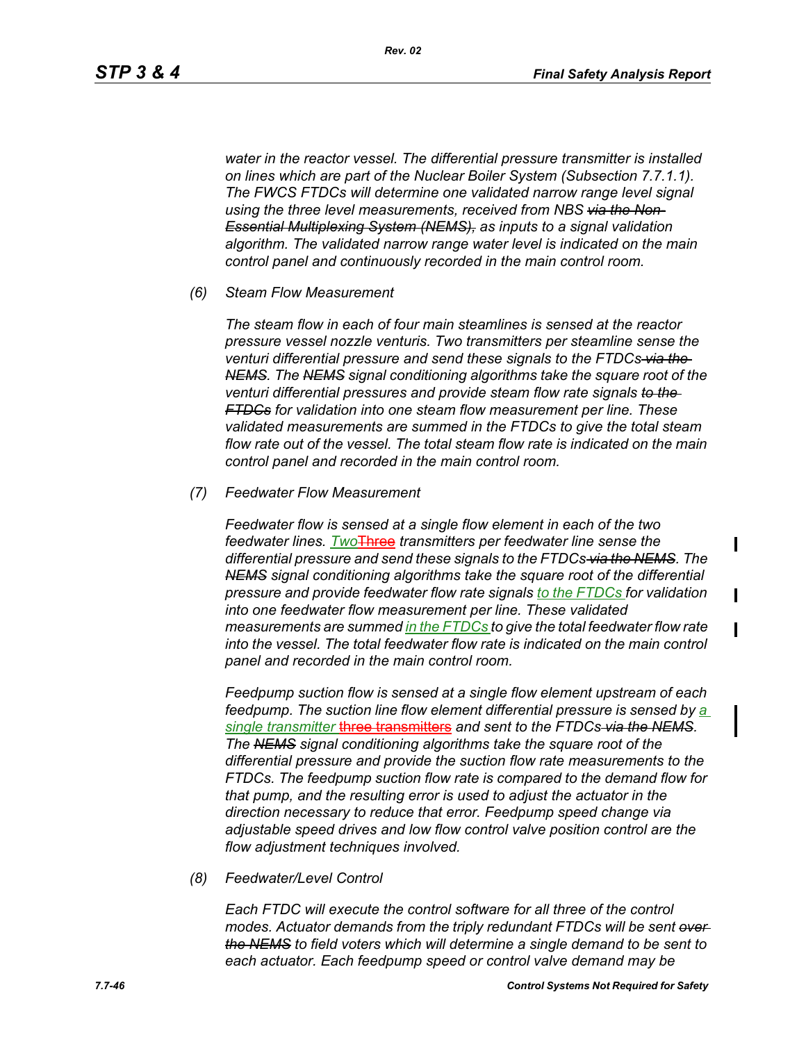Ι

П

*water in the reactor vessel. The differential pressure transmitter is installed on lines which are part of the Nuclear Boiler System (Subsection 7.7.1.1). The FWCS FTDCs will determine one validated narrow range level signal using the three level measurements, received from NBS via the Non-Essential Multiplexing System (NEMS), as inputs to a signal validation algorithm. The validated narrow range water level is indicated on the main control panel and continuously recorded in the main control room.*

#### *(6) Steam Flow Measurement*

*The steam flow in each of four main steamlines is sensed at the reactor pressure vessel nozzle venturis. Two transmitters per steamline sense the venturi differential pressure and send these signals to the FTDCs via the NEMS. The NEMS signal conditioning algorithms take the square root of the venturi differential pressures and provide steam flow rate signals to the FTDCs for validation into one steam flow measurement per line. These validated measurements are summed in the FTDCs to give the total steam flow rate out of the vessel. The total steam flow rate is indicated on the main control panel and recorded in the main control room.*

#### *(7) Feedwater Flow Measurement*

*Feedwater flow is sensed at a single flow element in each of the two feedwater lines. Two*Three *transmitters per feedwater line sense the differential pressure and send these signals to the FTDCs via the NEMS. The NEMS signal conditioning algorithms take the square root of the differential pressure and provide feedwater flow rate signals to the FTDCs for validation into one feedwater flow measurement per line. These validated measurements are summed in the FTDCs to give the total feedwater flow rate into the vessel. The total feedwater flow rate is indicated on the main control panel and recorded in the main control room.*

*Feedpump suction flow is sensed at a single flow element upstream of each feedpump. The suction line flow element differential pressure is sensed by a single transmitter* three transmitters *and sent to the FTDCs via the NEMS. The NEMS signal conditioning algorithms take the square root of the differential pressure and provide the suction flow rate measurements to the FTDCs. The feedpump suction flow rate is compared to the demand flow for that pump, and the resulting error is used to adjust the actuator in the direction necessary to reduce that error. Feedpump speed change via adjustable speed drives and low flow control valve position control are the flow adjustment techniques involved.*

*(8) Feedwater/Level Control*

*Each FTDC will execute the control software for all three of the control modes. Actuator demands from the triply redundant FTDCs will be sent over the NEMS to field voters which will determine a single demand to be sent to each actuator. Each feedpump speed or control valve demand may be*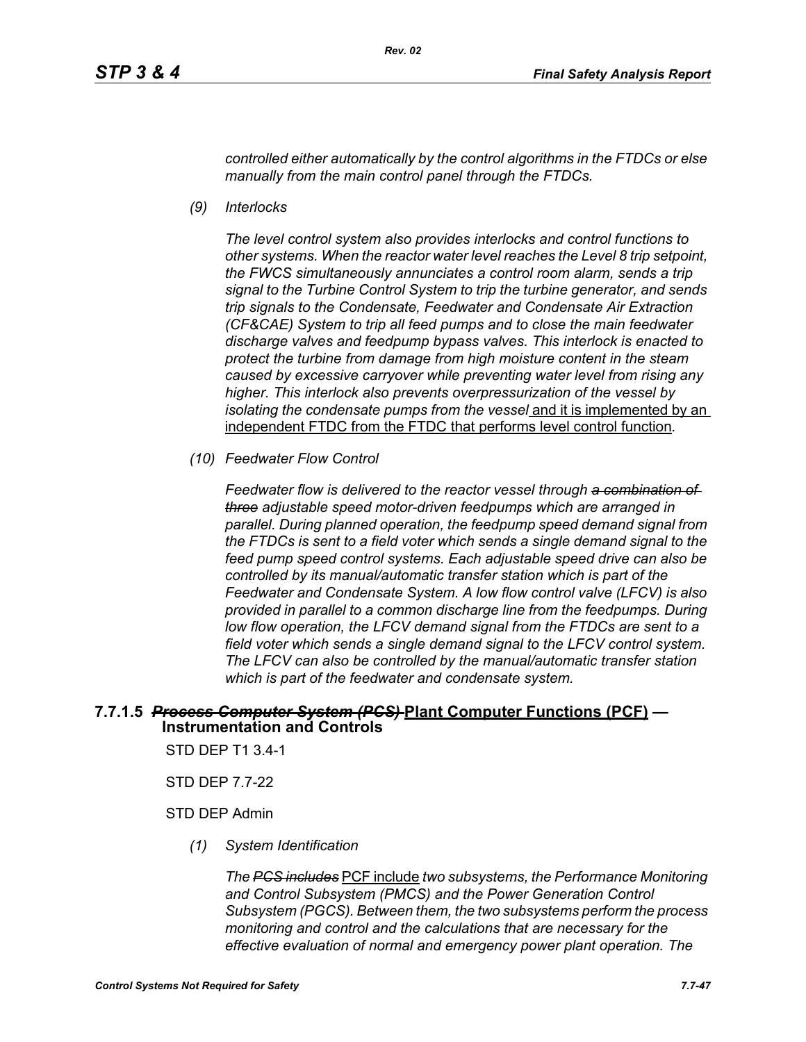*Rev. 02*

*controlled either automatically by the control algorithms in the FTDCs or else manually from the main control panel through the FTDCs.*

*(9) Interlocks*

*The level control system also provides interlocks and control functions to other systems. When the reactor water level reaches the Level 8 trip setpoint, the FWCS simultaneously annunciates a control room alarm, sends a trip signal to the Turbine Control System to trip the turbine generator, and sends trip signals to the Condensate, Feedwater and Condensate Air Extraction (CF&CAE) System to trip all feed pumps and to close the main feedwater discharge valves and feedpump bypass valves. This interlock is enacted to protect the turbine from damage from high moisture content in the steam caused by excessive carryover while preventing water level from rising any higher. This interlock also prevents overpressurization of the vessel by isolating the condensate pumps from the vessel* and it is implemented by an independent FTDC from the FTDC that performs level control function*.*

*(10) Feedwater Flow Control*

*Feedwater flow is delivered to the reactor vessel through a combination of three adjustable speed motor-driven feedpumps which are arranged in parallel. During planned operation, the feedpump speed demand signal from the FTDCs is sent to a field voter which sends a single demand signal to the feed pump speed control systems. Each adjustable speed drive can also be controlled by its manual/automatic transfer station which is part of the Feedwater and Condensate System. A low flow control valve (LFCV) is also provided in parallel to a common discharge line from the feedpumps. During low flow operation, the LFCV demand signal from the FTDCs are sent to a field voter which sends a single demand signal to the LFCV control system. The LFCV can also be controlled by the manual/automatic transfer station which is part of the feedwater and condensate system.*

# **7.7.1.5** *Process Computer System (PCS)* **Plant Computer Functions (PCF) — Instrumentation and Controls**

STD DEP T1 3.4-1

STD DEP 7.7-22

#### STD DEP Admin

*(1) System Identification*

*The PCS includes* PCF include *two subsystems, the Performance Monitoring and Control Subsystem (PMCS) and the Power Generation Control Subsystem (PGCS). Between them, the two subsystems perform the process monitoring and control and the calculations that are necessary for the effective evaluation of normal and emergency power plant operation. The*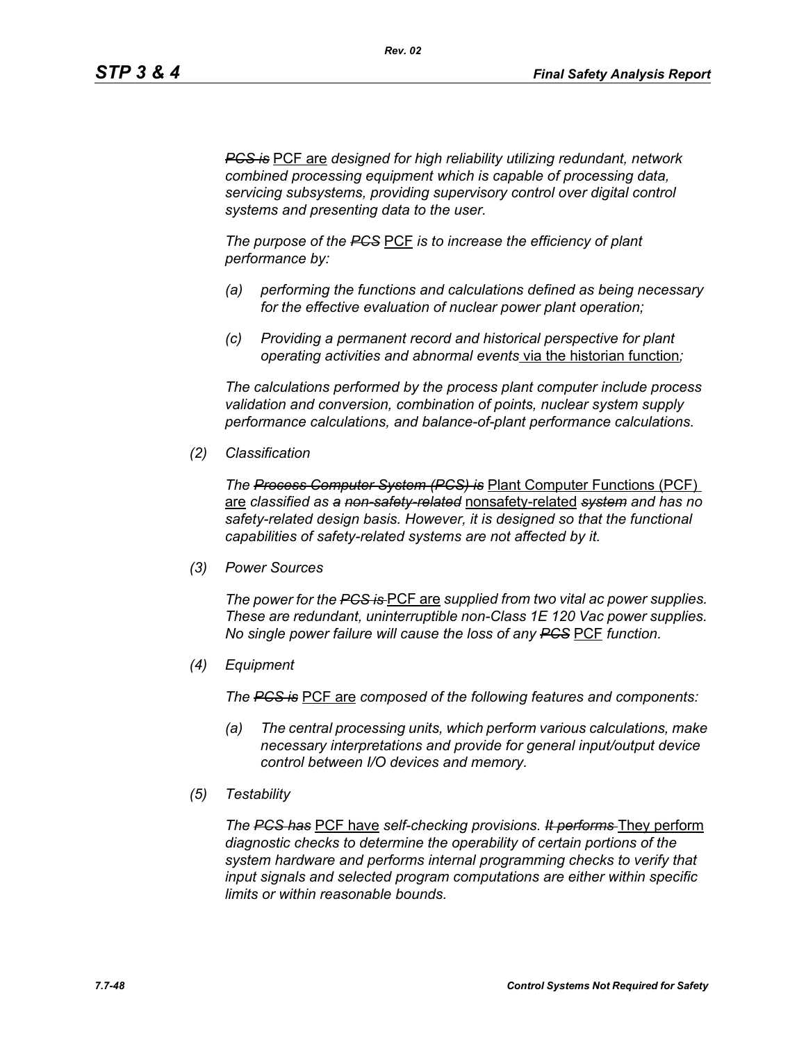*PCS is* PCF are *designed for high reliability utilizing redundant, network combined processing equipment which is capable of processing data, servicing subsystems, providing supervisory control over digital control systems and presenting data to the user.*

*The purpose of the PCS* PCF *is to increase the efficiency of plant performance by:*

- *(a) performing the functions and calculations defined as being necessary for the effective evaluation of nuclear power plant operation;*
- *(c) Providing a permanent record and historical perspective for plant operating activities and abnormal events* via the historian function*;*

*The calculations performed by the process plant computer include process validation and conversion, combination of points, nuclear system supply performance calculations, and balance-of-plant performance calculations.*

*(2) Classification*

*The Process Computer System (PCS) is* Plant Computer Functions (PCF) are *classified as a non-safety-related* nonsafety-related *system and has no safety-related design basis. However, it is designed so that the functional capabilities of safety-related systems are not affected by it.*

*(3) Power Sources*

*The power for the PCS is* PCF are *supplied from two vital ac power supplies. These are redundant, uninterruptible non-Class 1E 120 Vac power supplies. No single power failure will cause the loss of any PCS* PCF *function.*

*(4) Equipment*

*The PCS is* PCF are *composed of the following features and components:*

- *(a) The central processing units, which perform various calculations, make necessary interpretations and provide for general input/output device control between I/O devices and memory.*
- *(5) Testability*

*The PCS has* PCF have *self-checking provisions. It performs* They perform *diagnostic checks to determine the operability of certain portions of the system hardware and performs internal programming checks to verify that input signals and selected program computations are either within specific limits or within reasonable bounds.*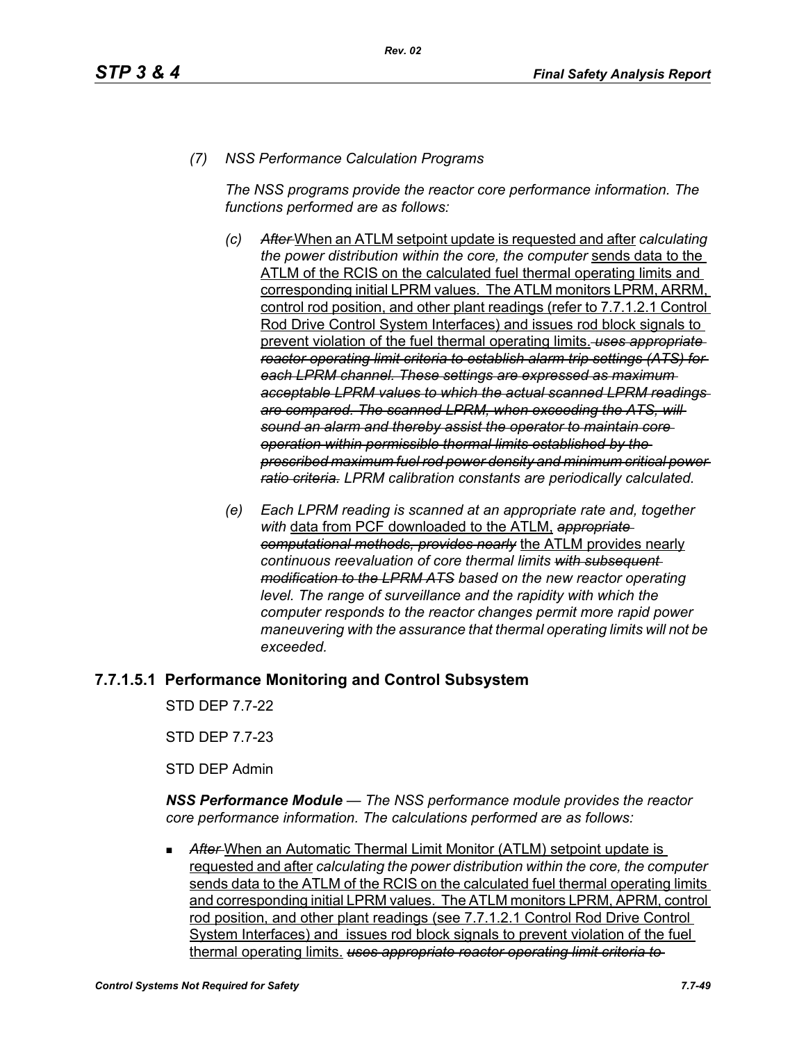## *(7) NSS Performance Calculation Programs*

*The NSS programs provide the reactor core performance information. The functions performed are as follows:*

- *(c) After* When an ATLM setpoint update is requested and after *calculating the power distribution within the core, the computer* sends data to the ATLM of the RCIS on the calculated fuel thermal operating limits and corresponding initial LPRM values. The ATLM monitors LPRM, ARRM, control rod position, and other plant readings (refer to 7.7.1.2.1 Control Rod Drive Control System Interfaces) and issues rod block signals to prevent violation of the fuel thermal operating limits. *uses appropriate reactor operating limit criteria to establish alarm trip settings (ATS) for each LPRM channel. These settings are expressed as maximum acceptable LPRM values to which the actual scanned LPRM readings are compared. The scanned LPRM, when exceeding the ATS, will sound an alarm and thereby assist the operator to maintain core operation within permissible thermal limits established by the prescribed maximum fuel rod power density and minimum critical power ratio criteria. LPRM calibration constants are periodically calculated.*
- *(e) Each LPRM reading is scanned at an appropriate rate and, together with* data from PCF downloaded to the ATLM, *appropriate computational methods, provides nearly* the ATLM provides nearly *continuous reevaluation of core thermal limits with subsequent modification to the LPRM ATS based on the new reactor operating*  level. The range of surveillance and the rapidity with which the *computer responds to the reactor changes permit more rapid power maneuvering with the assurance that thermal operating limits will not be exceeded.*

# **7.7.1.5.1 Performance Monitoring and Control Subsystem**

STD DEP 7.7-22

STD DEP 7.7-23

STD DEP Admin

*NSS Performance Module — The NSS performance module provides the reactor core performance information. The calculations performed are as follows:*

After-When an Automatic Thermal Limit Monitor (ATLM) setpoint update is requested and after *calculating the power distribution within the core, the computer*  sends data to the ATLM of the RCIS on the calculated fuel thermal operating limits and corresponding initial LPRM values. The ATLM monitors LPRM, APRM, control rod position, and other plant readings (see 7.7.1.2.1 Control Rod Drive Control System Interfaces) and issues rod block signals to prevent violation of the fuel thermal operating limits. *uses appropriate reactor operating limit criteria to*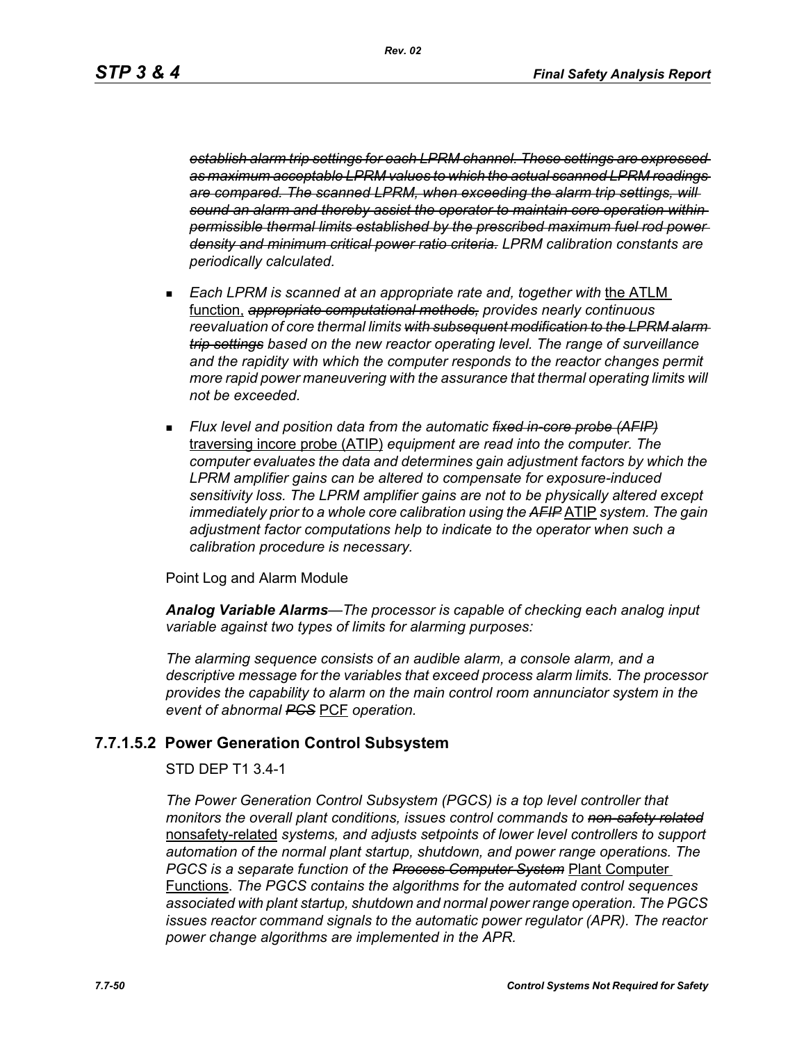*Rev. 02*

*establish alarm trip settings for each LPRM channel. These settings are expressed as maximum acceptable LPRM values to which the actual scanned LPRM readings are compared. The scanned LPRM, when exceeding the alarm trip settings, will sound an alarm and thereby assist the operator to maintain core operation within permissible thermal limits established by the prescribed maximum fuel rod power density and minimum critical power ratio criteria. LPRM calibration constants are periodically calculated.*

- **Each LPRM is scanned at an appropriate rate and, together with the ATLM** function, *appropriate computational methods, provides nearly continuous reevaluation of core thermal limits with subsequent modification to the LPRM alarm trip settings based on the new reactor operating level. The range of surveillance and the rapidity with which the computer responds to the reactor changes permit more rapid power maneuvering with the assurance that thermal operating limits will not be exceeded.*
- *Flux level and position data from the automatic fixed in-core probe (AFIP)* traversing incore probe (ATIP) *equipment are read into the computer. The computer evaluates the data and determines gain adjustment factors by which the LPRM amplifier gains can be altered to compensate for exposure-induced sensitivity loss. The LPRM amplifier gains are not to be physically altered except immediately prior to a whole core calibration using the AFIP* ATIP *system. The gain adjustment factor computations help to indicate to the operator when such a calibration procedure is necessary.*

Point Log and Alarm Module

*Analog Variable Alarms—The processor is capable of checking each analog input variable against two types of limits for alarming purposes:*

*The alarming sequence consists of an audible alarm, a console alarm, and a descriptive message for the variables that exceed process alarm limits. The processor provides the capability to alarm on the main control room annunciator system in the event of abnormal PCS* PCF *operation.*

## **7.7.1.5.2 Power Generation Control Subsystem**

#### STD DEP T1 3.4-1

*The Power Generation Control Subsystem (PGCS) is a top level controller that monitors the overall plant conditions, issues control commands to non-safety related* nonsafety-related *systems, and adjusts setpoints of lower level controllers to support automation of the normal plant startup, shutdown, and power range operations. The PGCS is a separate function of the Process Computer System* Plant Computer Functions. *The PGCS contains the algorithms for the automated control sequences associated with plant startup, shutdown and normal power range operation. The PGCS issues reactor command signals to the automatic power regulator (APR). The reactor power change algorithms are implemented in the APR.*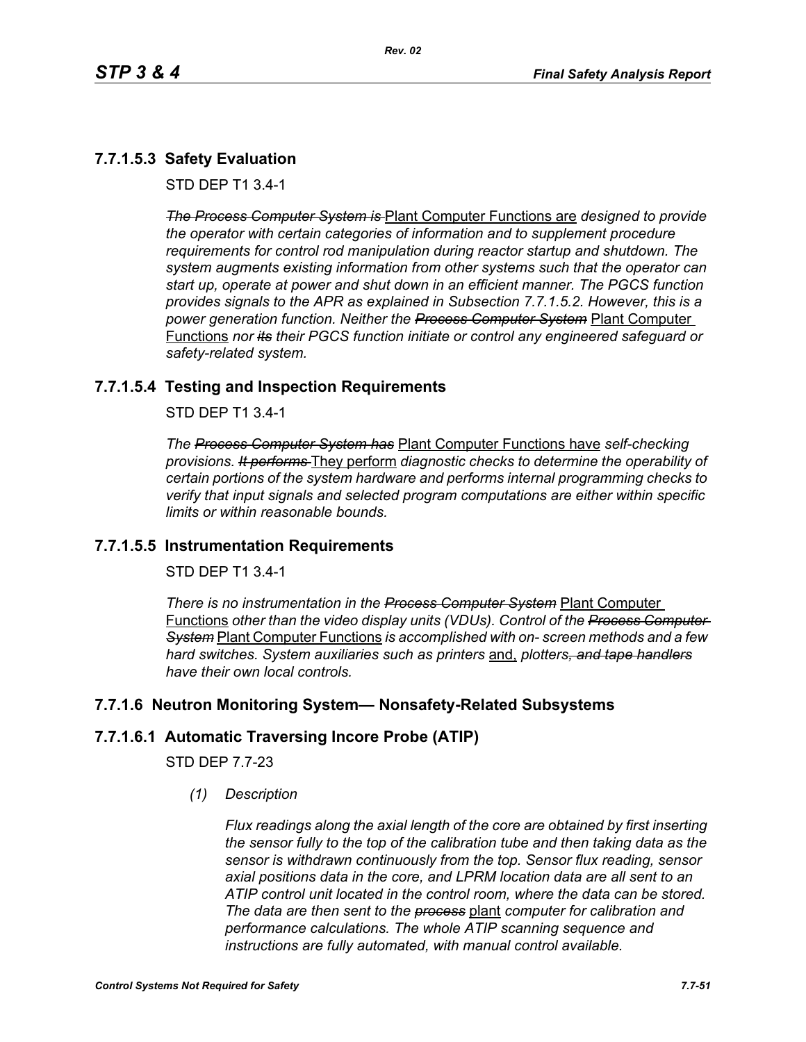# **7.7.1.5.3 Safety Evaluation**

STD DEP T1 3.4-1

*The Process Computer System is* Plant Computer Functions are *designed to provide the operator with certain categories of information and to supplement procedure requirements for control rod manipulation during reactor startup and shutdown. The system augments existing information from other systems such that the operator can start up, operate at power and shut down in an efficient manner. The PGCS function provides signals to the APR as explained in Subsection 7.7.1.5.2. However, this is a power generation function. Neither the Process Computer System* Plant Computer Functions *nor its their PGCS function initiate or control any engineered safeguard or safety-related system.*

## **7.7.1.5.4 Testing and Inspection Requirements**

STD DEP T1 3.4-1

*The Process Computer System has* Plant Computer Functions have *self-checking provisions. It performs* They perform *diagnostic checks to determine the operability of certain portions of the system hardware and performs internal programming checks to verify that input signals and selected program computations are either within specific limits or within reasonable bounds.*

## **7.7.1.5.5 Instrumentation Requirements**

STD DEP T1 3.4-1

*There is no instrumentation in the Process Computer System* Plant Computer Functions *other than the video display units (VDUs). Control of the Process Computer System* Plant Computer Functions *is accomplished with on- screen methods and a few hard switches. System auxiliaries such as printers* and, *plotters, and tape handlers have their own local controls.*

## **7.7.1.6 Neutron Monitoring System— Nonsafety-Related Subsystems**

# **7.7.1.6.1 Automatic Traversing Incore Probe (ATIP)**

STD DEP 7.7-23

*(1) Description*

*Flux readings along the axial length of the core are obtained by first inserting the sensor fully to the top of the calibration tube and then taking data as the sensor is withdrawn continuously from the top. Sensor flux reading, sensor axial positions data in the core, and LPRM location data are all sent to an ATIP control unit located in the control room, where the data can be stored. The data are then sent to the process* plant *computer for calibration and performance calculations. The whole ATIP scanning sequence and instructions are fully automated, with manual control available.*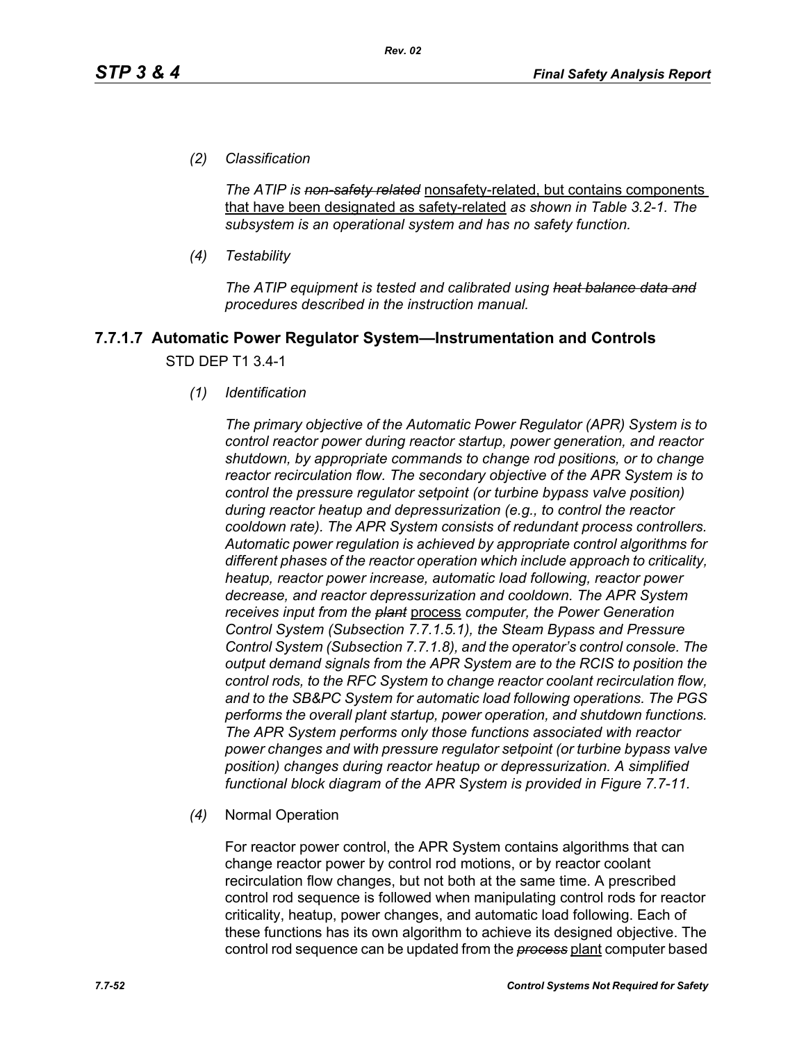*(2) Classification*

*The ATIP is non-safety related* nonsafety-related, but contains components that have been designated as safety-related *as shown in Table 3.2-1. The subsystem is an operational system and has no safety function.*

*(4) Testability*

*The ATIP equipment is tested and calibrated using heat balance data and procedures described in the instruction manual.*

# **7.7.1.7 Automatic Power Regulator System—Instrumentation and Controls** STD DEP T1 3.4-1

*(1) Identification*

*The primary objective of the Automatic Power Regulator (APR) System is to control reactor power during reactor startup, power generation, and reactor shutdown, by appropriate commands to change rod positions, or to change reactor recirculation flow. The secondary objective of the APR System is to control the pressure regulator setpoint (or turbine bypass valve position) during reactor heatup and depressurization (e.g., to control the reactor cooldown rate). The APR System consists of redundant process controllers. Automatic power regulation is achieved by appropriate control algorithms for different phases of the reactor operation which include approach to criticality, heatup, reactor power increase, automatic load following, reactor power decrease, and reactor depressurization and cooldown. The APR System receives input from the plant* process *computer, the Power Generation Control System (Subsection 7.7.1.5.1), the Steam Bypass and Pressure Control System (Subsection 7.7.1.8), and the operator's control console. The output demand signals from the APR System are to the RCIS to position the control rods, to the RFC System to change reactor coolant recirculation flow, and to the SB&PC System for automatic load following operations. The PGS performs the overall plant startup, power operation, and shutdown functions. The APR System performs only those functions associated with reactor power changes and with pressure regulator setpoint (or turbine bypass valve position) changes during reactor heatup or depressurization. A simplified functional block diagram of the APR System is provided in Figure 7.7-11.*

*(4)* Normal Operation

For reactor power control, the APR System contains algorithms that can change reactor power by control rod motions, or by reactor coolant recirculation flow changes, but not both at the same time. A prescribed control rod sequence is followed when manipulating control rods for reactor criticality, heatup, power changes, and automatic load following. Each of these functions has its own algorithm to achieve its designed objective. The control rod sequence can be updated from the *process* plant computer based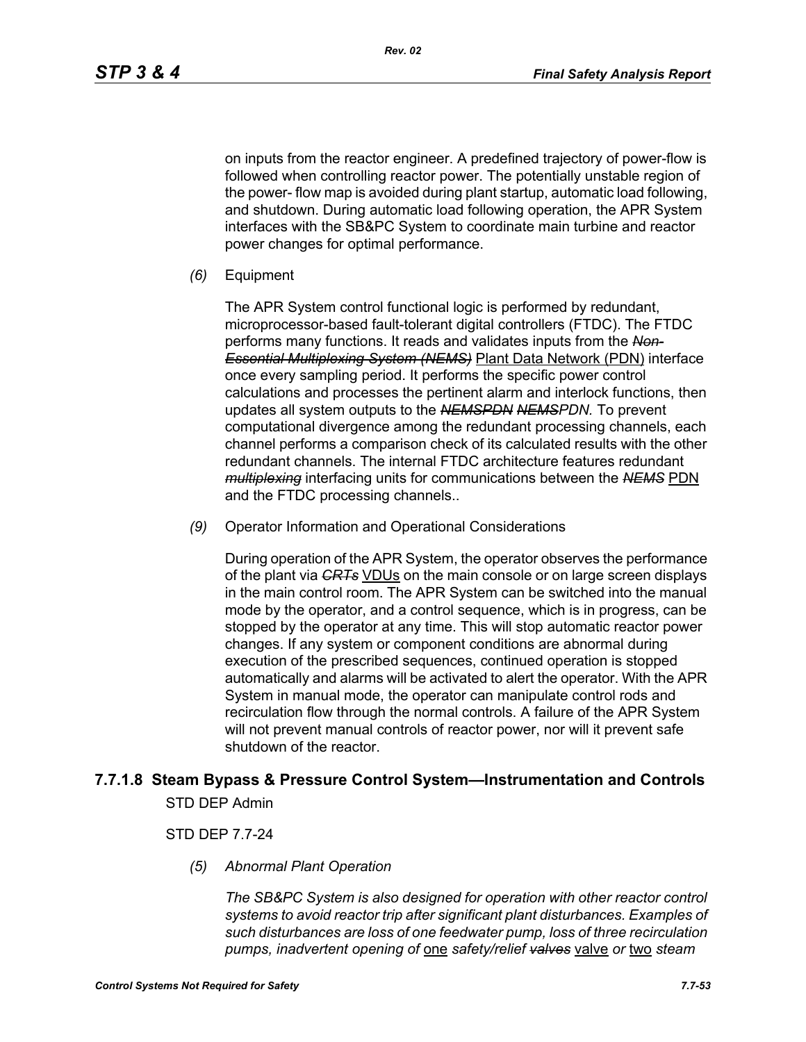*Rev. 02*

on inputs from the reactor engineer. A predefined trajectory of power-flow is followed when controlling reactor power. The potentially unstable region of the power- flow map is avoided during plant startup, automatic load following, and shutdown. During automatic load following operation, the APR System interfaces with the SB&PC System to coordinate main turbine and reactor power changes for optimal performance.

*(6)* Equipment

The APR System control functional logic is performed by redundant, microprocessor-based fault-tolerant digital controllers (FTDC). The FTDC performs many functions. It reads and validates inputs from the *Non-Essential Multiplexing System (NEMS)* Plant Data Network (PDN) interface once every sampling period. It performs the specific power control calculations and processes the pertinent alarm and interlock functions, then updates all system outputs to the *NEMSPDN NEMSPDN.* To prevent computational divergence among the redundant processing channels, each channel performs a comparison check of its calculated results with the other redundant channels. The internal FTDC architecture features redundant *multiplexing* interfacing units for communications between the *NEMS* PDN and the FTDC processing channels..

*(9)* Operator Information and Operational Considerations

During operation of the APR System, the operator observes the performance of the plant via *CRTs* VDUs on the main console or on large screen displays in the main control room. The APR System can be switched into the manual mode by the operator, and a control sequence, which is in progress, can be stopped by the operator at any time. This will stop automatic reactor power changes. If any system or component conditions are abnormal during execution of the prescribed sequences, continued operation is stopped automatically and alarms will be activated to alert the operator. With the APR System in manual mode, the operator can manipulate control rods and recirculation flow through the normal controls. A failure of the APR System will not prevent manual controls of reactor power, nor will it prevent safe shutdown of the reactor.

# **7.7.1.8 Steam Bypass & Pressure Control System—Instrumentation and Controls**

STD DEP Admin

## STD DEP 7.7-24

*(5) Abnormal Plant Operation*

*The SB&PC System is also designed for operation with other reactor control systems to avoid reactor trip after significant plant disturbances. Examples of such disturbances are loss of one feedwater pump, loss of three recirculation pumps, inadvertent opening of* one *safety/relief valves* valve *or* two *steam*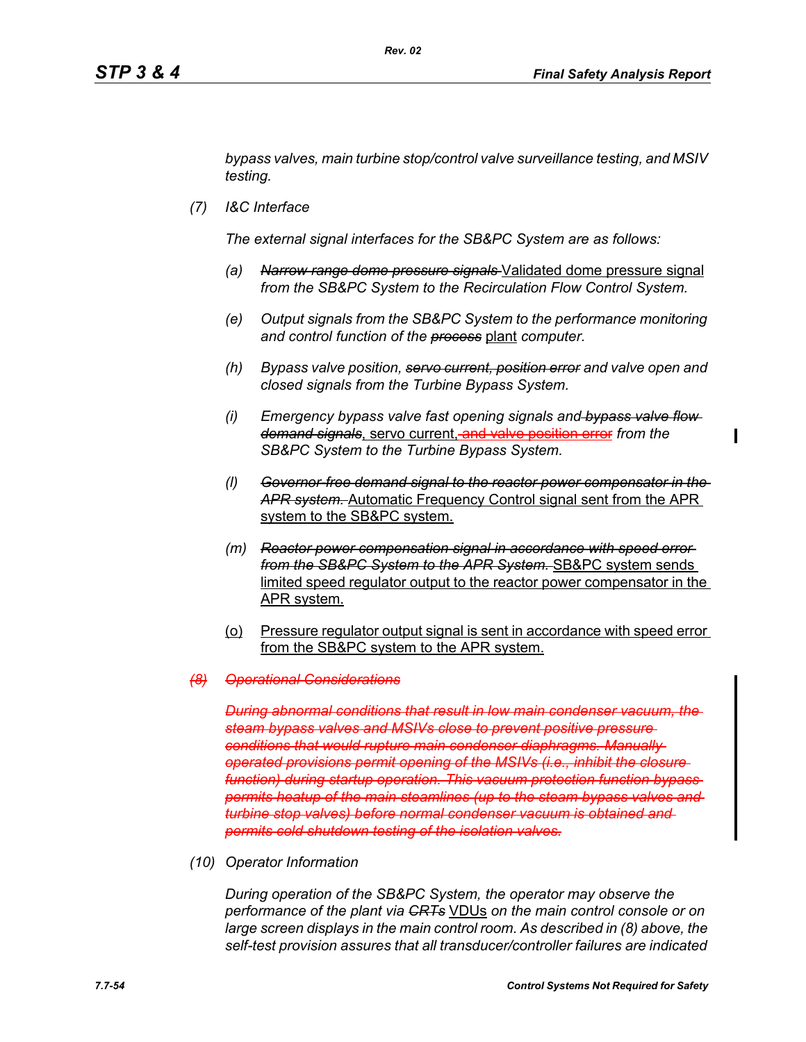*bypass valves, main turbine stop/control valve surveillance testing, and MSIV testing.*

*(7) I&C Interface*

*The external signal interfaces for the SB&PC System are as follows:*

- *(a) Narrow range dome pressure signals* Validated dome pressure signal *from the SB&PC System to the Recirculation Flow Control System.*
- *(e) Output signals from the SB&PC System to the performance monitoring and control function of the process* plant *computer.*
- *(h) Bypass valve position, servo current, position error and valve open and closed signals from the Turbine Bypass System.*
- *(i) Emergency bypass valve fast opening signals and bypass valve flow demand signals*, servo current, and valve position error *from the SB&PC System to the Turbine Bypass System.*
- *(l) Governor-free demand signal to the reactor power compensator in the APR system.* Automatic Frequency Control signal sent from the APR system to the SB&PC system.
- *(m) Reactor power compensation signal in accordance with speed error from the SB&PC System to the APR System.* SB&PC system sends limited speed regulator output to the reactor power compensator in the APR system.
- (o) Pressure regulator output signal is sent in accordance with speed error from the SB&PC system to the APR system.

#### *(8) Operational Considerations*

*During abnormal conditions that result in low main condenser vacuum, steam bypass valves and MSIVs close to prevent positive pressure conditions that would rupture main condenser diaphragms. Manually operated provisions permit opening of the MSIVs (i.e., inhibit the closure function) during startup operation. This vacuum protection function bypass permits heatup of the main steamlines (up to the steam bypass valves and turbine stop valves) before normal condenser vacuum is obtained and permits cold shutdown testing of the isolation valves.*

*(10) Operator Information*

*During operation of the SB&PC System, the operator may observe the performance of the plant via CRTs* VDUs *on the main control console or on large screen displays in the main control room. As described in (8) above, the self-test provision assures that all transducer/controller failures are indicated*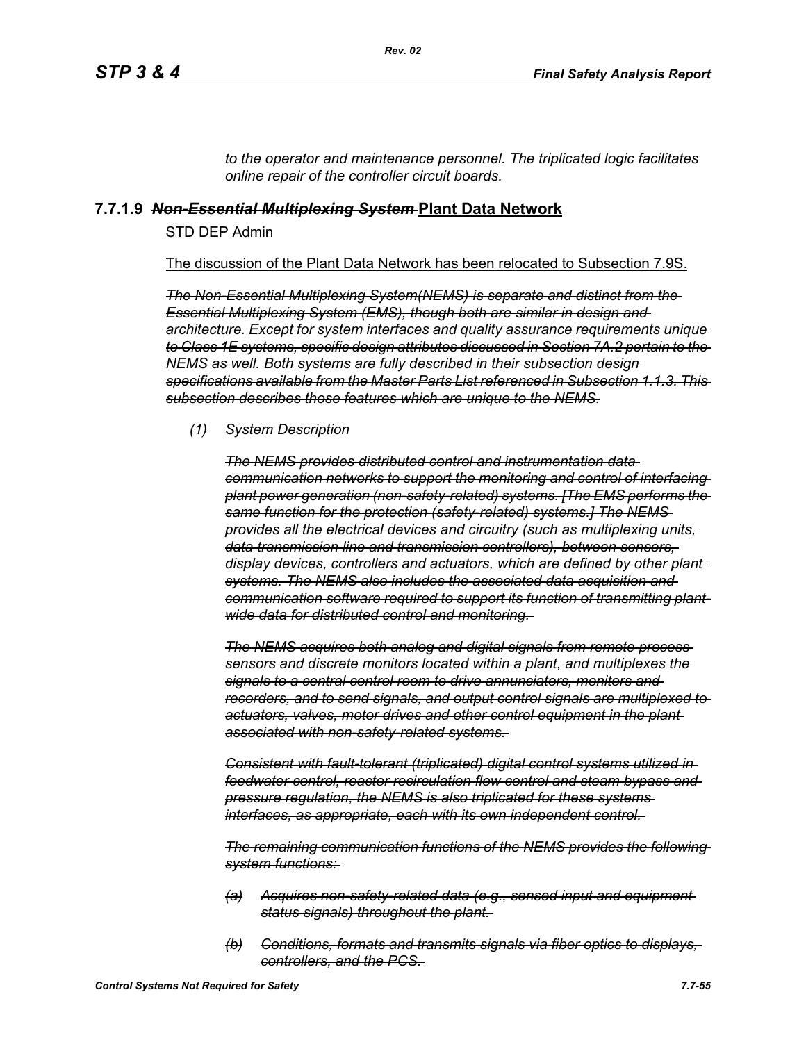*to the operator and maintenance personnel. The triplicated logic facilitates online repair of the controller circuit boards.*

## **7.7.1.9** *Non-Essential Multiplexing System* **Plant Data Network**

STD DEP Admin

The discussion of the Plant Data Network has been relocated to Subsection 7.9S.

*The Non-Essential Multiplexing System(NEMS) is separate and distinct from the Essential Multiplexing System (EMS), though both are similar in design and architecture. Except for system interfaces and quality assurance requirements unique to Class 1E systems, specific design attributes discussed in Section 7A.2 pertain to the NEMS as well. Both systems are fully described in their subsection design specifications available from the Master Parts List referenced in Subsection 1.1.3. This subsection describes those features which are unique to the NEMS.*

#### *(1) System Description*

*The NEMS provides distributed control and instrumentation data communication networks to support the monitoring and control of interfacing plant power generation (non-safety-related) systems. [The EMS performs the same function for the protection (safety-related) systems.] The NEMS provides all the electrical devices and circuitry (such as multiplexing units, data transmission line and transmission controllers), between sensors, display devices, controllers and actuators, which are defined by other plant systems. The NEMS also includes the associated data acquisition and communication software required to support its function of transmitting plantwide data for distributed control and monitoring.* 

*The NEMS acquires both analog and digital signals from remote process sensors and discrete monitors located within a plant, and multiplexes the signals to a central control room to drive annunciators, monitors and recorders, and to send signals, and output control signals are multiplexed to actuators, valves, motor drives and other control equipment in the plant associated with non-safety-related systems.* 

*Consistent with fault-tolerant (triplicated) digital control systems utilized in feedwater control, reactor recirculation flow control and steam bypass and pressure regulation, the NEMS is also triplicated for these systems interfaces, as appropriate, each with its own independent control.* 

*The remaining communication functions of the NEMS provides the following system functions:* 

- *(a) Acquires non-safety-related data (e.g., sensed input and equipment status signals) throughout the plant.*
- *(b) Conditions, formats and transmits signals via fiber optics to displays, controllers, and the PCS.*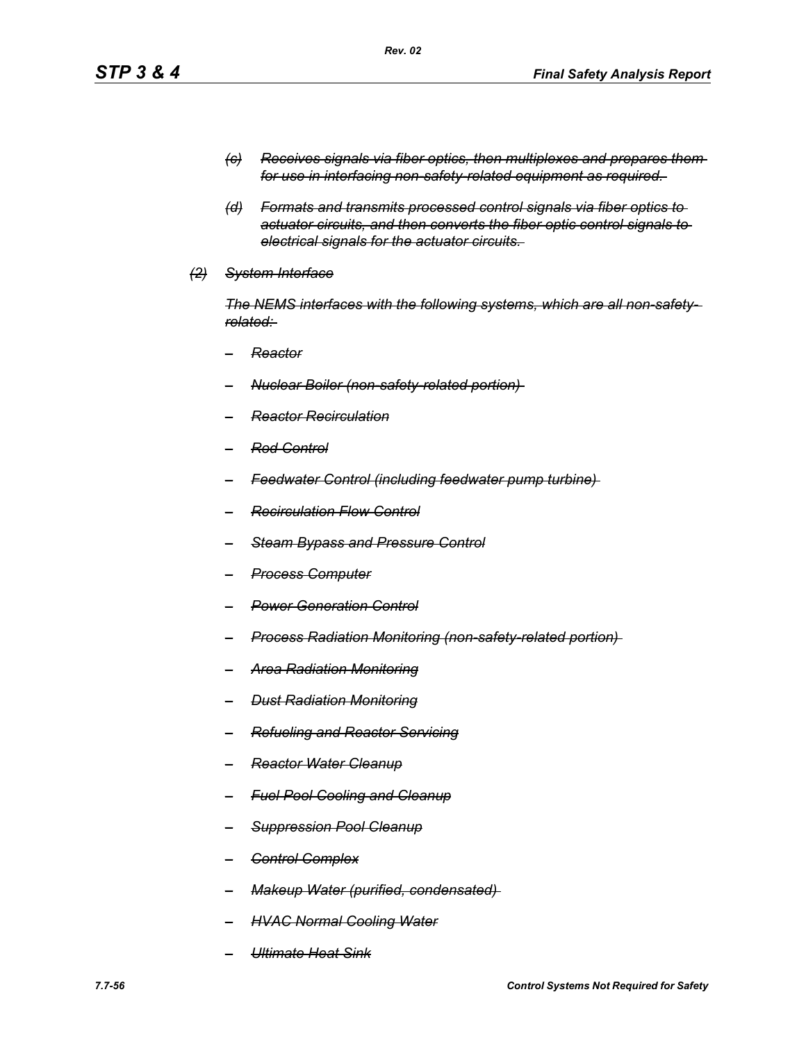- *(c) Receives signals via fiber optics, then multiplexes and prepares them for use in interfacing non-safety-related equipment as required.*
- *(d) Formats and transmits processed control signals via fiber optics to actuator circuits, and then converts the fiber optic control signals to electrical signals for the actuator circuits.*
- *(2) System Interface*

*The NEMS interfaces with the following systems, which are all non-safetyrelated:* 

- *– Reactor*
- *– Nuclear Boiler (non-safety-related portion)*
- *– Reactor Recirculation*
- *– Rod Control*
- *– Feedwater Control (including feedwater pump turbine)*
- *– Recirculation Flow Control*
- *– Steam Bypass and Pressure Control*
- *– Process Computer*
- *– Power Generation Control*
- *– Process Radiation Monitoring (non-safety-related portion)*
- *– Area Radiation Monitoring*
- *– Dust Radiation Monitoring*
- *– Refueling and Reactor Servicing*
- *– Reactor Water Cleanup*
- *– Fuel Pool Cooling and Cleanup*
- *– Suppression Pool Cleanup*
- *– Control Complex*
- *– Makeup Water (purified, condensated)*
- *– HVAC Normal Cooling Water*
- *– Ultimate Heat Sink*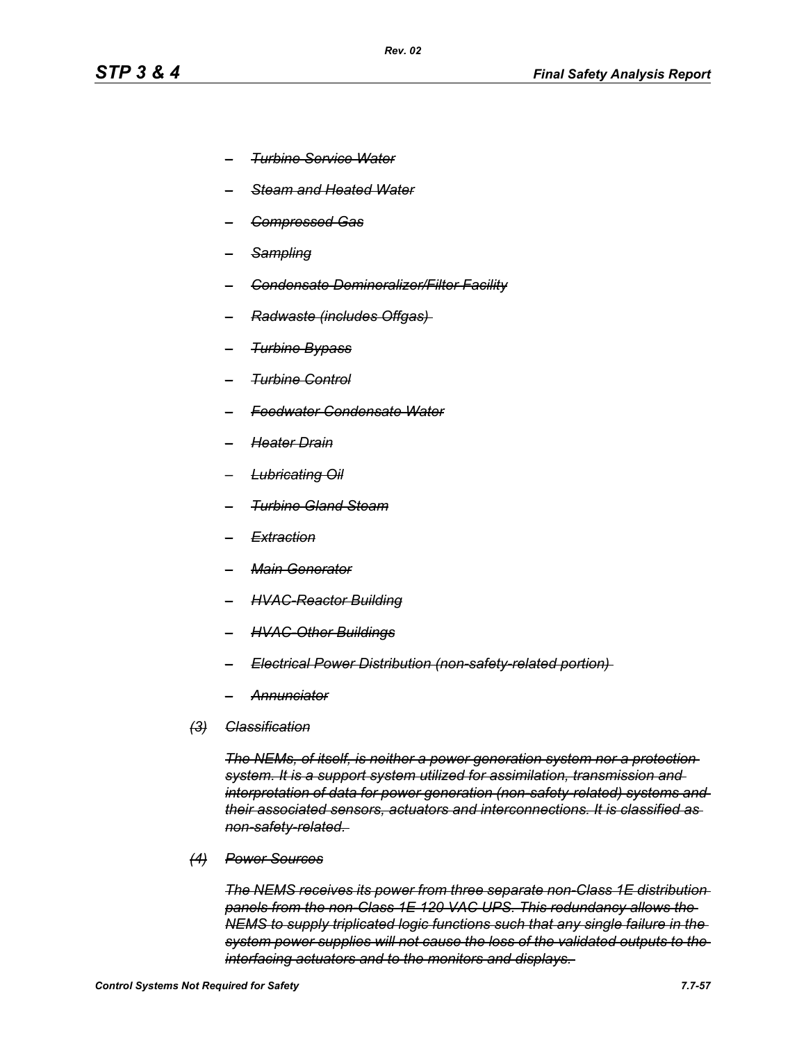- *– Turbine Service Water*
- *– Steam and Heated Water*
- *– Compressed Gas*
- *– Sampling*
- *– Condensate Demineralizer/Filter Facility*
- *– Radwaste (includes Offgas)*
- *– Turbine Bypass*
- *– Turbine Control*
- *– Feedwater Condensate Water*
- *– Heater Drain*
- *– Lubricating Oil*
- *– Turbine Gland Steam*
- *– Extraction*
- *– Main Generator*
- *– HVAC-Reactor Building*
- *– HVAC-Other Buildings*
- *– Electrical Power Distribution (non-safety-related portion)*
- *– Annunciator*
- *(3) Classification*

*The NEMs, of itself, is neither a power generation system nor a protection system. It is a support system utilized for assimilation, transmission and interpretation of data for power generation (non-safety-related) systems and their associated sensors, actuators and interconnections. It is classified as non-safety-related.* 

*(4) Power Sources*

*The NEMS receives its power from three separate non-Class 1E distribution panels from the non-Class 1E 120 VAC UPS. This redundancy allows the NEMS to supply triplicated logic functions such that any single failure in the system power supplies will not cause the loss of the validated outputs to the interfacing actuators and to the monitors and displays.*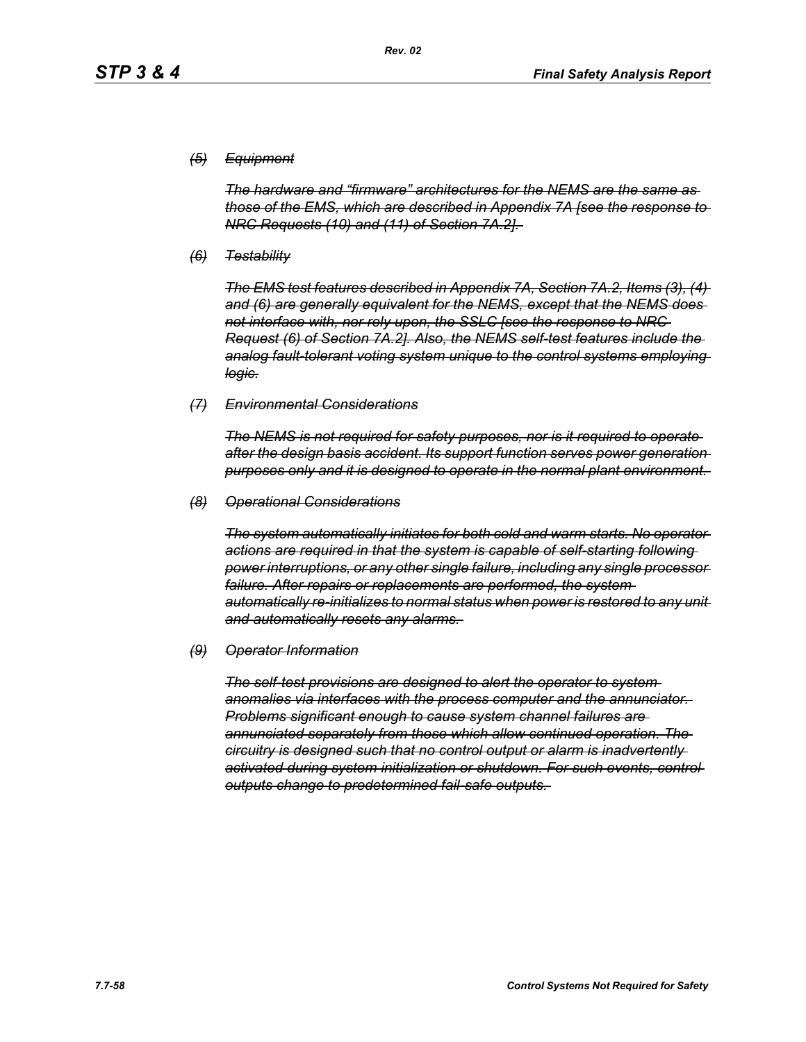## *(5) Equipment*

*The hardware and "firmware" architectures for the NEMS are the same as those of the EMS, which are described in Appendix 7A [see the response to NRC Requests (10) and (11) of Section 7A.2].* 

*(6) Testability*

*The EMS test features described in Appendix 7A, Section 7A.2, Items (3), (4) and (6) are generally equivalent for the NEMS, except that the NEMS does not interface with, nor rely upon, the SSLC [see the response to NRC Request (6) of Section 7A.2]. Also, the NEMS self-test features include the analog fault-tolerant voting system unique to the control systems employing logic.*

#### *(7) Environmental Considerations*

*The NEMS is not required for safety purposes, nor is it required to operate after the design basis accident. Its support function serves power generation purposes only and it is designed to operate in the normal plant environment.* 

#### *(8) Operational Considerations*

*The system automatically initiates for both cold and warm starts. No operator actions are required in that the system is capable of self-starting following power interruptions, or any other single failure, including any single processor*  failure. After repairs or replacements are performed, the system*automatically re-initializes to normal status when power is restored to any unit and automatically resets any alarms.* 

#### *(9) Operator Information*

*The self-test provisions are designed to alert the operator to system anomalies via interfaces with the process computer and the annunciator. Problems significant enough to cause system channel failures are annunciated separately from those which allow continued operation. The circuitry is designed such that no control output or alarm is inadvertently activated during system initialization or shutdown. For such events, control outputs change to predetermined fail-safe outputs.*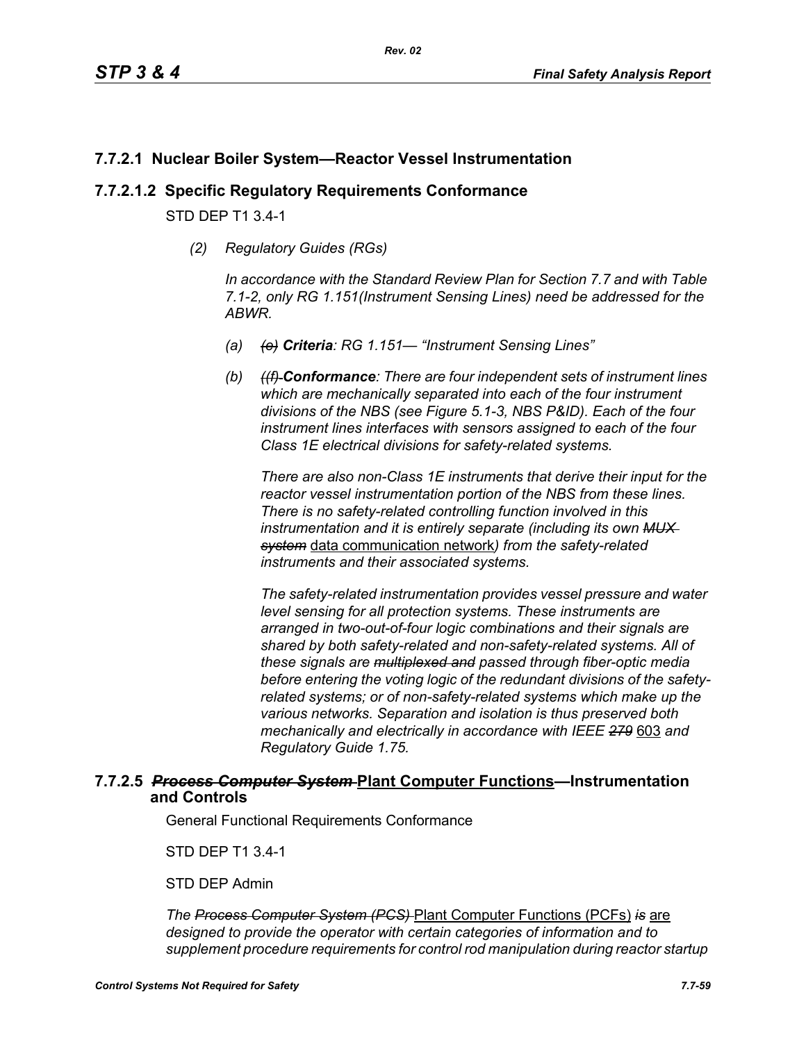# **7.7.2.1 Nuclear Boiler System—Reactor Vessel Instrumentation**

## **7.7.2.1.2 Specific Regulatory Requirements Conformance**

STD DEP T1 3.4-1

*(2) Regulatory Guides (RGs)*

*In accordance with the Standard Review Plan for Section 7.7 and with Table 7.1-2, only RG 1.151(Instrument Sensing Lines) need be addressed for the ABWR.*

- *(a) (e) Criteria: RG 1.151— "Instrument Sensing Lines"*
- *(b) ((f) Conformance: There are four independent sets of instrument lines which are mechanically separated into each of the four instrument divisions of the NBS (see Figure 5.1-3, NBS P&ID). Each of the four instrument lines interfaces with sensors assigned to each of the four Class 1E electrical divisions for safety-related systems.*

*There are also non-Class 1E instruments that derive their input for the reactor vessel instrumentation portion of the NBS from these lines. There is no safety-related controlling function involved in this instrumentation and it is entirely separate (including its own MUX system* data communication network*) from the safety-related instruments and their associated systems.*

*The safety-related instrumentation provides vessel pressure and water level sensing for all protection systems. These instruments are arranged in two-out-of-four logic combinations and their signals are shared by both safety-related and non-safety-related systems. All of these signals are multiplexed and passed through fiber-optic media before entering the voting logic of the redundant divisions of the safetyrelated systems; or of non-safety-related systems which make up the various networks. Separation and isolation is thus preserved both mechanically and electrically in accordance with IEEE 279* 603 *and Regulatory Guide 1.75.*

## **7.7.2.5** *Process Computer System* **Plant Computer Functions—Instrumentation and Controls**

General Functional Requirements Conformance

STD DEP T1 3.4-1

STD DEP Admin

*The Process Computer System (PCS)* Plant Computer Functions (PCFs) *is* are *designed to provide the operator with certain categories of information and to supplement procedure requirements for control rod manipulation during reactor startup*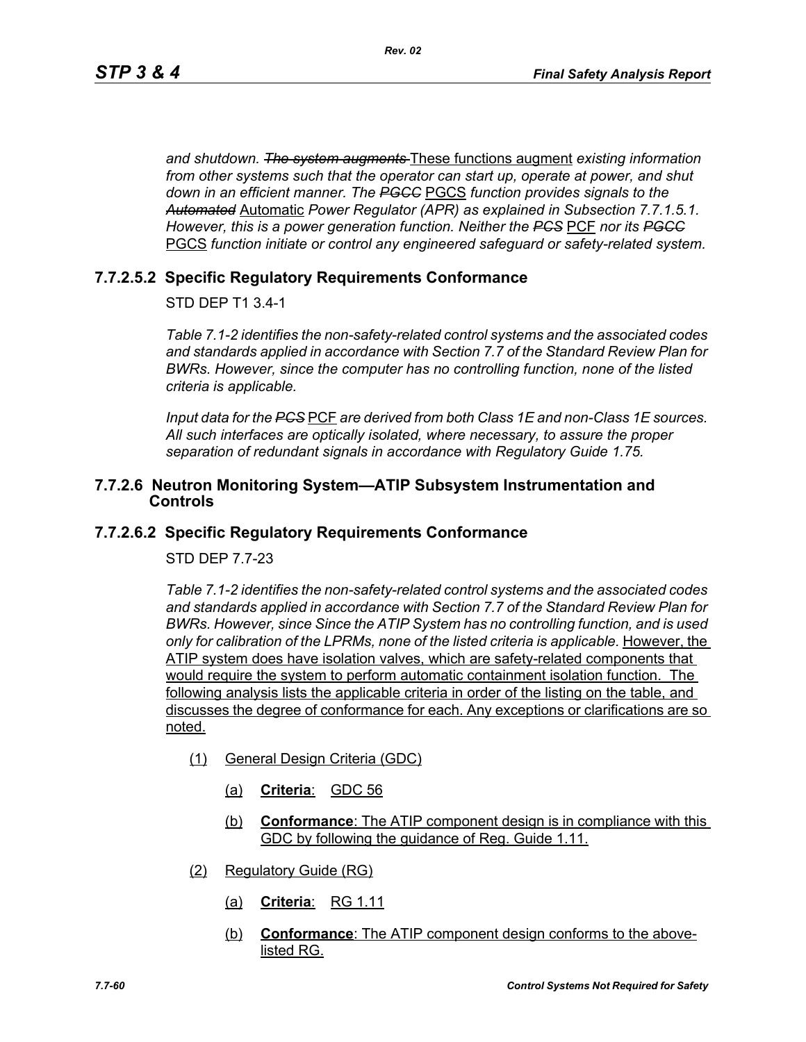*and shutdown. The system augments* These functions augment *existing information from other systems such that the operator can start up, operate at power, and shut down in an efficient manner. The PGCC* PGCS *function provides signals to the Automated* Automatic *Power Regulator (APR) as explained in Subsection 7.7.1.5.1. However, this is a power generation function. Neither the PCS* PCF *nor its PGCC* PGCS *function initiate or control any engineered safeguard or safety-related system.*

# **7.7.2.5.2 Specific Regulatory Requirements Conformance**

STD DEP T1 3.4-1

*Table 7.1-2 identifies the non-safety-related control systems and the associated codes and standards applied in accordance with Section 7.7 of the Standard Review Plan for BWRs. However, since the computer has no controlling function, none of the listed criteria is applicable.*

*Input data for the PCS* PCF *are derived from both Class 1E and non-Class 1E sources. All such interfaces are optically isolated, where necessary, to assure the proper separation of redundant signals in accordance with Regulatory Guide 1.75.*

## **7.7.2.6 Neutron Monitoring System—ATIP Subsystem Instrumentation and Controls**

# **7.7.2.6.2 Specific Regulatory Requirements Conformance**

## STD DEP 7.7-23

*Table 7.1-2 identifies the non-safety-related control systems and the associated codes and standards applied in accordance with Section 7.7 of the Standard Review Plan for BWRs. However, since Since the ATIP System has no controlling function, and is used only for calibration of the LPRMs, none of the listed criteria is applicable.* However, the ATIP system does have isolation valves, which are safety-related components that would require the system to perform automatic containment isolation function. The following analysis lists the applicable criteria in order of the listing on the table, and discusses the degree of conformance for each. Any exceptions or clarifications are so noted.

- (1) General Design Criteria (GDC)
	- (a) **Criteria**: GDC 56
	- (b) **Conformance**: The ATIP component design is in compliance with this GDC by following the guidance of Reg. Guide 1.11.
- (2) Regulatory Guide (RG)
	- (a) **Criteria**: RG 1.11
	- (b) **Conformance**: The ATIP component design conforms to the abovelisted RG.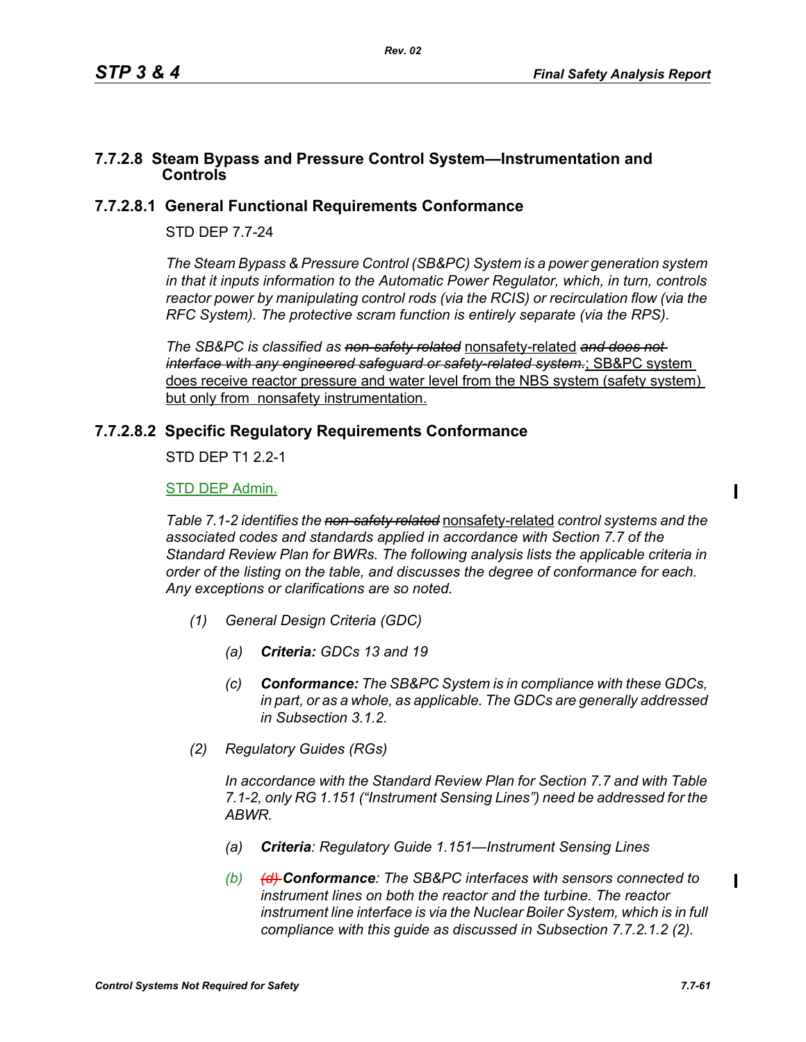## **7.7.2.8 Steam Bypass and Pressure Control System—Instrumentation and Controls**

## **7.7.2.8.1 General Functional Requirements Conformance**

## STD DEP 7.7-24

*The Steam Bypass & Pressure Control (SB&PC) System is a power generation system in that it inputs information to the Automatic Power Regulator, which, in turn, controls reactor power by manipulating control rods (via the RCIS) or recirculation flow (via the RFC System). The protective scram function is entirely separate (via the RPS).*

*The SB&PC is classified as non-safety related* nonsafety-related *and does not interface with any engineered safeguard or safety-related system.*; SB&PC system does receive reactor pressure and water level from the NBS system (safety system) but only from nonsafety instrumentation.

## **7.7.2.8.2 Specific Regulatory Requirements Conformance**

STD DEP T1 2.2-1

## STD DEP Admin.

*Table 7.1-2 identifies the non-safety related* nonsafety-related *control systems and the associated codes and standards applied in accordance with Section 7.7 of the Standard Review Plan for BWRs. The following analysis lists the applicable criteria in order of the listing on the table, and discusses the degree of conformance for each. Any exceptions or clarifications are so noted.*

- *(1) General Design Criteria (GDC)*
	- *(a) Criteria: GDCs 13 and 19*
	- *(c) Conformance: The SB&PC System is in compliance with these GDCs, in part, or as a whole, as applicable. The GDCs are generally addressed in Subsection 3.1.2.*
- *(2) Regulatory Guides (RGs)*

*In accordance with the Standard Review Plan for Section 7.7 and with Table 7.1-2, only RG 1.151 ("Instrument Sensing Lines") need be addressed for the ABWR.*

- *(a) Criteria: Regulatory Guide 1.151—Instrument Sensing Lines*
- *(b) (d) Conformance: The SB&PC interfaces with sensors connected to instrument lines on both the reactor and the turbine. The reactor instrument line interface is via the Nuclear Boiler System, which is in full compliance with this guide as discussed in Subsection 7.7.2.1.2 (2).*

П

Π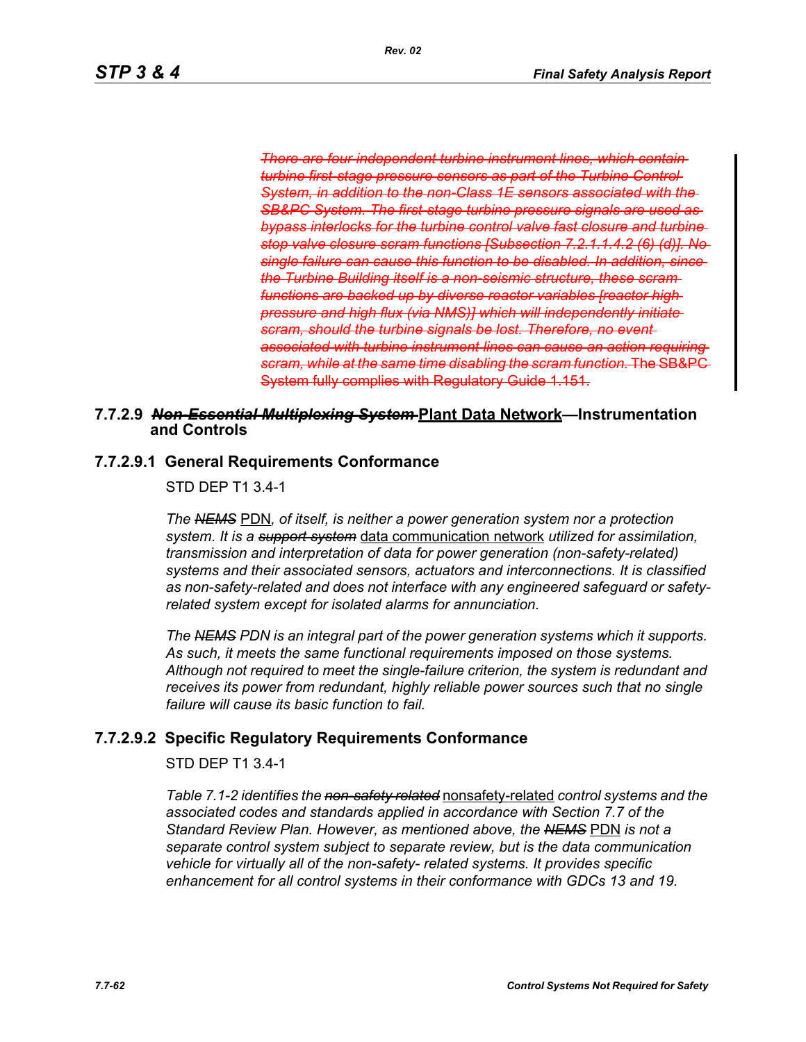*There are four independent turbine instrument lines, which contain turbine first-stage pressure sensors as part of the Turbine Control System, in addition to the non-Class 1E sensors associated with the SB&PC System. The first-stage turbine pressure signals are used as bypass interlocks for the turbine control valve fast closure and turbine stop valve closure scram functions [Subsection 7.2.1.1.4.2 (6) (d)]. No single failure can cause this function to be disabled. In addition, since the Turbine Building itself is a non-seismic structure, these scram functions are backed up by diverse reactor variables [reactor high pressure and high flux (via NMS)] which will independently initiate scram, should the turbine signals be lost. Therefore, no event associated with turbine instrument lines can cause an action requiring scram, while at the same time disabling the scram function.* The SB&PC System fully complies with Regulatory Guide 1.151.

## **7.7.2.9** *Non-Essential Multiplexing System* **Plant Data Network—Instrumentation and Controls**

## **7.7.2.9.1 General Requirements Conformance**

STD DEP T1 3.4-1

*The NEMS PDN, of itself, is neither a power generation system nor a protection system. It is a support system* data communication network *utilized for assimilation, transmission and interpretation of data for power generation (non-safety-related) systems and their associated sensors, actuators and interconnections. It is classified as non-safety-related and does not interface with any engineered safeguard or safetyrelated system except for isolated alarms for annunciation.*

*The NEMS PDN is an integral part of the power generation systems which it supports. As such, it meets the same functional requirements imposed on those systems. Although not required to meet the single-failure criterion, the system is redundant and*  receives its power from redundant, highly reliable power sources such that no single *failure will cause its basic function to fail.*

# **7.7.2.9.2 Specific Regulatory Requirements Conformance**

## STD DEP T1 3.4-1

*Table 7.1-2 identifies the non-safety related* nonsafety-related *control systems and the associated codes and standards applied in accordance with Section 7.7 of the Standard Review Plan. However, as mentioned above, the NEMS* PDN *is not a separate control system subject to separate review, but is the data communication vehicle for virtually all of the non-safety- related systems. It provides specific enhancement for all control systems in their conformance with GDCs 13 and 19.*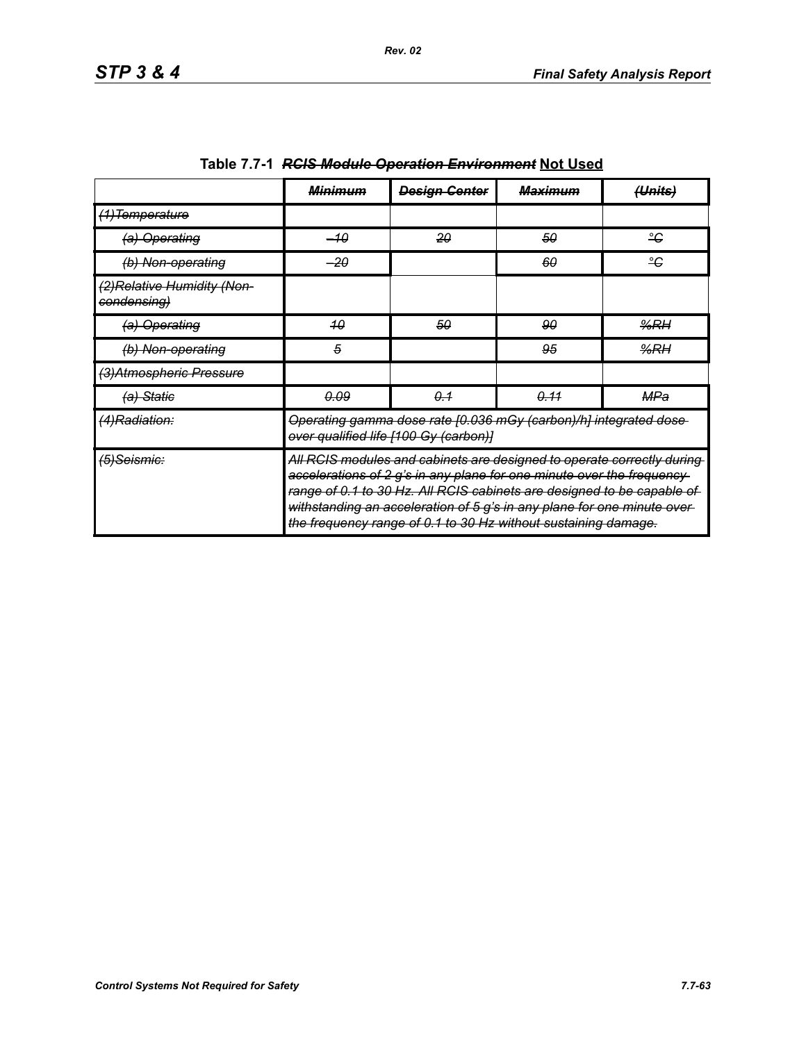|                                                      | <del>Minimum</del> | <b>Design Genter</b>                                                                                                                                                                                                                                                                                                                                                    | <del>Maximum</del> | (Units) |
|------------------------------------------------------|--------------------|-------------------------------------------------------------------------------------------------------------------------------------------------------------------------------------------------------------------------------------------------------------------------------------------------------------------------------------------------------------------------|--------------------|---------|
| <del>(1)Temperature</del>                            |                    |                                                                                                                                                                                                                                                                                                                                                                         |                    |         |
| (a) Operating                                        | $-10$              | 20                                                                                                                                                                                                                                                                                                                                                                      | 50                 | ÷       |
| (b) Non-operating                                    | $-20$              |                                                                                                                                                                                                                                                                                                                                                                         | 60                 | ÷       |
| (2)Relative Humidity (Non-<br><del>condensing)</del> |                    |                                                                                                                                                                                                                                                                                                                                                                         |                    |         |
| (a) Operating                                        | 40                 | 50                                                                                                                                                                                                                                                                                                                                                                      | 90                 | %RH     |
| (b) Non-operating                                    | 5                  |                                                                                                                                                                                                                                                                                                                                                                         | 95                 | %RH     |
| (3)Atmospheric Pressure                              |                    |                                                                                                                                                                                                                                                                                                                                                                         |                    |         |
| (a) Statie                                           | 0.09               | 0.1                                                                                                                                                                                                                                                                                                                                                                     | 0.11               | MPa     |
| (4)Radiation:                                        |                    | Operating gamma dose rate [0.036 mGy (carbon)/h] integrated dose-<br>over qualified life [100 Gy (carbon)]                                                                                                                                                                                                                                                              |                    |         |
| (5)Seismic:                                          |                    | All RCIS modules and cabinets are designed to operate correctly during<br>accelerations of 2 g's in any plane for one minute over the frequency-<br>range of 0.1 to 30 Hz. All RCIS cabinets are designed to be capable of<br>withstanding an acceleration of 5 g's in any plane for one minute over-<br>the frequency range of 0.1 to 30 Hz without sustaining damage. |                    |         |

| Table 7.7-1 RCIS Module Operation Environment Not Used |
|--------------------------------------------------------|
|--------------------------------------------------------|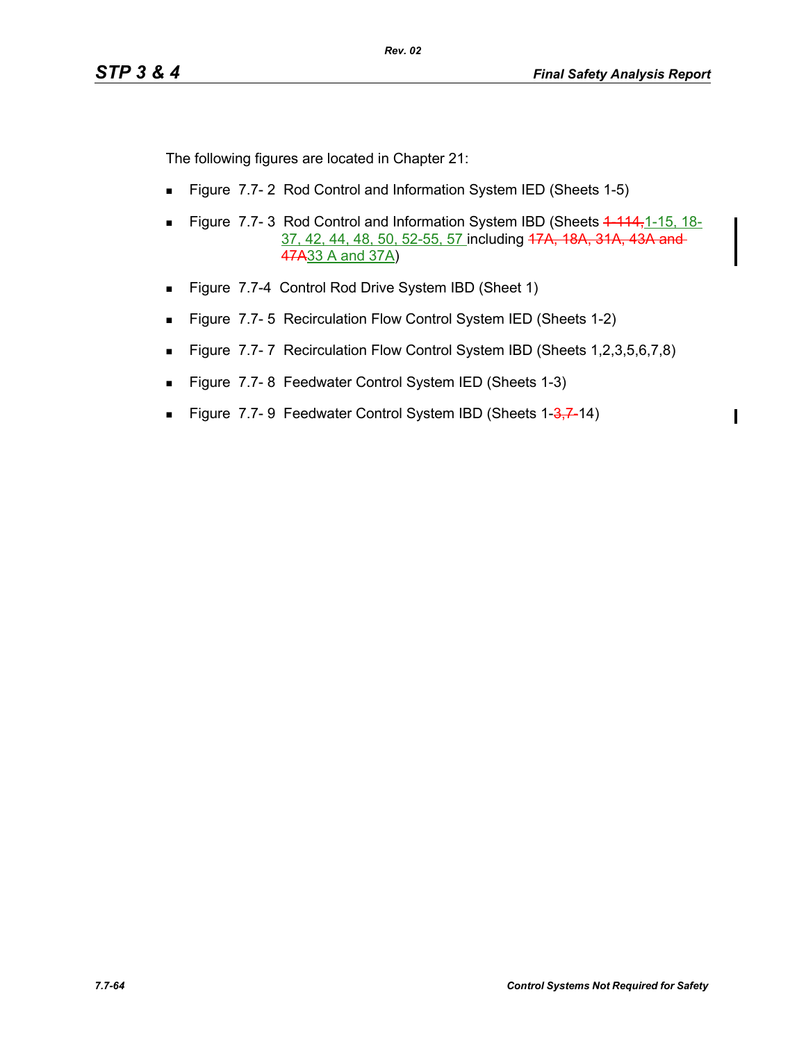$\blacksquare$ 

The following figures are located in Chapter 21:

- **Figure 7.7-2 Rod Control and Information System IED (Sheets 1-5)**
- Figure 7.7- 3 Rod Control and Information System IBD (Sheets 4 444,1-15, 18-37, 42, 44, 48, 50, 52-55, 57 including 47A, 18A, 31A, 43A and 47A33 A and 37A)
- Figure 7.7-4 Control Rod Drive System IBD (Sheet 1)
- Figure 7.7-5 Recirculation Flow Control System IED (Sheets 1-2)
- Figure 7.7-7 Recirculation Flow Control System IBD (Sheets 1,2,3,5,6,7,8)
- **Figure 7.7-8 Feedwater Control System IED (Sheets 1-3)**
- Figure 7.7-9 Feedwater Control System IBD (Sheets 1-3,7-14)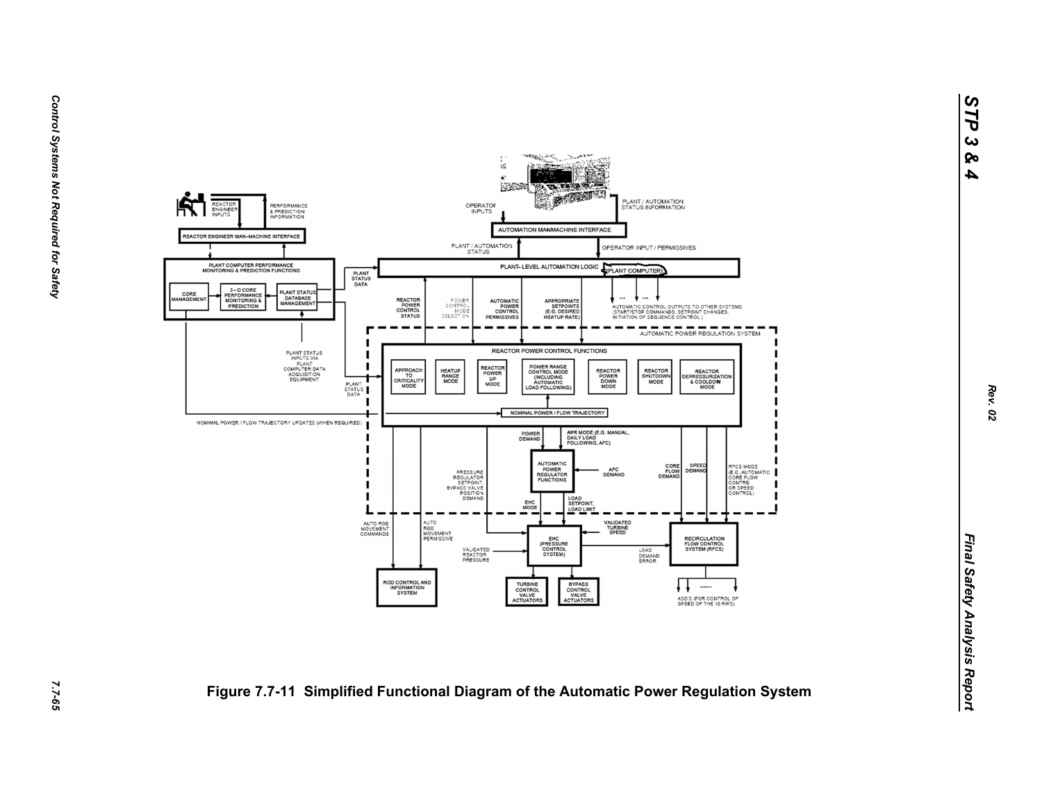